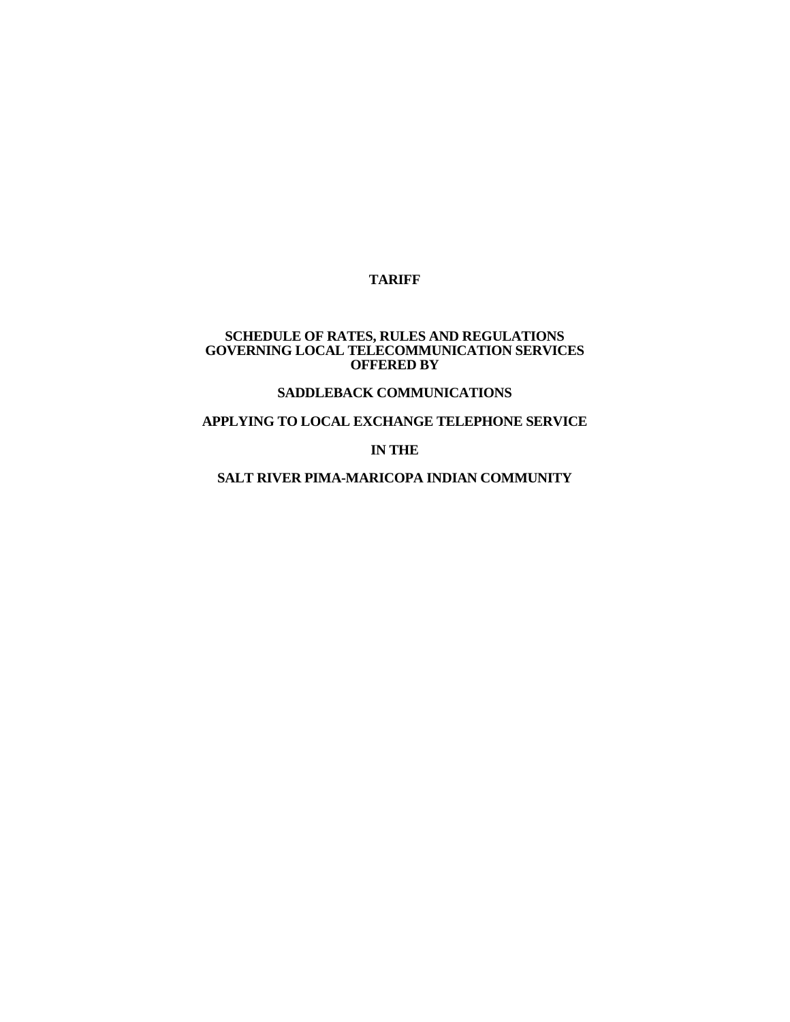# **TARIFF**

#### **SCHEDULE OF RATES, RULES AND REGULATIONS GOVERNING LOCAL TELECOMMUNICATION SERVICES OFFERED BY**

# **SADDLEBACK COMMUNICATIONS**

# **APPLYING TO LOCAL EXCHANGE TELEPHONE SERVICE**

## **IN THE**

# **SALT RIVER PIMA-MARICOPA INDIAN COMMUNITY**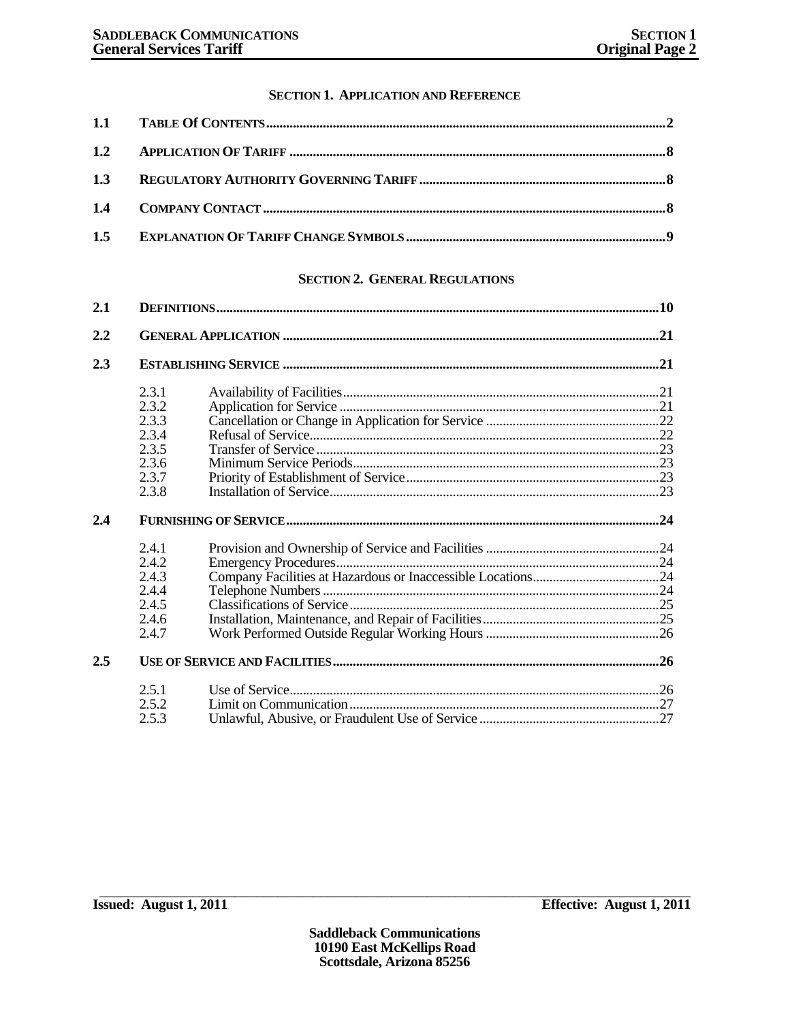## **SECTION 1. APPLICATION AND REFERENCE**

# **SECTION 2. GENERAL REGULATIONS**

| 2.1     |       |  |
|---------|-------|--|
| 2.2     |       |  |
| 2.3     |       |  |
|         | 2.3.1 |  |
|         | 2.3.2 |  |
|         | 2.3.3 |  |
|         | 2.3.4 |  |
|         | 2.3.5 |  |
|         | 2.3.6 |  |
|         | 2.3.7 |  |
|         | 2.3.8 |  |
| 2.4     |       |  |
|         | 2.4.1 |  |
|         | 2.4.2 |  |
|         | 2.4.3 |  |
|         | 2.4.4 |  |
|         | 2.4.5 |  |
|         | 2.4.6 |  |
|         | 2.4.7 |  |
| $2.5\,$ |       |  |
|         | 2.5.1 |  |
|         | 2.5.2 |  |
|         | 2.5.3 |  |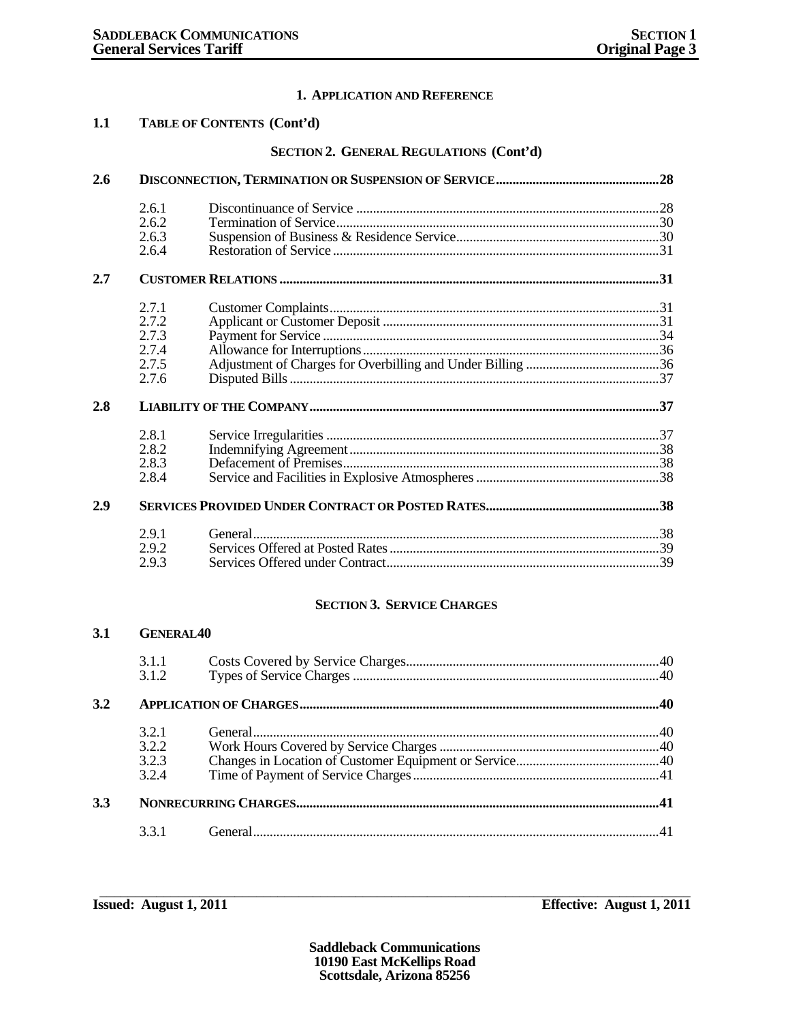#### $1.1$ **TABLE OF CONTENTS (Cont'd)**

#### **SECTION 2. GENERAL REGULATIONS (Cont'd)**

| 2.6 |       |  |
|-----|-------|--|
|     | 2.6.1 |  |
|     | 2.6.2 |  |
|     | 2.6.3 |  |
|     | 2.6.4 |  |
| 2.7 |       |  |
|     | 2.7.1 |  |
|     | 2.7.2 |  |
|     | 2.7.3 |  |
|     | 2.7.4 |  |
|     | 2.7.5 |  |
|     | 2.7.6 |  |
| 2.8 |       |  |
|     | 2.8.1 |  |
|     | 2.8.2 |  |
|     | 2.8.3 |  |
|     | 2.8.4 |  |
| 2.9 |       |  |
|     | 2.9.1 |  |
|     | 2.9.2 |  |
|     | 2.9.3 |  |

## **SECTION 3. SERVICE CHARGES**

#### $3.1$ **GENERAL40**  $3.1.1$  $3.1.2$  $3.2$  $3.2.1$  $3.2.2$  $3.2.3$ 3.2.4  $3.3$  $3.3.1$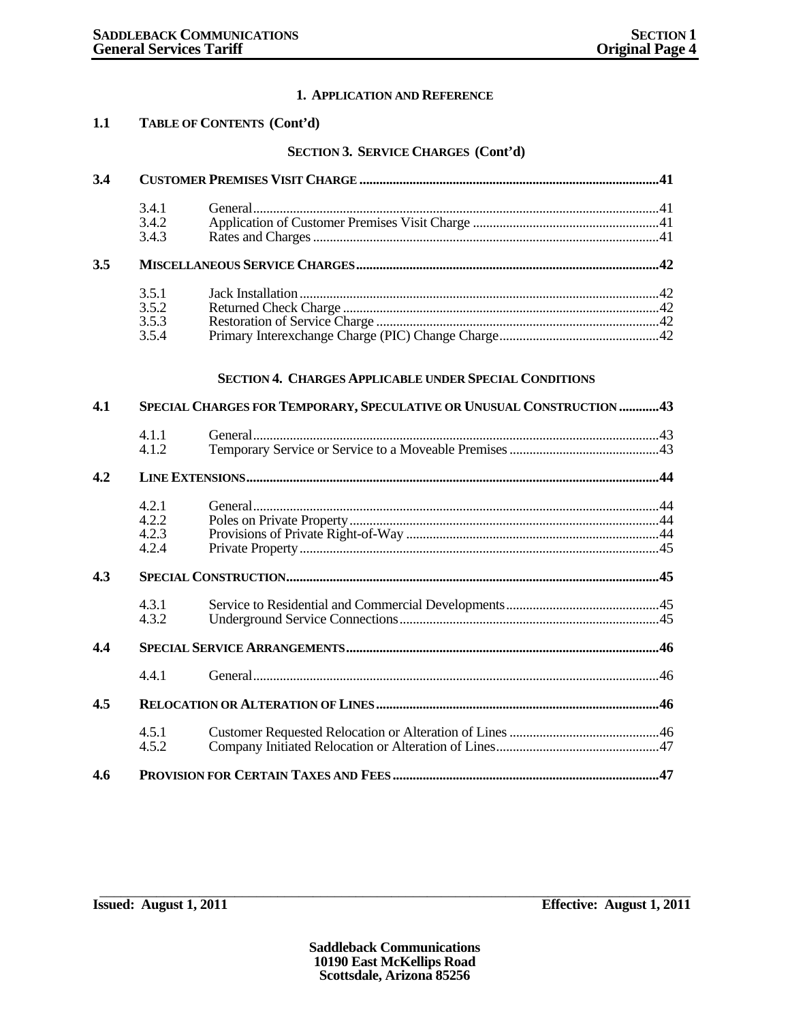# **1.1 TABLE OF CONTENTS (Cont'd)**

# **SECTION 3. SERVICE CHARGES (Cont'd)**

| 3.4 |                                  |                                                                       |  |  |
|-----|----------------------------------|-----------------------------------------------------------------------|--|--|
|     | 3.4.1<br>3.4.2<br>3.4.3          |                                                                       |  |  |
| 3.5 |                                  |                                                                       |  |  |
|     | 3.5.1<br>3.5.2<br>3.5.3<br>3.5.4 |                                                                       |  |  |
|     |                                  | <b>SECTION 4. CHARGES APPLICABLE UNDER SPECIAL CONDITIONS</b>         |  |  |
| 4.1 |                                  | SPECIAL CHARGES FOR TEMPORARY, SPECULATIVE OR UNUSUAL CONSTRUCTION 43 |  |  |
|     | 4.1.1<br>412                     |                                                                       |  |  |
| 4.2 |                                  |                                                                       |  |  |
|     | 4.2.1<br>4.2.2<br>4.2.3<br>4.2.4 |                                                                       |  |  |
| 4.3 |                                  |                                                                       |  |  |
|     | 4.3.1<br>4.3.2                   |                                                                       |  |  |
| 4.4 |                                  |                                                                       |  |  |
|     | 4.4.1                            |                                                                       |  |  |
| 4.5 |                                  |                                                                       |  |  |
|     | 4.5.1<br>4.5.2                   |                                                                       |  |  |
| 4.6 |                                  |                                                                       |  |  |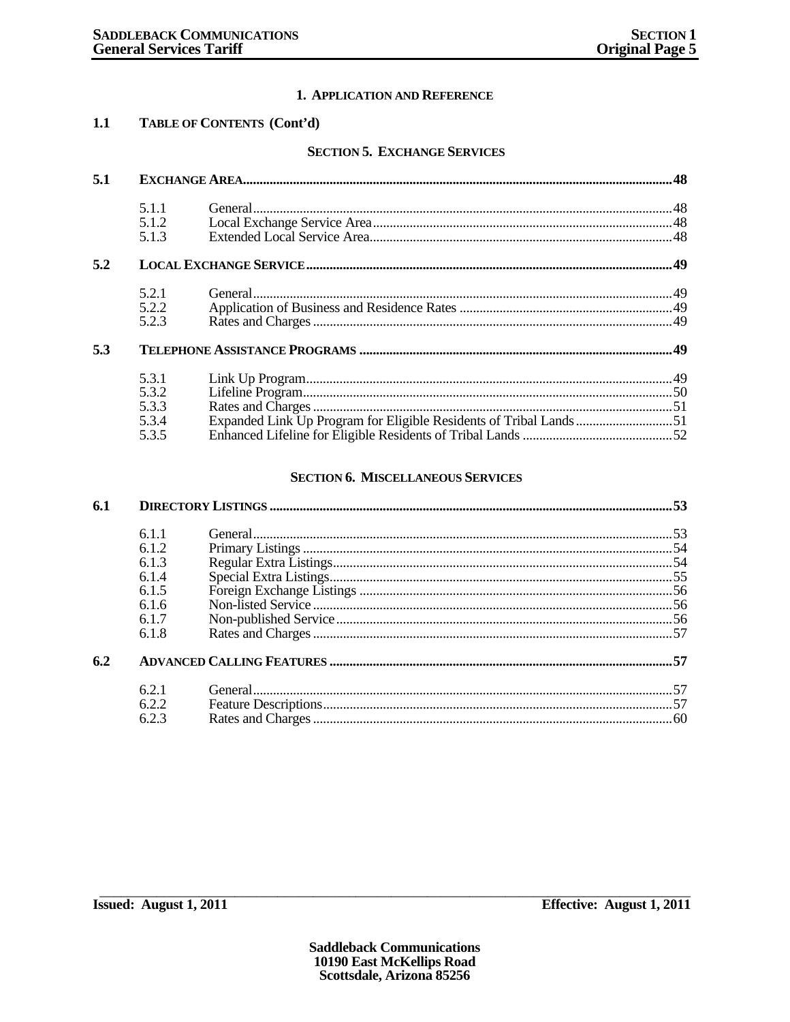#### $1.1$ TABLE OF CONTENTS (Cont'd)

## **SECTION 5. EXCHANGE SERVICES**

| 5.1 |       |  |  |
|-----|-------|--|--|
|     | 5.1.1 |  |  |
|     | 5.1.2 |  |  |
|     | 5.1.3 |  |  |
| 5.2 |       |  |  |
|     | 5.2.1 |  |  |
|     | 5.2.2 |  |  |
|     | 5.2.3 |  |  |
| 5.3 |       |  |  |
|     | 5.3.1 |  |  |
|     | 5.3.2 |  |  |
|     | 5.3.3 |  |  |
|     | 5.3.4 |  |  |
|     | 5.3.5 |  |  |

# **SECTION 6. MISCELLANEOUS SERVICES**

| 6.1 |       |  |
|-----|-------|--|
|     | 6.1.1 |  |
|     | 6.1.2 |  |
|     | 613   |  |
|     | 614   |  |
|     | 6.1.5 |  |
|     | 616   |  |
|     | 6.1.7 |  |
|     | 6.1.8 |  |
| 6.2 |       |  |
|     | 6.2.1 |  |
|     | 622   |  |
|     | 623   |  |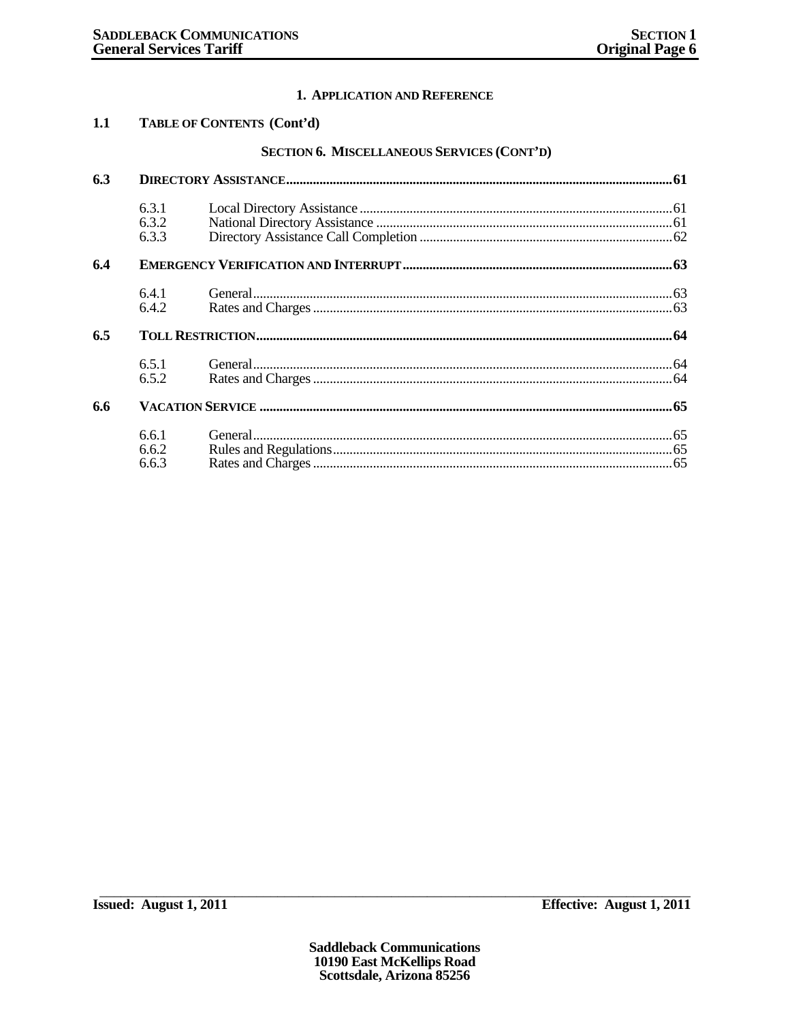#### $1.1$ TABLE OF CONTENTS (Cont'd)

## **SECTION 6. MISCELLANEOUS SERVICES (CONT'D)**

| 6.3 |                |  |  |
|-----|----------------|--|--|
|     | 6.3.1<br>6.3.2 |  |  |
|     | 6.3.3          |  |  |
| 6.4 |                |  |  |
|     | 6.4.1          |  |  |
|     | 6.4.2          |  |  |
| 6.5 |                |  |  |
|     | 6.5.1          |  |  |
|     | 6.5.2          |  |  |
| 6.6 |                |  |  |
|     | 6.6.1          |  |  |
|     | 6.6.2          |  |  |
|     | 6.6.3          |  |  |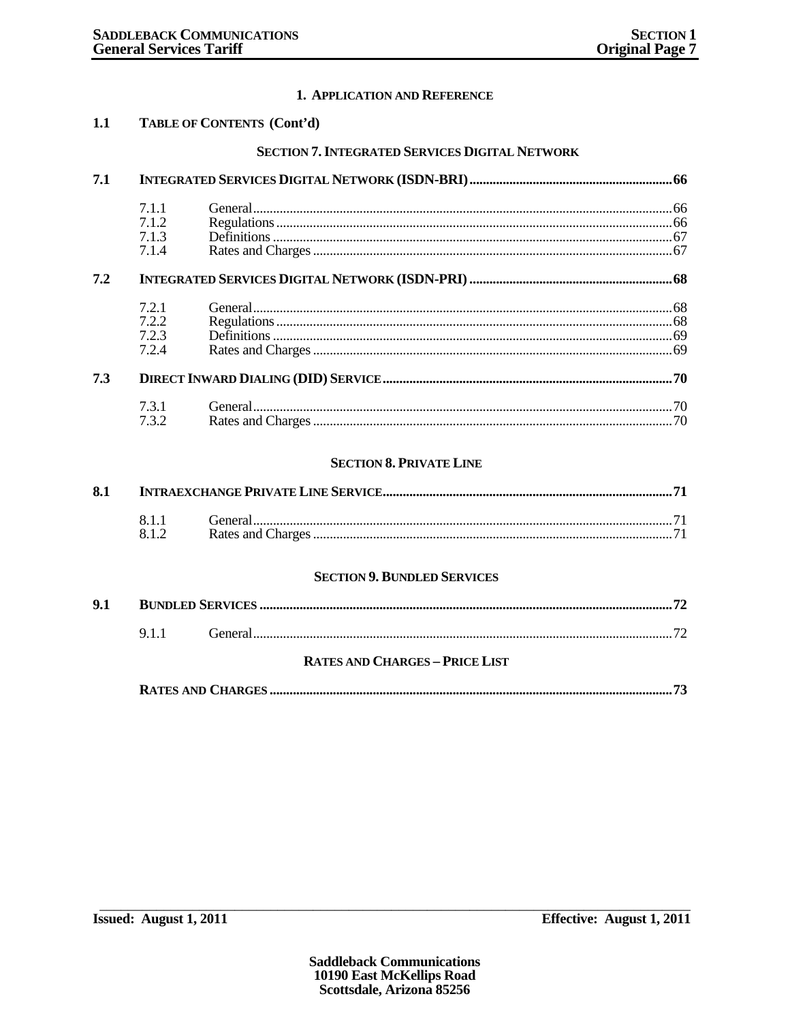#### $1.1$ TABLE OF CONTENTS (Cont'd)

## **SECTION 7. INTEGRATED SERVICES DIGITAL NETWORK**

| 7.1 |       |  |
|-----|-------|--|
|     | 7.1.1 |  |
|     | 7.1.2 |  |
|     | 7.1.3 |  |
|     | 7.1.4 |  |
| 7.2 |       |  |
|     | 7.2.1 |  |
|     | 722   |  |
|     | 723   |  |
|     | 7.2.4 |  |
| 7.3 |       |  |
|     | 7.3.1 |  |
|     | 7.3.2 |  |

#### **SECTION 8. PRIVATE LINE**

| 8.1 |     |  |  |  |
|-----|-----|--|--|--|
|     | 811 |  |  |  |
|     | 812 |  |  |  |

#### **SECTION 9. BUNDLED SERVICES**

| 9.1 |  |  |  |
|-----|--|--|--|
|     |  |  |  |

# **RATES AND CHARGES - PRICE LIST**

|--|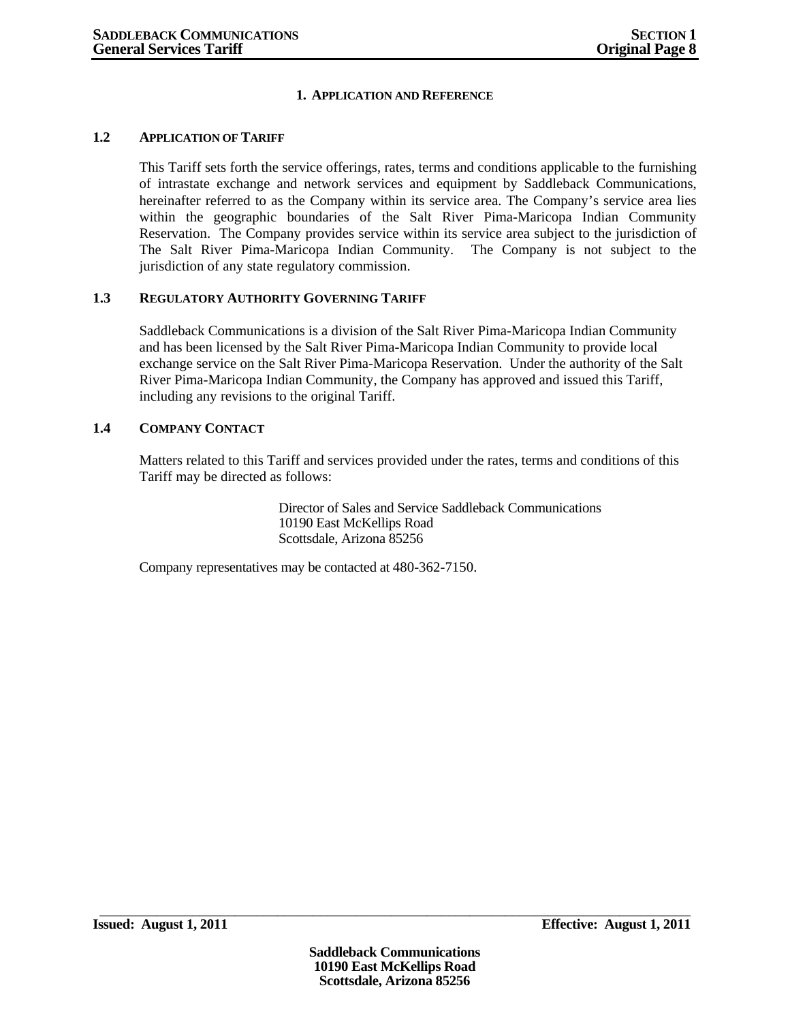# **1.2 APPLICATION OF TARIFF**

This Tariff sets forth the service offerings, rates, terms and conditions applicable to the furnishing of intrastate exchange and network services and equipment by Saddleback Communications, hereinafter referred to as the Company within its service area. The Company's service area lies within the geographic boundaries of the Salt River Pima-Maricopa Indian Community Reservation. The Company provides service within its service area subject to the jurisdiction of The Salt River Pima-Maricopa Indian Community. The Company is not subject to the jurisdiction of any state regulatory commission.

# **1.3 REGULATORY AUTHORITY GOVERNING TARIFF**

Saddleback Communications is a division of the Salt River Pima-Maricopa Indian Community and has been licensed by the Salt River Pima-Maricopa Indian Community to provide local exchange service on the Salt River Pima-Maricopa Reservation. Under the authority of the Salt River Pima-Maricopa Indian Community, the Company has approved and issued this Tariff, including any revisions to the original Tariff.

# **1.4 COMPANY CONTACT**

Matters related to this Tariff and services provided under the rates, terms and conditions of this Tariff may be directed as follows:

> Director of Sales and Service Saddleback Communications 10190 East McKellips Road Scottsdale, Arizona 85256

Company representatives may be contacted at 480-362-7150.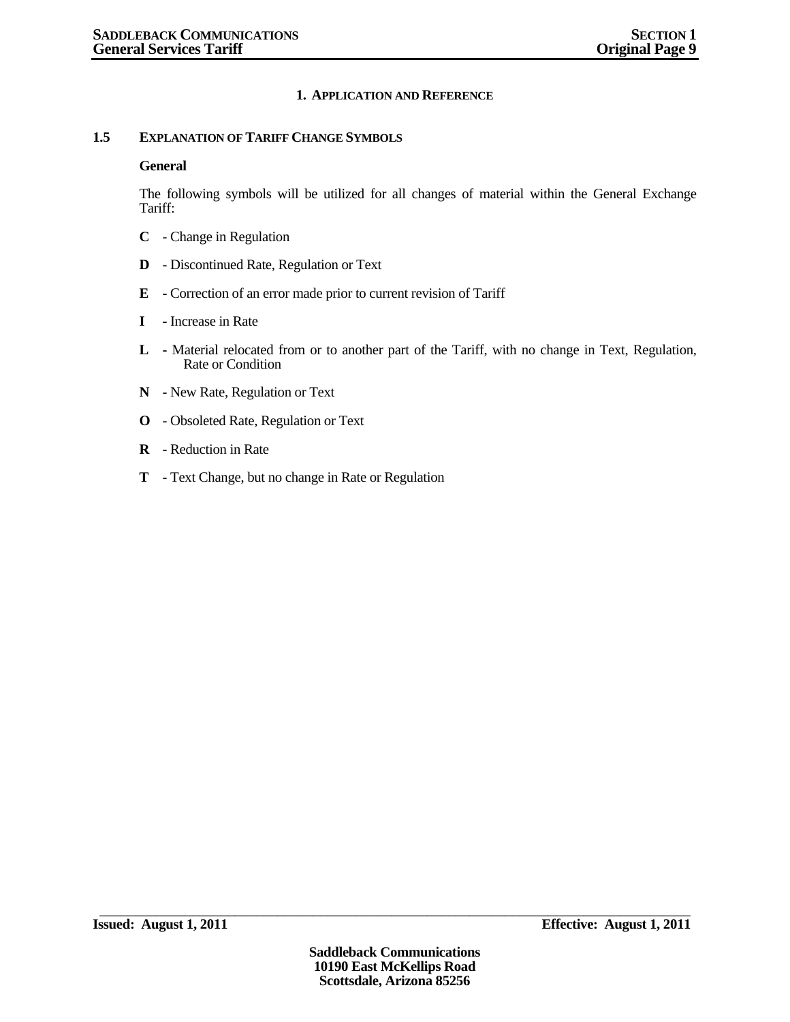## **1.5 EXPLANATION OF TARIFF CHANGE SYMBOLS**

#### **General**

 The following symbols will be utilized for all changes of material within the General Exchange Tariff:

- **C** Change in Regulation
- **D** Discontinued Rate, Regulation or Text
- **E -** Correction of an error made prior to current revision of Tariff
- **I -** Increase in Rate
- **L** Material relocated from or to another part of the Tariff, with no change in Text, Regulation, Rate or Condition
- **N** New Rate, Regulation or Text
- **O** Obsoleted Rate, Regulation or Text
- **R** Reduction in Rate
- **T** Text Change, but no change in Rate or Regulation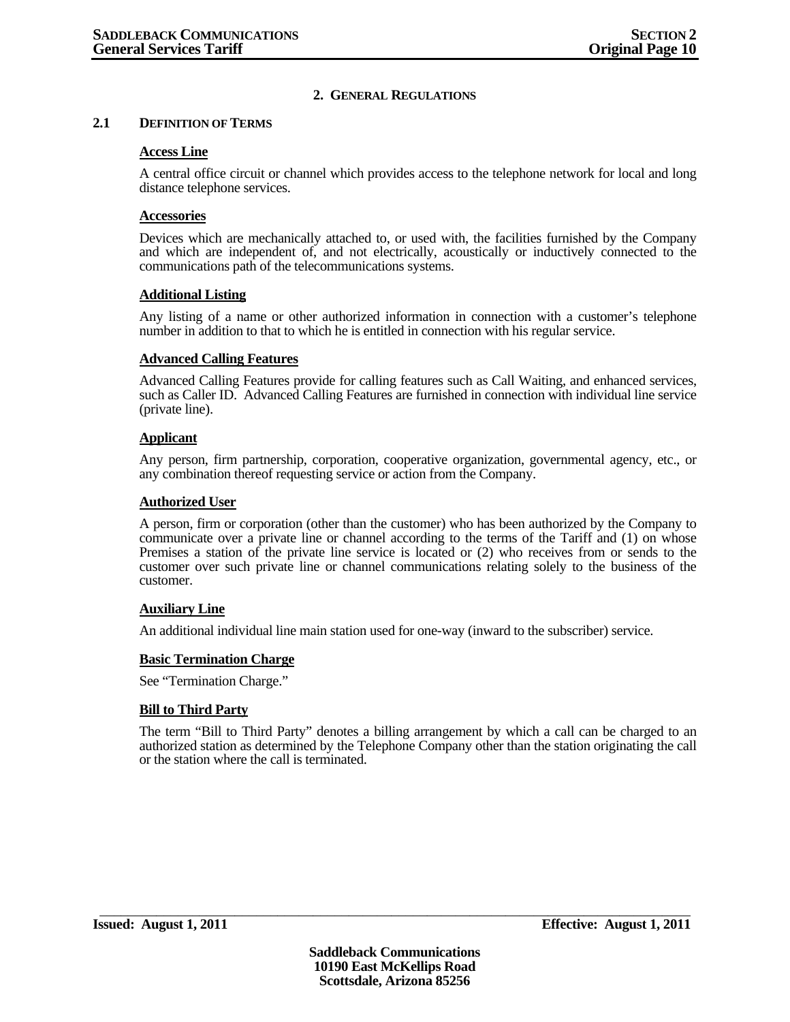#### **2.1 DEFINITION OF TERMS**

#### **Access Line**

A central office circuit or channel which provides access to the telephone network for local and long distance telephone services.

#### **Accessories**

Devices which are mechanically attached to, or used with, the facilities furnished by the Company and which are independent of, and not electrically, acoustically or inductively connected to the communications path of the telecommunications systems.

## **Additional Listing**

Any listing of a name or other authorized information in connection with a customer's telephone number in addition to that to which he is entitled in connection with his regular service.

## **Advanced Calling Features**

Advanced Calling Features provide for calling features such as Call Waiting, and enhanced services, such as Caller ID. Advanced Calling Features are furnished in connection with individual line service (private line).

#### **Applicant**

Any person, firm partnership, corporation, cooperative organization, governmental agency, etc., or any combination thereof requesting service or action from the Company.

#### **Authorized User**

A person, firm or corporation (other than the customer) who has been authorized by the Company to communicate over a private line or channel according to the terms of the Tariff and (1) on whose Premises a station of the private line service is located or (2) who receives from or sends to the customer over such private line or channel communications relating solely to the business of the customer.

## **Auxiliary Line**

An additional individual line main station used for one-way (inward to the subscriber) service.

#### **Basic Termination Charge**

See "Termination Charge."

## **Bill to Third Party**

The term "Bill to Third Party" denotes a billing arrangement by which a call can be charged to an authorized station as determined by the Telephone Company other than the station originating the call or the station where the call is terminated.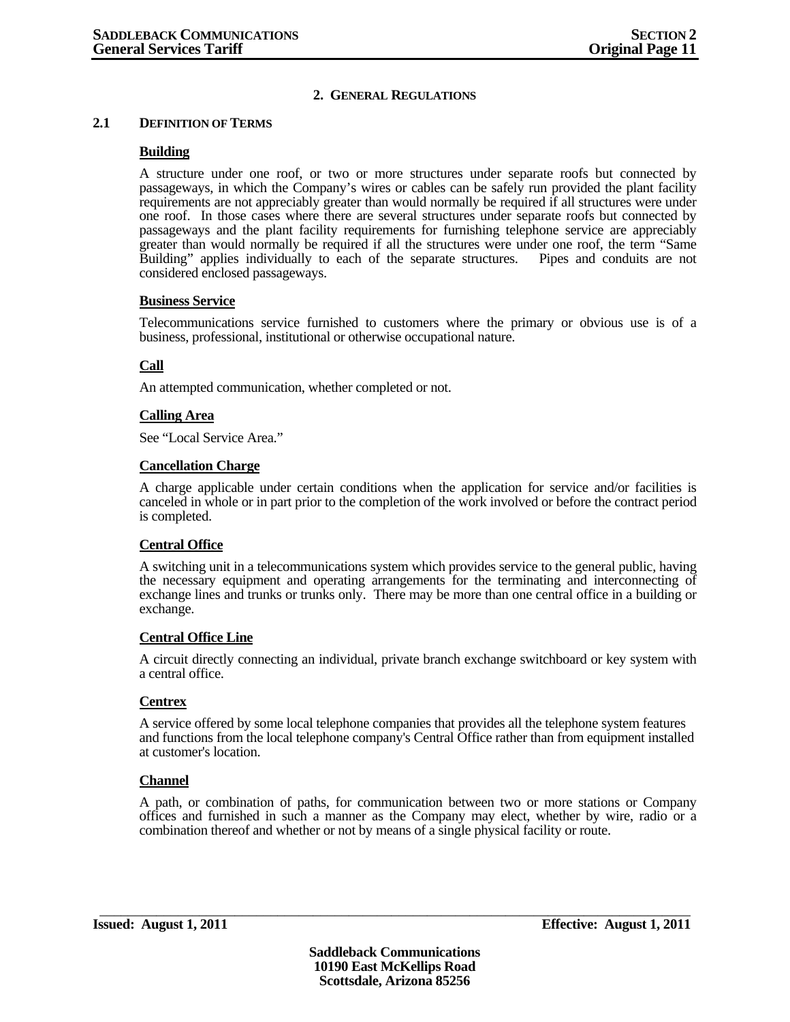#### **2.1 DEFINITION OF TERMS**

#### **Building**

A structure under one roof, or two or more structures under separate roofs but connected by passageways, in which the Company's wires or cables can be safely run provided the plant facility requirements are not appreciably greater than would normally be required if all structures were under one roof. In those cases where there are several structures under separate roofs but connected by passageways and the plant facility requirements for furnishing telephone service are appreciably greater than would normally be required if all the structures were under one roof, the term "Same Building" applies individually to each of the separate structures. Pipes and conduits are not considered enclosed passageways.

#### **Business Service**

Telecommunications service furnished to customers where the primary or obvious use is of a business, professional, institutional or otherwise occupational nature.

## **Call**

An attempted communication, whether completed or not.

## **Calling Area**

See "Local Service Area."

## **Cancellation Charge**

A charge applicable under certain conditions when the application for service and/or facilities is canceled in whole or in part prior to the completion of the work involved or before the contract period is completed.

## **Central Office**

A switching unit in a telecommunications system which provides service to the general public, having the necessary equipment and operating arrangements for the terminating and interconnecting of exchange lines and trunks or trunks only. There may be more than one central office in a building or exchange.

## **Central Office Line**

A circuit directly connecting an individual, private branch exchange switchboard or key system with a central office.

## **Centrex**

A service offered by some local telephone companies that provides all the telephone system features and functions from the local telephone company's Central Office rather than from equipment installed at customer's location.

## **Channel**

A path, or combination of paths, for communication between two or more stations or Company offices and furnished in such a manner as the Company may elect, whether by wire, radio or a combination thereof and whether or not by means of a single physical facility or route.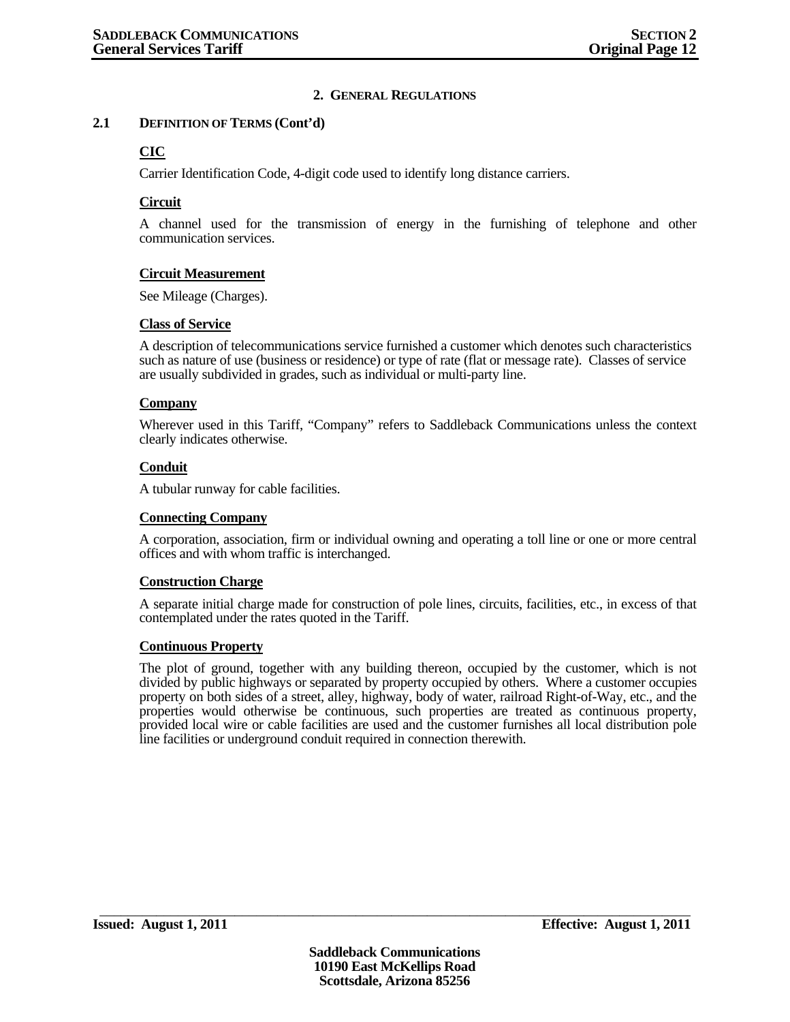# **2.1 DEFINITION OF TERMS (Cont'd)**

# **CIC**

Carrier Identification Code, 4-digit code used to identify long distance carriers.

# **Circuit**

A channel used for the transmission of energy in the furnishing of telephone and other communication services.

# **Circuit Measurement**

See Mileage (Charges).

## **Class of Service**

A description of telecommunications service furnished a customer which denotes such characteristics such as nature of use (business or residence) or type of rate (flat or message rate). Classes of service are usually subdivided in grades, such as individual or multi-party line.

# **Company**

Wherever used in this Tariff, "Company" refers to Saddleback Communications unless the context clearly indicates otherwise.

# **Conduit**

A tubular runway for cable facilities.

## **Connecting Company**

A corporation, association, firm or individual owning and operating a toll line or one or more central offices and with whom traffic is interchanged.

# **Construction Charge**

A separate initial charge made for construction of pole lines, circuits, facilities, etc., in excess of that contemplated under the rates quoted in the Tariff.

## **Continuous Property**

The plot of ground, together with any building thereon, occupied by the customer, which is not divided by public highways or separated by property occupied by others. Where a customer occupies property on both sides of a street, alley, highway, body of water, railroad Right-of-Way, etc., and the properties would otherwise be continuous, such properties are treated as continuous property, provided local wire or cable facilities are used and the customer furnishes all local distribution pole line facilities or underground conduit required in connection therewith.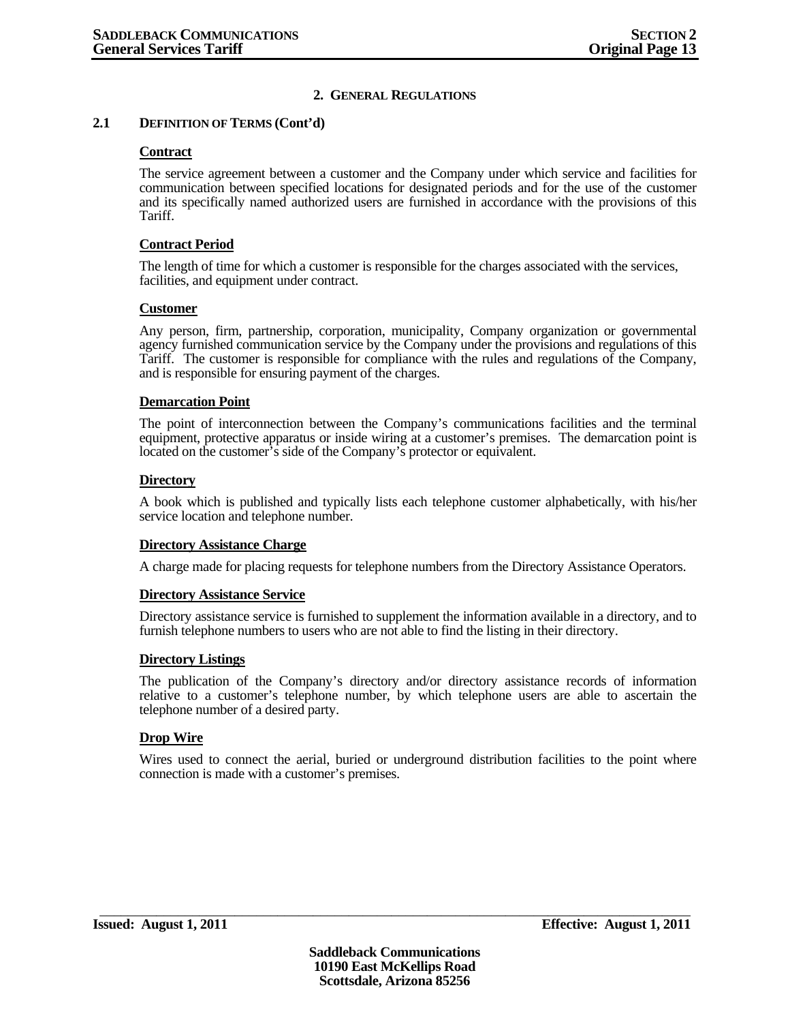## **2.1 DEFINITION OF TERMS (Cont'd)**

## **Contract**

The service agreement between a customer and the Company under which service and facilities for communication between specified locations for designated periods and for the use of the customer and its specifically named authorized users are furnished in accordance with the provisions of this Tariff.

# **Contract Period**

The length of time for which a customer is responsible for the charges associated with the services, facilities, and equipment under contract.

# **Customer**

Any person, firm, partnership, corporation, municipality, Company organization or governmental agency furnished communication service by the Company under the provisions and regulations of this Tariff. The customer is responsible for compliance with the rules and regulations of the Company, and is responsible for ensuring payment of the charges.

# **Demarcation Point**

The point of interconnection between the Company's communications facilities and the terminal equipment, protective apparatus or inside wiring at a customer's premises. The demarcation point is located on the customer's side of the Company's protector or equivalent.

## **Directory**

A book which is published and typically lists each telephone customer alphabetically, with his/her service location and telephone number.

## **Directory Assistance Charge**

A charge made for placing requests for telephone numbers from the Directory Assistance Operators.

## **Directory Assistance Service**

Directory assistance service is furnished to supplement the information available in a directory, and to furnish telephone numbers to users who are not able to find the listing in their directory.

# **Directory Listings**

The publication of the Company's directory and/or directory assistance records of information relative to a customer's telephone number, by which telephone users are able to ascertain the telephone number of a desired party.

## **Drop Wire**

Wires used to connect the aerial, buried or underground distribution facilities to the point where connection is made with a customer's premises.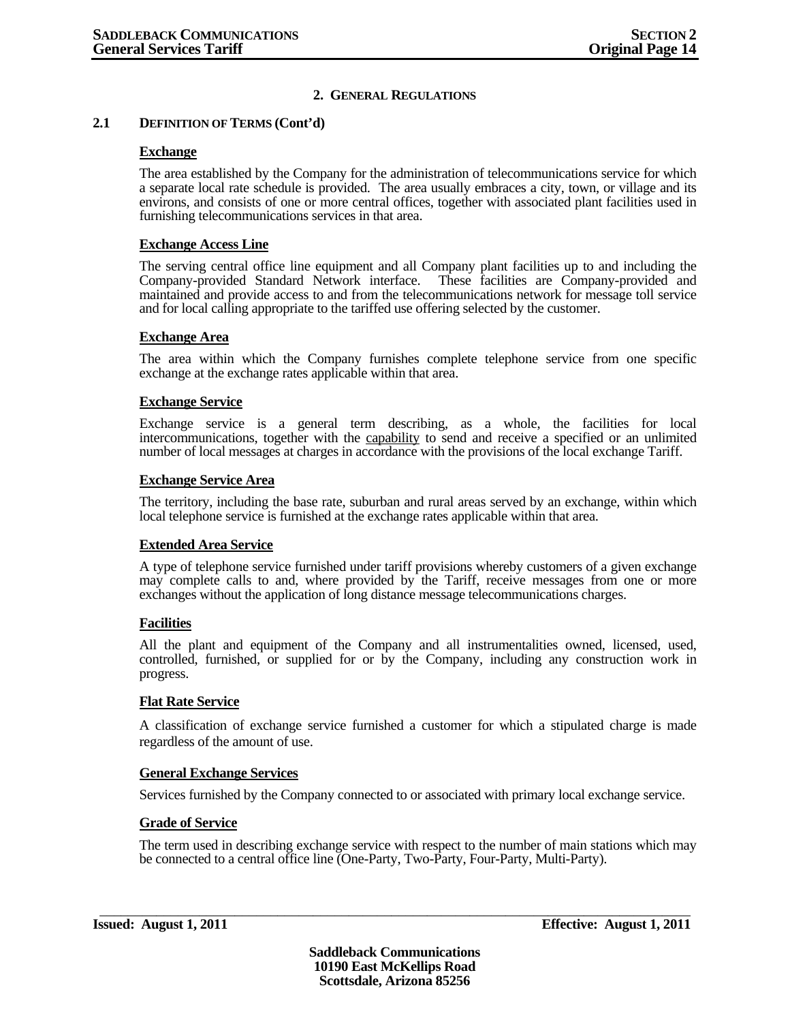# **2.1 DEFINITION OF TERMS (Cont'd)**

## **Exchange**

The area established by the Company for the administration of telecommunications service for which a separate local rate schedule is provided. The area usually embraces a city, town, or village and its environs, and consists of one or more central offices, together with associated plant facilities used in furnishing telecommunications services in that area.

## **Exchange Access Line**

The serving central office line equipment and all Company plant facilities up to and including the Company-provided Standard Network interface. These facilities are Company-provided and maintained and provide access to and from the telecommunications network for message toll service and for local calling appropriate to the tariffed use offering selected by the customer.

# **Exchange Area**

The area within which the Company furnishes complete telephone service from one specific exchange at the exchange rates applicable within that area.

# **Exchange Service**

Exchange service is a general term describing, as a whole, the facilities for local intercommunications, together with the capability to send and receive a specified or an unlimited number of local messages at charges in accordance with the provisions of the local exchange Tariff.

## **Exchange Service Area**

The territory, including the base rate, suburban and rural areas served by an exchange, within which local telephone service is furnished at the exchange rates applicable within that area.

## **Extended Area Service**

A type of telephone service furnished under tariff provisions whereby customers of a given exchange may complete calls to and, where provided by the Tariff, receive messages from one or more exchanges without the application of long distance message telecommunications charges.

## **Facilities**

All the plant and equipment of the Company and all instrumentalities owned, licensed, used, controlled, furnished, or supplied for or by the Company, including any construction work in progress.

## **Flat Rate Service**

A classification of exchange service furnished a customer for which a stipulated charge is made regardless of the amount of use.

## **General Exchange Services**

Services furnished by the Company connected to or associated with primary local exchange service.

# **Grade of Service**

The term used in describing exchange service with respect to the number of main stations which may be connected to a central office line (One-Party, Two-Party, Four-Party, Multi-Party).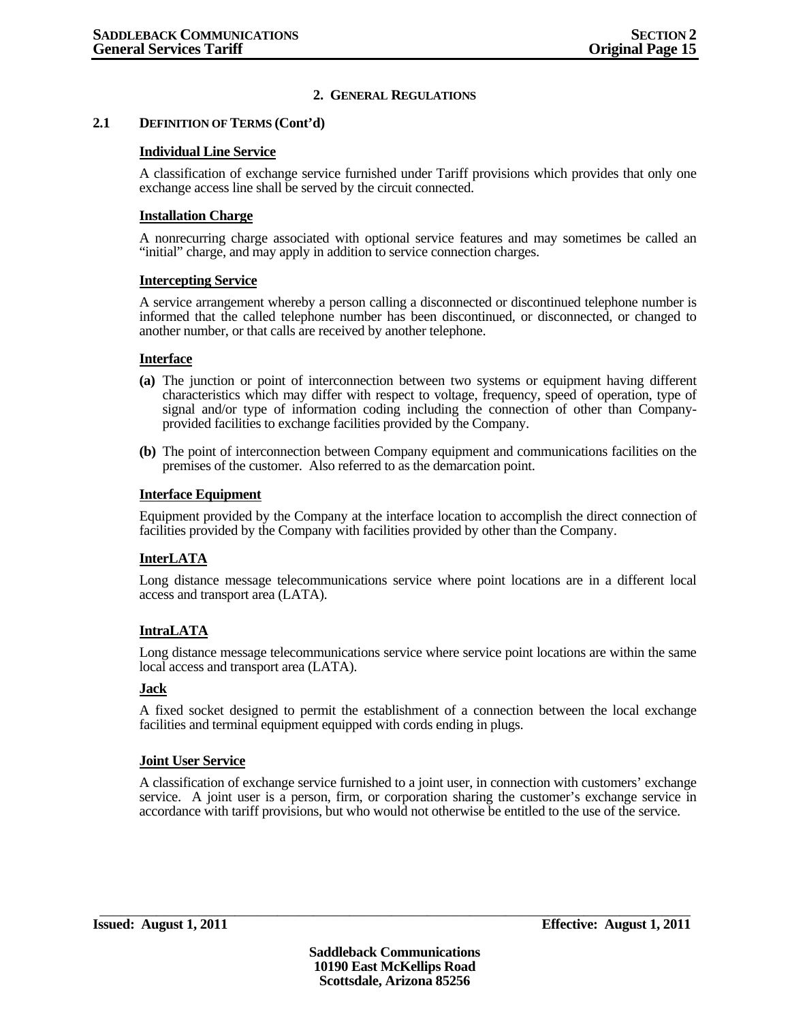## **2.1 DEFINITION OF TERMS (Cont'd)**

## **Individual Line Service**

A classification of exchange service furnished under Tariff provisions which provides that only one exchange access line shall be served by the circuit connected.

## **Installation Charge**

A nonrecurring charge associated with optional service features and may sometimes be called an "initial" charge, and may apply in addition to service connection charges.

## **Intercepting Service**

A service arrangement whereby a person calling a disconnected or discontinued telephone number is informed that the called telephone number has been discontinued, or disconnected, or changed to another number, or that calls are received by another telephone.

# **Interface**

- **(a)** The junction or point of interconnection between two systems or equipment having different characteristics which may differ with respect to voltage, frequency, speed of operation, type of signal and/or type of information coding including the connection of other than Companyprovided facilities to exchange facilities provided by the Company.
- **(b)** The point of interconnection between Company equipment and communications facilities on the premises of the customer. Also referred to as the demarcation point.

## **Interface Equipment**

Equipment provided by the Company at the interface location to accomplish the direct connection of facilities provided by the Company with facilities provided by other than the Company.

# **InterLATA**

Long distance message telecommunications service where point locations are in a different local access and transport area (LATA).

# **IntraLATA**

Long distance message telecommunications service where service point locations are within the same local access and transport area (LATA).

## **Jack**

A fixed socket designed to permit the establishment of a connection between the local exchange facilities and terminal equipment equipped with cords ending in plugs.

## **Joint User Service**

A classification of exchange service furnished to a joint user, in connection with customers' exchange service. A joint user is a person, firm, or corporation sharing the customer's exchange service in accordance with tariff provisions, but who would not otherwise be entitled to the use of the service.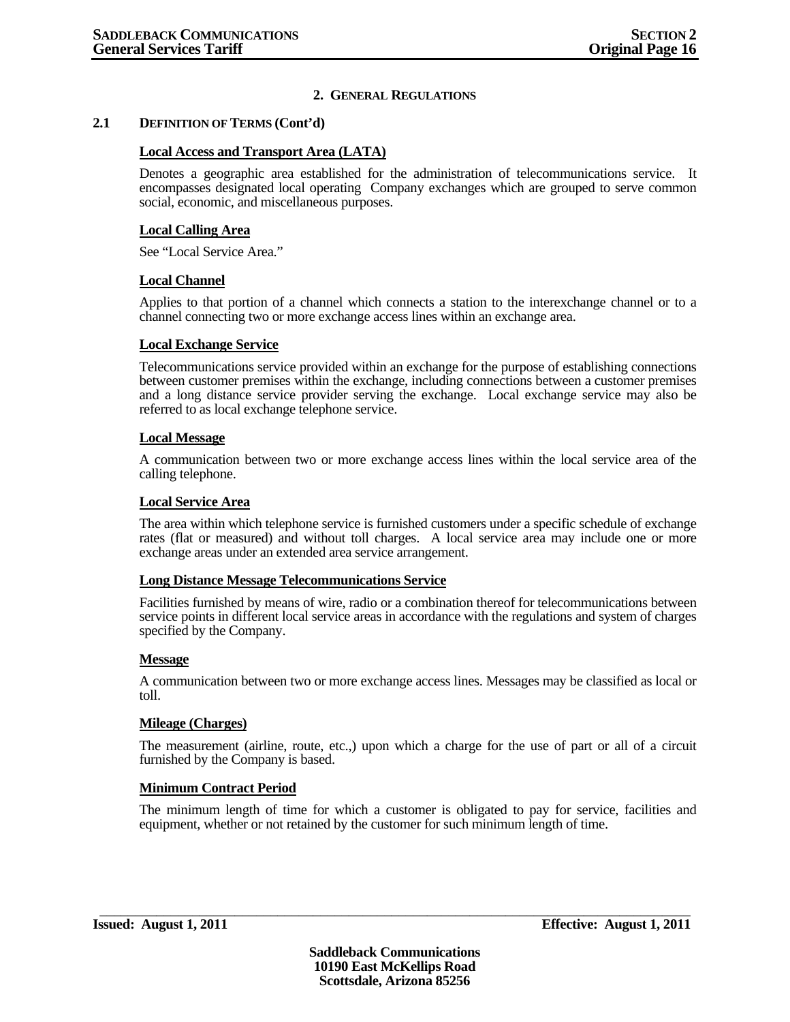#### **2.1 DEFINITION OF TERMS (Cont'd)**

#### **Local Access and Transport Area (LATA)**

Denotes a geographic area established for the administration of telecommunications service. It encompasses designated local operating Company exchanges which are grouped to serve common social, economic, and miscellaneous purposes.

## **Local Calling Area**

See "Local Service Area."

## **Local Channel**

Applies to that portion of a channel which connects a station to the interexchange channel or to a channel connecting two or more exchange access lines within an exchange area.

#### **Local Exchange Service**

Telecommunications service provided within an exchange for the purpose of establishing connections between customer premises within the exchange, including connections between a customer premises and a long distance service provider serving the exchange. Local exchange service may also be referred to as local exchange telephone service.

#### **Local Message**

A communication between two or more exchange access lines within the local service area of the calling telephone.

#### **Local Service Area**

The area within which telephone service is furnished customers under a specific schedule of exchange rates (flat or measured) and without toll charges. A local service area may include one or more exchange areas under an extended area service arrangement.

#### **Long Distance Message Telecommunications Service**

Facilities furnished by means of wire, radio or a combination thereof for telecommunications between service points in different local service areas in accordance with the regulations and system of charges specified by the Company.

#### **Message**

A communication between two or more exchange access lines. Messages may be classified as local or toll.

## **Mileage (Charges)**

The measurement (airline, route, etc.,) upon which a charge for the use of part or all of a circuit furnished by the Company is based.

## **Minimum Contract Period**

The minimum length of time for which a customer is obligated to pay for service, facilities and equipment, whether or not retained by the customer for such minimum length of time.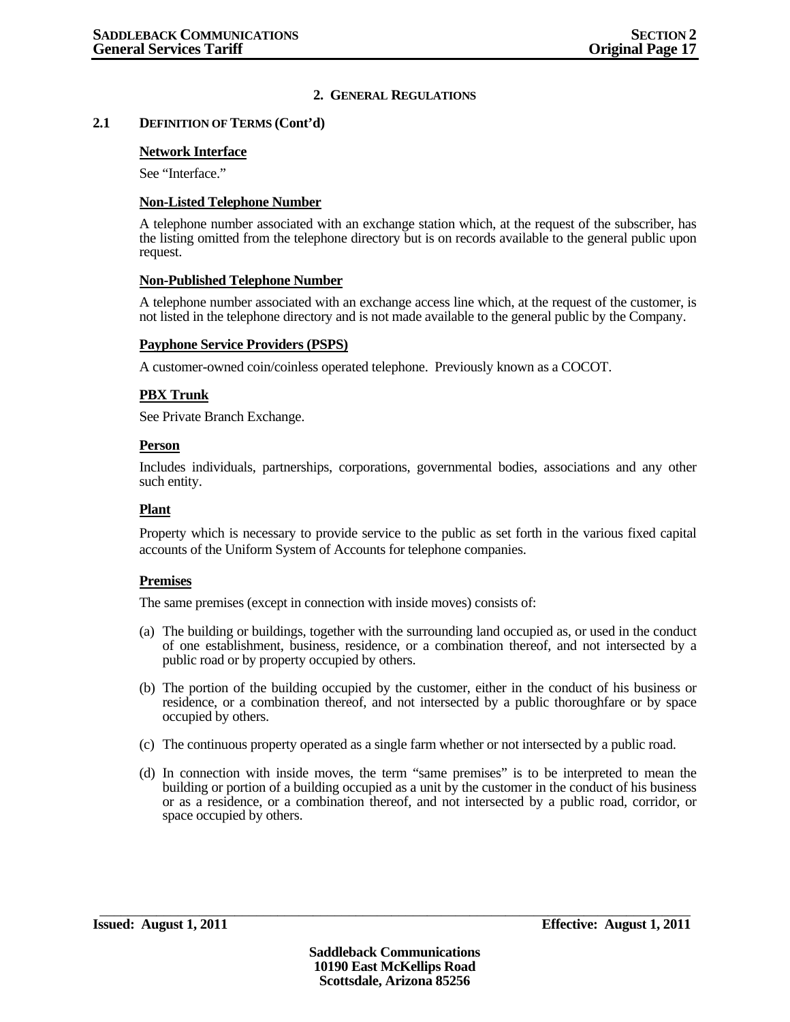#### **2.1 DEFINITION OF TERMS (Cont'd)**

#### **Network Interface**

See "Interface."

## **Non-Listed Telephone Number**

A telephone number associated with an exchange station which, at the request of the subscriber, has the listing omitted from the telephone directory but is on records available to the general public upon request.

## **Non-Published Telephone Number**

A telephone number associated with an exchange access line which, at the request of the customer, is not listed in the telephone directory and is not made available to the general public by the Company.

# **Payphone Service Providers (PSPS)**

A customer-owned coin/coinless operated telephone. Previously known as a COCOT.

# **PBX Trunk**

See Private Branch Exchange.

## **Person**

Includes individuals, partnerships, corporations, governmental bodies, associations and any other such entity.

## **Plant**

Property which is necessary to provide service to the public as set forth in the various fixed capital accounts of the Uniform System of Accounts for telephone companies.

## **Premises**

The same premises (except in connection with inside moves) consists of:

- (a) The building or buildings, together with the surrounding land occupied as, or used in the conduct of one establishment, business, residence, or a combination thereof, and not intersected by a public road or by property occupied by others.
- (b) The portion of the building occupied by the customer, either in the conduct of his business or residence, or a combination thereof, and not intersected by a public thoroughfare or by space occupied by others.
- (c) The continuous property operated as a single farm whether or not intersected by a public road.
- (d) In connection with inside moves, the term "same premises" is to be interpreted to mean the building or portion of a building occupied as a unit by the customer in the conduct of his business or as a residence, or a combination thereof, and not intersected by a public road, corridor, or space occupied by others.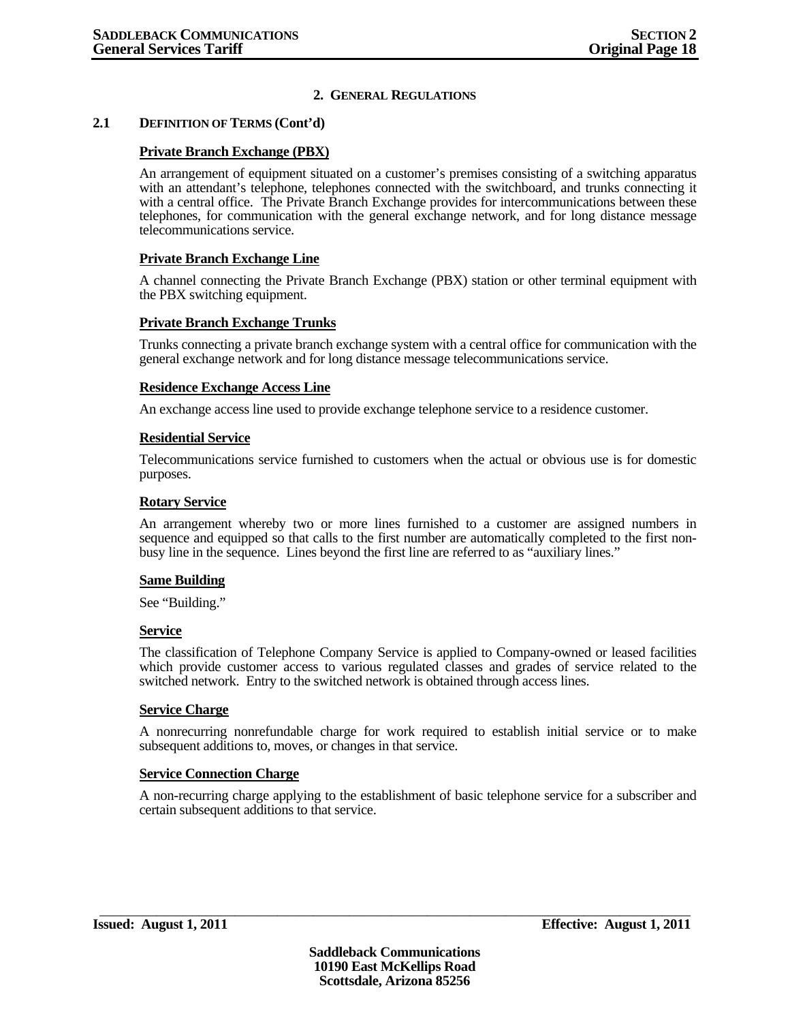## **2.1 DEFINITION OF TERMS (Cont'd)**

## **Private Branch Exchange (PBX)**

An arrangement of equipment situated on a customer's premises consisting of a switching apparatus with an attendant's telephone, telephones connected with the switchboard, and trunks connecting it with a central office. The Private Branch Exchange provides for intercommunications between these telephones, for communication with the general exchange network, and for long distance message telecommunications service.

## **Private Branch Exchange Line**

A channel connecting the Private Branch Exchange (PBX) station or other terminal equipment with the PBX switching equipment.

# **Private Branch Exchange Trunks**

Trunks connecting a private branch exchange system with a central office for communication with the general exchange network and for long distance message telecommunications service.

## **Residence Exchange Access Line**

An exchange access line used to provide exchange telephone service to a residence customer.

## **Residential Service**

Telecommunications service furnished to customers when the actual or obvious use is for domestic purposes.

## **Rotary Service**

An arrangement whereby two or more lines furnished to a customer are assigned numbers in sequence and equipped so that calls to the first number are automatically completed to the first nonbusy line in the sequence. Lines beyond the first line are referred to as "auxiliary lines."

## **Same Building**

See "Building."

## **Service**

The classification of Telephone Company Service is applied to Company-owned or leased facilities which provide customer access to various regulated classes and grades of service related to the switched network. Entry to the switched network is obtained through access lines.

## **Service Charge**

A nonrecurring nonrefundable charge for work required to establish initial service or to make subsequent additions to, moves, or changes in that service.

## **Service Connection Charge**

A non-recurring charge applying to the establishment of basic telephone service for a subscriber and certain subsequent additions to that service.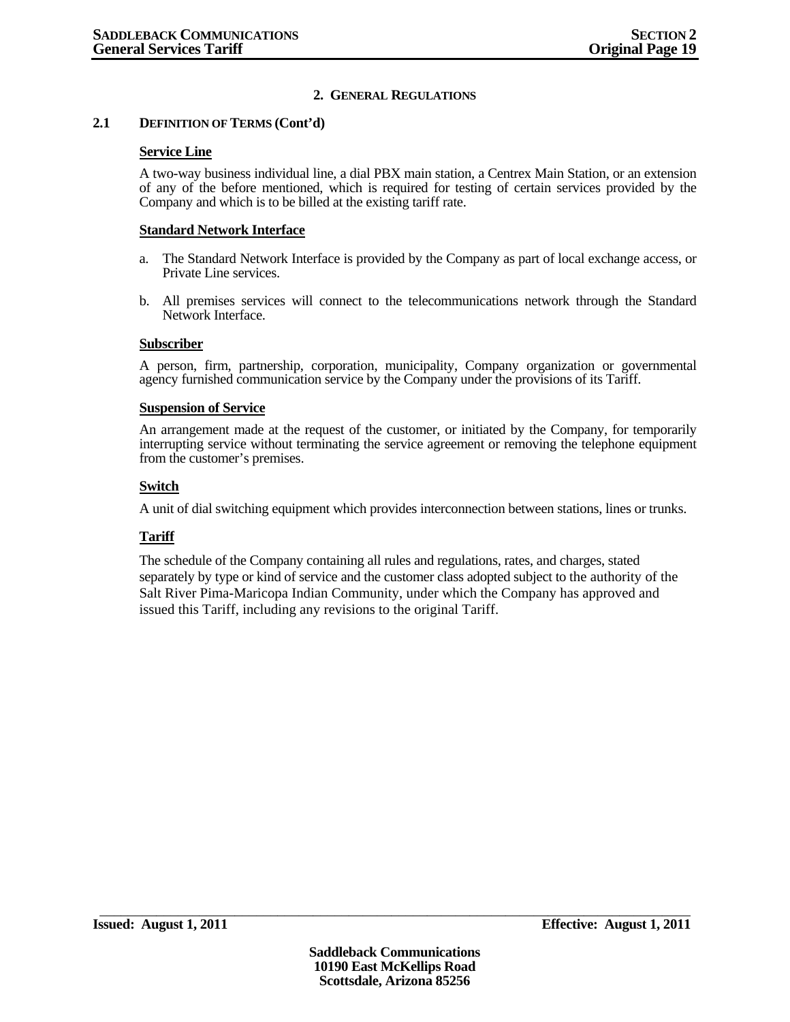# **2.1 DEFINITION OF TERMS (Cont'd)**

## **Service Line**

A two-way business individual line, a dial PBX main station, a Centrex Main Station, or an extension of any of the before mentioned, which is required for testing of certain services provided by the Company and which is to be billed at the existing tariff rate.

# **Standard Network Interface**

- a. The Standard Network Interface is provided by the Company as part of local exchange access, or Private Line services.
- b. All premises services will connect to the telecommunications network through the Standard Network Interface.

# **Subscriber**

A person, firm, partnership, corporation, municipality, Company organization or governmental agency furnished communication service by the Company under the provisions of its Tariff.

# **Suspension of Service**

An arrangement made at the request of the customer, or initiated by the Company, for temporarily interrupting service without terminating the service agreement or removing the telephone equipment from the customer's premises.

# **Switch**

A unit of dial switching equipment which provides interconnection between stations, lines or trunks.

# **Tariff**

The schedule of the Company containing all rules and regulations, rates, and charges, stated separately by type or kind of service and the customer class adopted subject to the authority of the Salt River Pima-Maricopa Indian Community, under which the Company has approved and issued this Tariff, including any revisions to the original Tariff.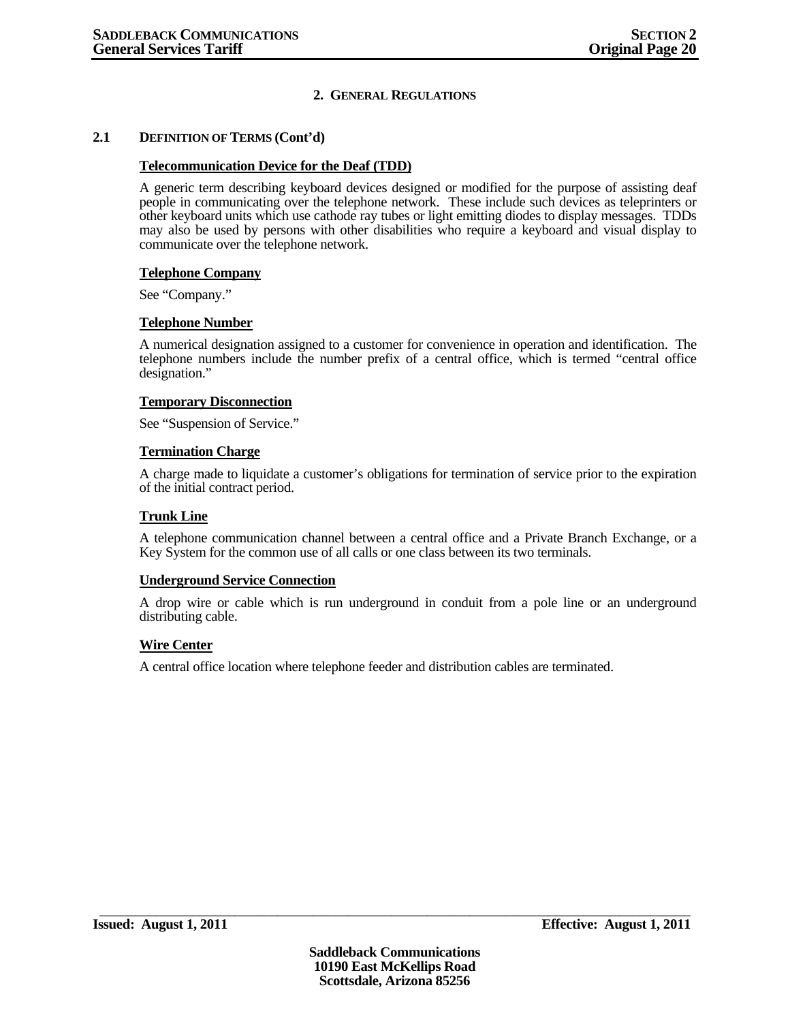# **2.1 DEFINITION OF TERMS (Cont'd)**

## **Telecommunication Device for the Deaf (TDD)**

A generic term describing keyboard devices designed or modified for the purpose of assisting deaf people in communicating over the telephone network. These include such devices as teleprinters or other keyboard units which use cathode ray tubes or light emitting diodes to display messages. TDDs may also be used by persons with other disabilities who require a keyboard and visual display to communicate over the telephone network.

## **Telephone Company**

See "Company."

# **Telephone Number**

A numerical designation assigned to a customer for convenience in operation and identification. The telephone numbers include the number prefix of a central office, which is termed "central office designation."

# **Temporary Disconnection**

See "Suspension of Service."

## **Termination Charge**

A charge made to liquidate a customer's obligations for termination of service prior to the expiration of the initial contract period.

## **Trunk Line**

A telephone communication channel between a central office and a Private Branch Exchange, or a Key System for the common use of all calls or one class between its two terminals.

## **Underground Service Connection**

A drop wire or cable which is run underground in conduit from a pole line or an underground distributing cable.

# **Wire Center**

A central office location where telephone feeder and distribution cables are terminated.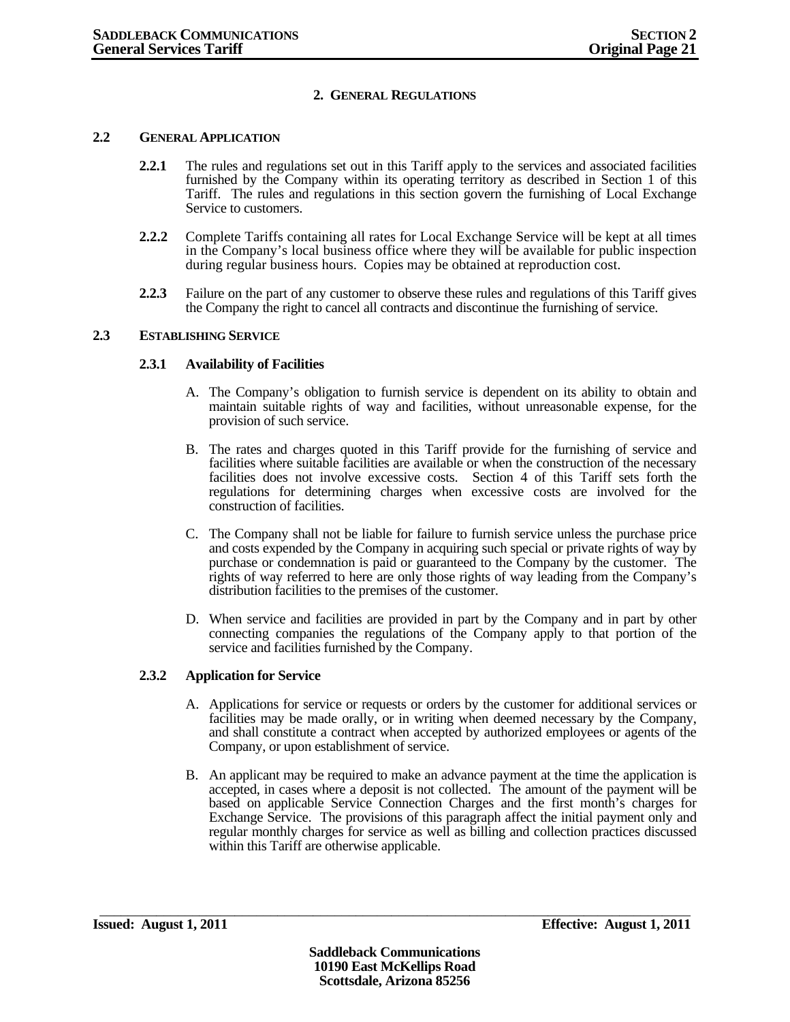## **2.2 GENERAL APPLICATION**

- **2.2.1** The rules and regulations set out in this Tariff apply to the services and associated facilities furnished by the Company within its operating territory as described in Section 1 of this Tariff. The rules and regulations in this section govern the furnishing of Local Exchange Service to customers.
- **2.2.2** Complete Tariffs containing all rates for Local Exchange Service will be kept at all times in the Company's local business office where they will be available for public inspection during regular business hours. Copies may be obtained at reproduction cost.
- **2.2.3** Failure on the part of any customer to observe these rules and regulations of this Tariff gives the Company the right to cancel all contracts and discontinue the furnishing of service.

## **2.3 ESTABLISHING SERVICE**

## **2.3.1 Availability of Facilities**

- A. The Company's obligation to furnish service is dependent on its ability to obtain and maintain suitable rights of way and facilities, without unreasonable expense, for the provision of such service.
- B. The rates and charges quoted in this Tariff provide for the furnishing of service and facilities where suitable facilities are available or when the construction of the necessary facilities does not involve excessive costs. Section 4 of this Tariff sets forth the regulations for determining charges when excessive costs are involved for the construction of facilities.
- C. The Company shall not be liable for failure to furnish service unless the purchase price and costs expended by the Company in acquiring such special or private rights of way by purchase or condemnation is paid or guaranteed to the Company by the customer. The rights of way referred to here are only those rights of way leading from the Company's distribution facilities to the premises of the customer.
- D. When service and facilities are provided in part by the Company and in part by other connecting companies the regulations of the Company apply to that portion of the service and facilities furnished by the Company.

## **2.3.2 Application for Service**

- A. Applications for service or requests or orders by the customer for additional services or facilities may be made orally, or in writing when deemed necessary by the Company, and shall constitute a contract when accepted by authorized employees or agents of the Company, or upon establishment of service.
- B. An applicant may be required to make an advance payment at the time the application is accepted, in cases where a deposit is not collected. The amount of the payment will be based on applicable Service Connection Charges and the first month's charges for Exchange Service. The provisions of this paragraph affect the initial payment only and regular monthly charges for service as well as billing and collection practices discussed within this Tariff are otherwise applicable.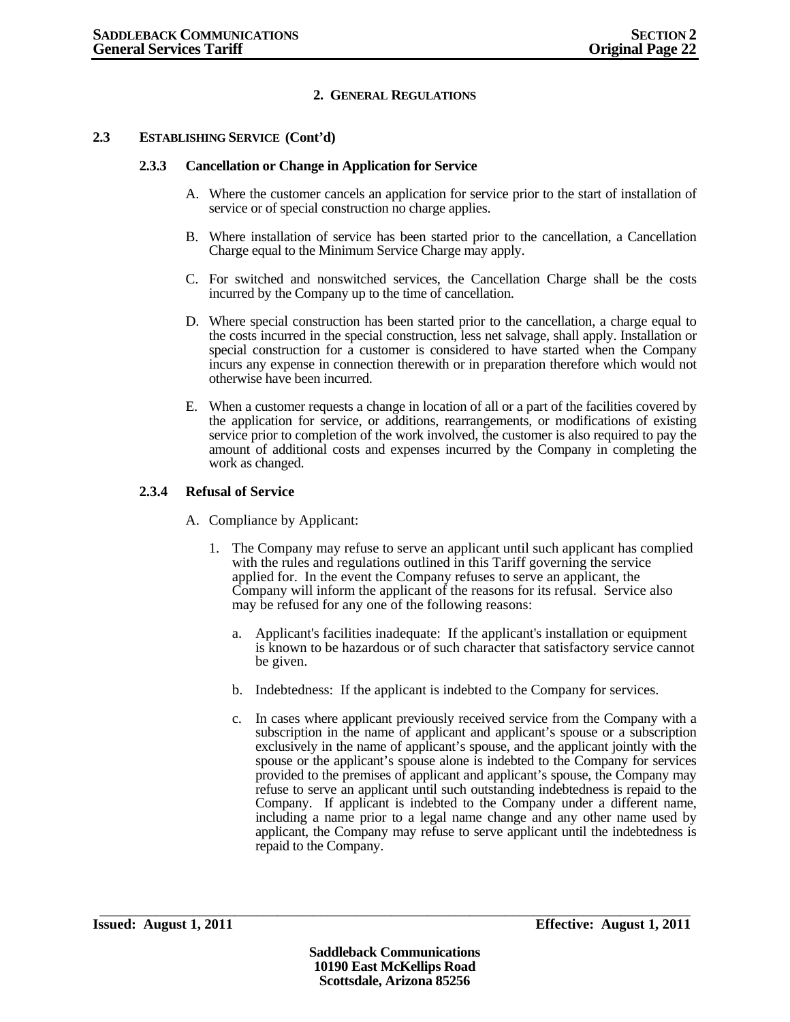#### **2.3 ESTABLISHING SERVICE (Cont'd)**

#### **2.3.3 Cancellation or Change in Application for Service**

- A. Where the customer cancels an application for service prior to the start of installation of service or of special construction no charge applies.
- B. Where installation of service has been started prior to the cancellation, a Cancellation Charge equal to the Minimum Service Charge may apply.
- C. For switched and nonswitched services, the Cancellation Charge shall be the costs incurred by the Company up to the time of cancellation.
- D. Where special construction has been started prior to the cancellation, a charge equal to the costs incurred in the special construction, less net salvage, shall apply. Installation or special construction for a customer is considered to have started when the Company incurs any expense in connection therewith or in preparation therefore which would not otherwise have been incurred.
- E. When a customer requests a change in location of all or a part of the facilities covered by the application for service, or additions, rearrangements, or modifications of existing service prior to completion of the work involved, the customer is also required to pay the amount of additional costs and expenses incurred by the Company in completing the work as changed.

#### **2.3.4 Refusal of Service**

- A. Compliance by Applicant:
	- 1. The Company may refuse to serve an applicant until such applicant has complied with the rules and regulations outlined in this Tariff governing the service applied for. In the event the Company refuses to serve an applicant, the Company will inform the applicant of the reasons for its refusal. Service also may be refused for any one of the following reasons:
		- a. Applicant's facilities inadequate: If the applicant's installation or equipment is known to be hazardous or of such character that satisfactory service cannot be given.
		- b. Indebtedness: If the applicant is indebted to the Company for services.
		- c. In cases where applicant previously received service from the Company with a subscription in the name of applicant and applicant's spouse or a subscription exclusively in the name of applicant's spouse, and the applicant jointly with the spouse or the applicant's spouse alone is indebted to the Company for services provided to the premises of applicant and applicant's spouse, the Company may refuse to serve an applicant until such outstanding indebtedness is repaid to the Company. If applicant is indebted to the Company under a different name, including a name prior to a legal name change and any other name used by applicant, the Company may refuse to serve applicant until the indebtedness is repaid to the Company.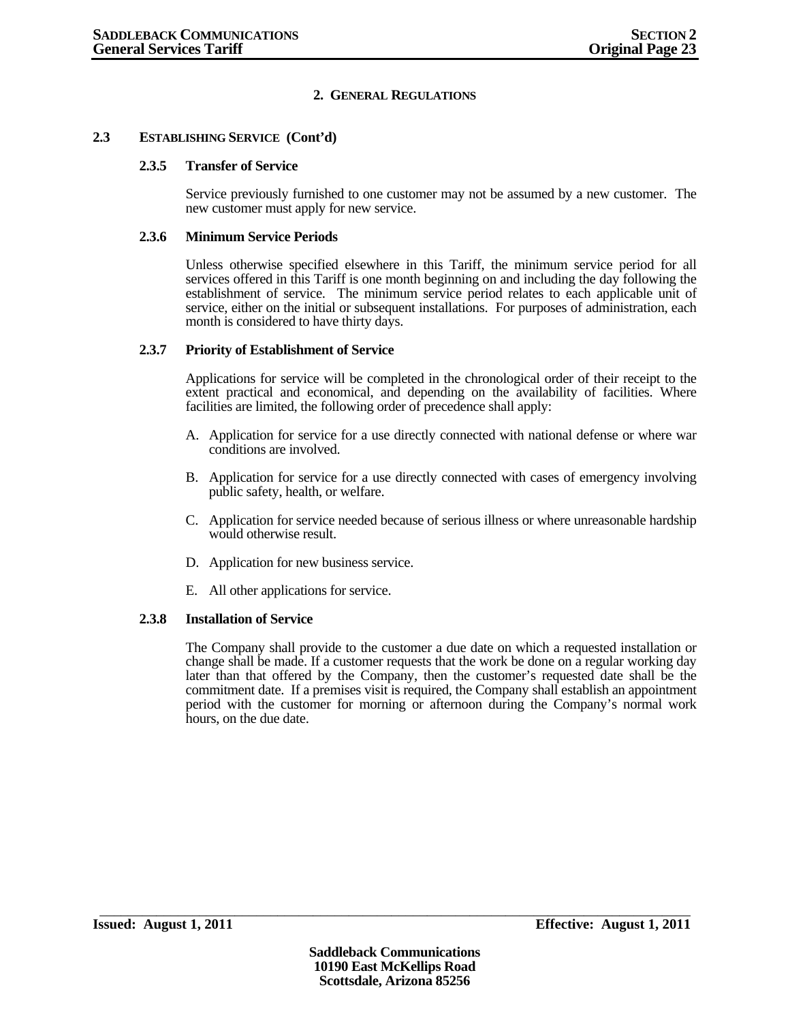## **2.3 ESTABLISHING SERVICE (Cont'd)**

#### **2.3.5 Transfer of Service**

Service previously furnished to one customer may not be assumed by a new customer. The new customer must apply for new service.

#### **2.3.6 Minimum Service Periods**

Unless otherwise specified elsewhere in this Tariff, the minimum service period for all services offered in this Tariff is one month beginning on and including the day following the establishment of service. The minimum service period relates to each applicable unit of service, either on the initial or subsequent installations. For purposes of administration, each month is considered to have thirty days.

## **2.3.7 Priority of Establishment of Service**

Applications for service will be completed in the chronological order of their receipt to the extent practical and economical, and depending on the availability of facilities. Where facilities are limited, the following order of precedence shall apply:

- A. Application for service for a use directly connected with national defense or where war conditions are involved.
- B. Application for service for a use directly connected with cases of emergency involving public safety, health, or welfare.
- C. Application for service needed because of serious illness or where unreasonable hardship would otherwise result.
- D. Application for new business service.
- E. All other applications for service.

## **2.3.8 Installation of Service**

The Company shall provide to the customer a due date on which a requested installation or change shall be made. If a customer requests that the work be done on a regular working day later than that offered by the Company, then the customer's requested date shall be the commitment date. If a premises visit is required, the Company shall establish an appointment period with the customer for morning or afternoon during the Company's normal work hours, on the due date.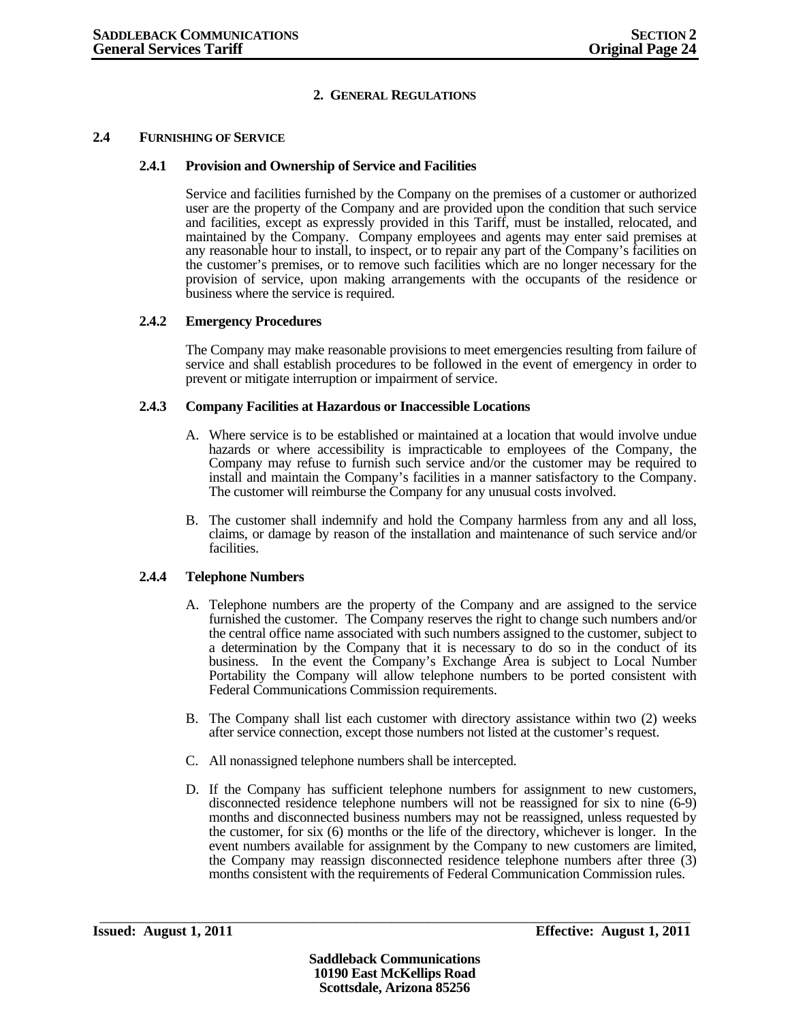## **2.4 FURNISHING OF SERVICE**

#### **2.4.1 Provision and Ownership of Service and Facilities**

Service and facilities furnished by the Company on the premises of a customer or authorized user are the property of the Company and are provided upon the condition that such service and facilities, except as expressly provided in this Tariff, must be installed, relocated, and maintained by the Company. Company employees and agents may enter said premises at any reasonable hour to install, to inspect, or to repair any part of the Company's facilities on the customer's premises, or to remove such facilities which are no longer necessary for the provision of service, upon making arrangements with the occupants of the residence or business where the service is required.

## **2.4.2 Emergency Procedures**

The Company may make reasonable provisions to meet emergencies resulting from failure of service and shall establish procedures to be followed in the event of emergency in order to prevent or mitigate interruption or impairment of service.

#### **2.4.3 Company Facilities at Hazardous or Inaccessible Locations**

- A. Where service is to be established or maintained at a location that would involve undue hazards or where accessibility is impracticable to employees of the Company, the Company may refuse to furnish such service and/or the customer may be required to install and maintain the Company's facilities in a manner satisfactory to the Company. The customer will reimburse the Company for any unusual costs involved.
- B. The customer shall indemnify and hold the Company harmless from any and all loss, claims, or damage by reason of the installation and maintenance of such service and/or facilities.

## **2.4.4 Telephone Numbers**

- A. Telephone numbers are the property of the Company and are assigned to the service furnished the customer. The Company reserves the right to change such numbers and/or the central office name associated with such numbers assigned to the customer, subject to a determination by the Company that it is necessary to do so in the conduct of its business. In the event the Company's Exchange Area is subject to Local Number Portability the Company will allow telephone numbers to be ported consistent with Federal Communications Commission requirements.
- B. The Company shall list each customer with directory assistance within two (2) weeks after service connection, except those numbers not listed at the customer's request.
- C. All nonassigned telephone numbers shall be intercepted.
- D. If the Company has sufficient telephone numbers for assignment to new customers, disconnected residence telephone numbers will not be reassigned for six to nine (6-9) months and disconnected business numbers may not be reassigned, unless requested by the customer, for six (6) months or the life of the directory, whichever is longer. In the event numbers available for assignment by the Company to new customers are limited, the Company may reassign disconnected residence telephone numbers after three (3) months consistent with the requirements of Federal Communication Commission rules.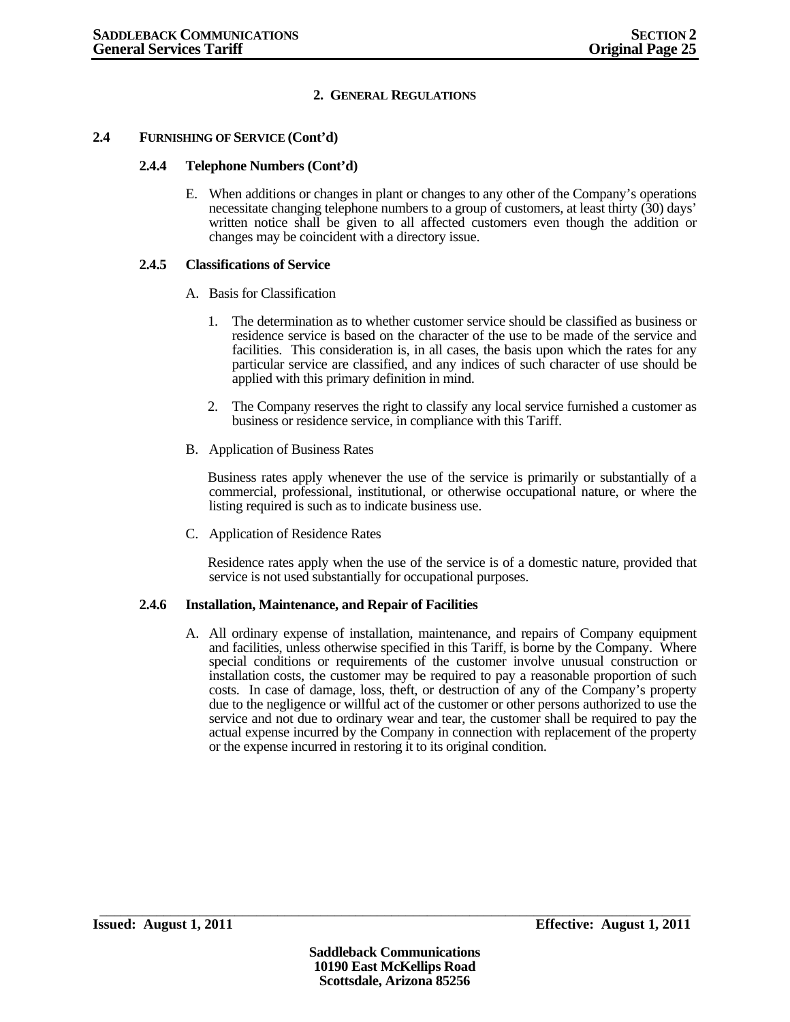#### **2.4 FURNISHING OF SERVICE (Cont'd)**

#### **2.4.4 Telephone Numbers (Cont'd)**

E. When additions or changes in plant or changes to any other of the Company's operations necessitate changing telephone numbers to a group of customers, at least thirty (30) days' written notice shall be given to all affected customers even though the addition or changes may be coincident with a directory issue.

#### **2.4.5 Classifications of Service**

#### A. Basis for Classification

- 1. The determination as to whether customer service should be classified as business or residence service is based on the character of the use to be made of the service and facilities. This consideration is, in all cases, the basis upon which the rates for any particular service are classified, and any indices of such character of use should be applied with this primary definition in mind.
- 2. The Company reserves the right to classify any local service furnished a customer as business or residence service, in compliance with this Tariff.
- B. Application of Business Rates

Business rates apply whenever the use of the service is primarily or substantially of a commercial, professional, institutional, or otherwise occupational nature, or where the listing required is such as to indicate business use.

C. Application of Residence Rates

Residence rates apply when the use of the service is of a domestic nature, provided that service is not used substantially for occupational purposes.

#### **2.4.6 Installation, Maintenance, and Repair of Facilities**

A. All ordinary expense of installation, maintenance, and repairs of Company equipment and facilities, unless otherwise specified in this Tariff, is borne by the Company. Where special conditions or requirements of the customer involve unusual construction or installation costs, the customer may be required to pay a reasonable proportion of such costs. In case of damage, loss, theft, or destruction of any of the Company's property due to the negligence or willful act of the customer or other persons authorized to use the service and not due to ordinary wear and tear, the customer shall be required to pay the actual expense incurred by the Company in connection with replacement of the property or the expense incurred in restoring it to its original condition.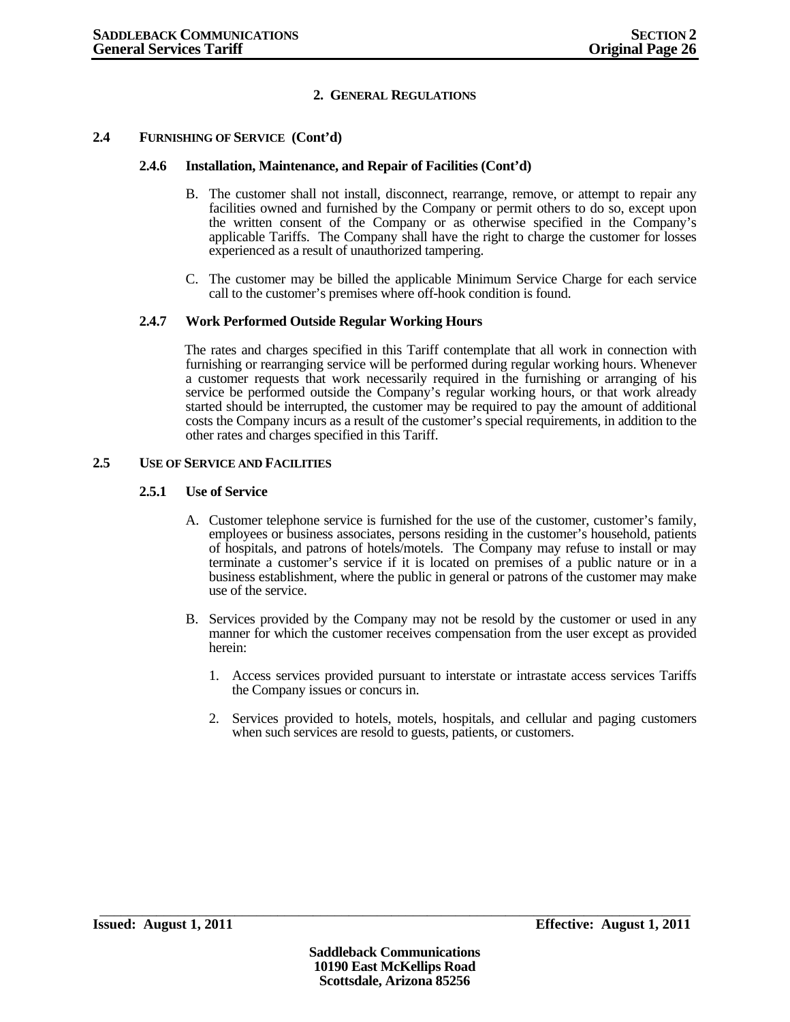## **2.4 FURNISHING OF SERVICE (Cont'd)**

#### **2.4.6 Installation, Maintenance, and Repair of Facilities (Cont'd)**

- B. The customer shall not install, disconnect, rearrange, remove, or attempt to repair any facilities owned and furnished by the Company or permit others to do so, except upon the written consent of the Company or as otherwise specified in the Company's applicable Tariffs. The Company shall have the right to charge the customer for losses experienced as a result of unauthorized tampering.
- C. The customer may be billed the applicable Minimum Service Charge for each service call to the customer's premises where off-hook condition is found.

## **2.4.7 Work Performed Outside Regular Working Hours**

The rates and charges specified in this Tariff contemplate that all work in connection with furnishing or rearranging service will be performed during regular working hours. Whenever a customer requests that work necessarily required in the furnishing or arranging of his service be performed outside the Company's regular working hours, or that work already started should be interrupted, the customer may be required to pay the amount of additional costs the Company incurs as a result of the customer's special requirements, in addition to the other rates and charges specified in this Tariff.

#### **2.5 USE OF SERVICE AND FACILITIES**

#### **2.5.1 Use of Service**

- A. Customer telephone service is furnished for the use of the customer, customer's family, employees or business associates, persons residing in the customer's household, patients of hospitals, and patrons of hotels/motels. The Company may refuse to install or may terminate a customer's service if it is located on premises of a public nature or in a business establishment, where the public in general or patrons of the customer may make use of the service.
- B. Services provided by the Company may not be resold by the customer or used in any manner for which the customer receives compensation from the user except as provided herein:
	- 1. Access services provided pursuant to interstate or intrastate access services Tariffs the Company issues or concurs in.
	- 2. Services provided to hotels, motels, hospitals, and cellular and paging customers when such services are resold to guests, patients, or customers.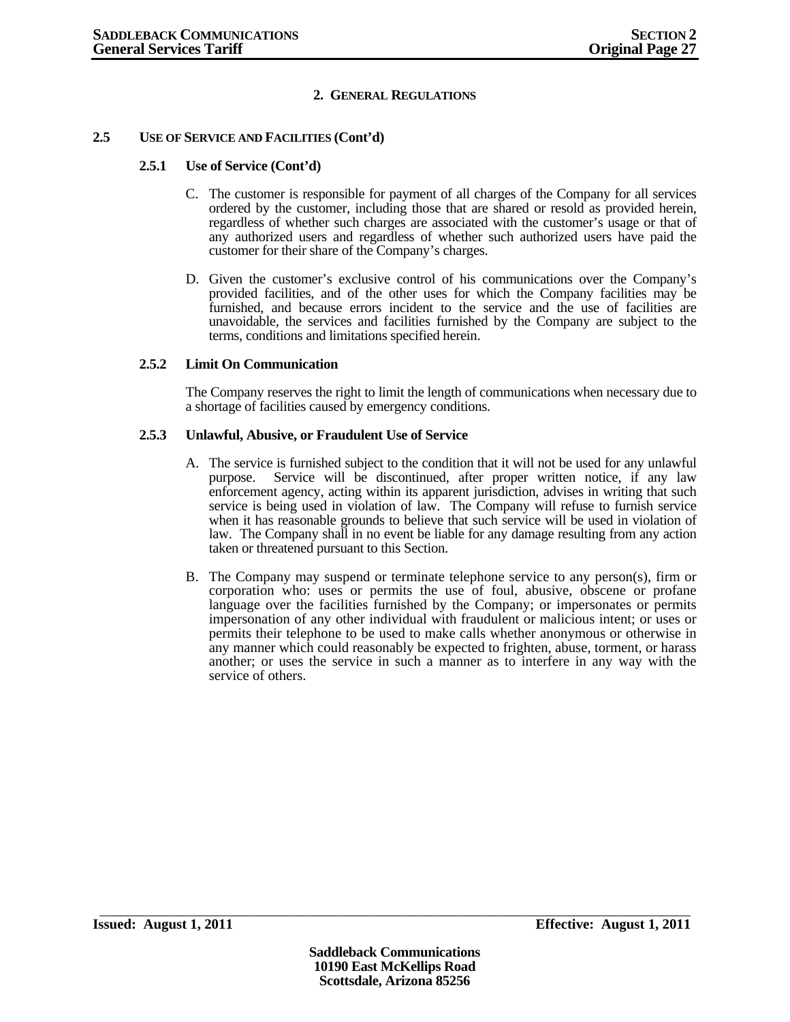## **2.5 USE OF SERVICE AND FACILITIES (Cont'd)**

## **2.5.1 Use of Service (Cont'd)**

- C. The customer is responsible for payment of all charges of the Company for all services ordered by the customer, including those that are shared or resold as provided herein, regardless of whether such charges are associated with the customer's usage or that of any authorized users and regardless of whether such authorized users have paid the customer for their share of the Company's charges.
- D. Given the customer's exclusive control of his communications over the Company's provided facilities, and of the other uses for which the Company facilities may be furnished, and because errors incident to the service and the use of facilities are unavoidable, the services and facilities furnished by the Company are subject to the terms, conditions and limitations specified herein.

## **2.5.2 Limit On Communication**

The Company reserves the right to limit the length of communications when necessary due to a shortage of facilities caused by emergency conditions.

## **2.5.3 Unlawful, Abusive, or Fraudulent Use of Service**

- A. The service is furnished subject to the condition that it will not be used for any unlawful purpose. Service will be discontinued, after proper written notice, if any law Service will be discontinued, after proper written notice, if any law enforcement agency, acting within its apparent jurisdiction, advises in writing that such service is being used in violation of law. The Company will refuse to furnish service when it has reasonable grounds to believe that such service will be used in violation of law. The Company shall in no event be liable for any damage resulting from any action taken or threatened pursuant to this Section.
- B. The Company may suspend or terminate telephone service to any person(s), firm or corporation who: uses or permits the use of foul, abusive, obscene or profane language over the facilities furnished by the Company; or impersonates or permits impersonation of any other individual with fraudulent or malicious intent; or uses or permits their telephone to be used to make calls whether anonymous or otherwise in any manner which could reasonably be expected to frighten, abuse, torment, or harass another; or uses the service in such a manner as to interfere in any way with the service of others.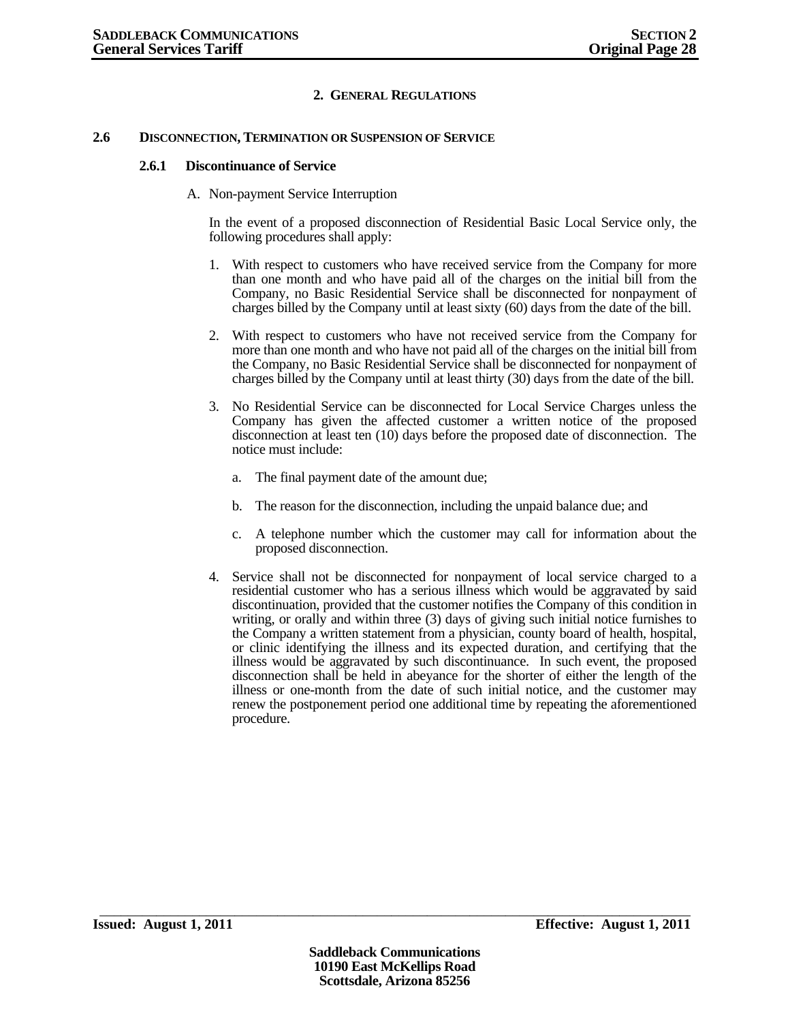#### **2.6 DISCONNECTION, TERMINATION OR SUSPENSION OF SERVICE**

#### **2.6.1 Discontinuance of Service**

A. Non-payment Service Interruption

In the event of a proposed disconnection of Residential Basic Local Service only, the following procedures shall apply:

- 1. With respect to customers who have received service from the Company for more than one month and who have paid all of the charges on the initial bill from the Company, no Basic Residential Service shall be disconnected for nonpayment of charges billed by the Company until at least sixty (60) days from the date of the bill.
- 2. With respect to customers who have not received service from the Company for more than one month and who have not paid all of the charges on the initial bill from the Company, no Basic Residential Service shall be disconnected for nonpayment of charges billed by the Company until at least thirty (30) days from the date of the bill.
- 3. No Residential Service can be disconnected for Local Service Charges unless the Company has given the affected customer a written notice of the proposed disconnection at least ten (10) days before the proposed date of disconnection. The notice must include:
	- a. The final payment date of the amount due;
	- b. The reason for the disconnection, including the unpaid balance due; and
	- c. A telephone number which the customer may call for information about the proposed disconnection.
- 4. Service shall not be disconnected for nonpayment of local service charged to a residential customer who has a serious illness which would be aggravated by said discontinuation, provided that the customer notifies the Company of this condition in writing, or orally and within three (3) days of giving such initial notice furnishes to the Company a written statement from a physician, county board of health, hospital, or clinic identifying the illness and its expected duration, and certifying that the illness would be aggravated by such discontinuance. In such event, the proposed disconnection shall be held in abeyance for the shorter of either the length of the illness or one-month from the date of such initial notice, and the customer may renew the postponement period one additional time by repeating the aforementioned procedure.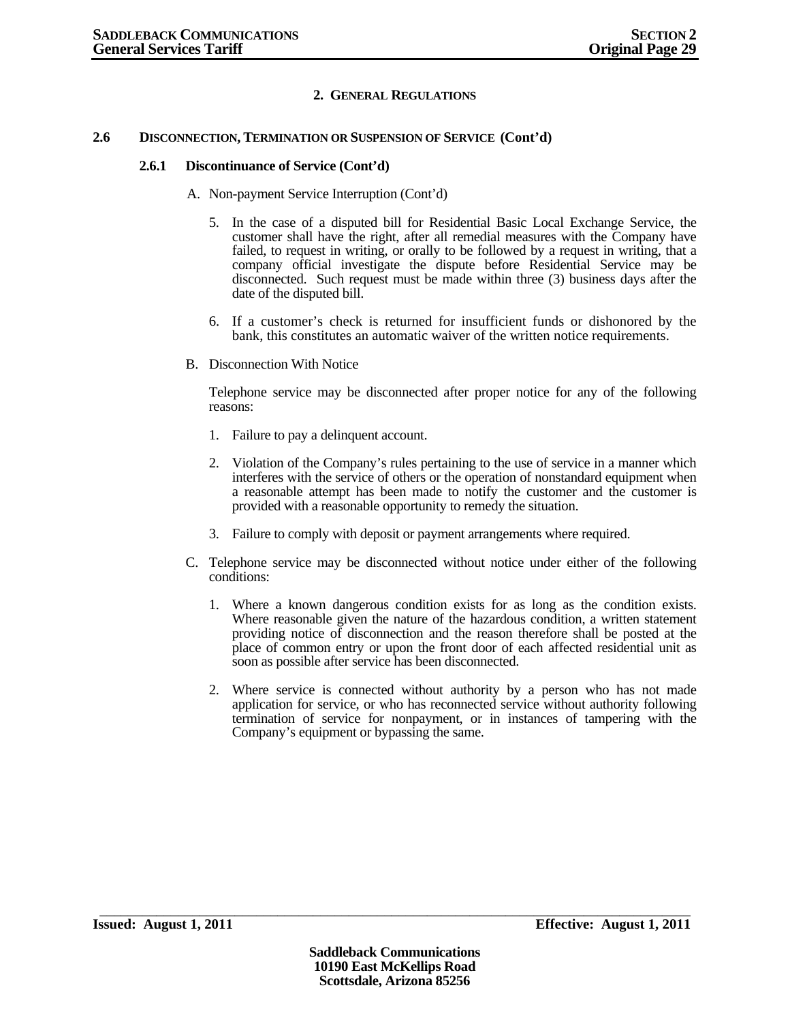#### **2.6 DISCONNECTION, TERMINATION OR SUSPENSION OF SERVICE (Cont'd)**

#### **2.6.1 Discontinuance of Service (Cont'd)**

- A. Non-payment Service Interruption (Cont'd)
	- 5. In the case of a disputed bill for Residential Basic Local Exchange Service, the customer shall have the right, after all remedial measures with the Company have failed, to request in writing, or orally to be followed by a request in writing, that a company official investigate the dispute before Residential Service may be disconnected. Such request must be made within three (3) business days after the date of the disputed bill.
	- 6. If a customer's check is returned for insufficient funds or dishonored by the bank, this constitutes an automatic waiver of the written notice requirements.
- B. Disconnection With Notice

Telephone service may be disconnected after proper notice for any of the following reasons:

- 1. Failure to pay a delinquent account.
- 2. Violation of the Company's rules pertaining to the use of service in a manner which interferes with the service of others or the operation of nonstandard equipment when a reasonable attempt has been made to notify the customer and the customer is provided with a reasonable opportunity to remedy the situation.
- 3. Failure to comply with deposit or payment arrangements where required.
- C. Telephone service may be disconnected without notice under either of the following conditions:
	- 1. Where a known dangerous condition exists for as long as the condition exists. Where reasonable given the nature of the hazardous condition, a written statement providing notice of disconnection and the reason therefore shall be posted at the place of common entry or upon the front door of each affected residential unit as soon as possible after service has been disconnected.
	- 2. Where service is connected without authority by a person who has not made application for service, or who has reconnected service without authority following termination of service for nonpayment, or in instances of tampering with the Company's equipment or bypassing the same.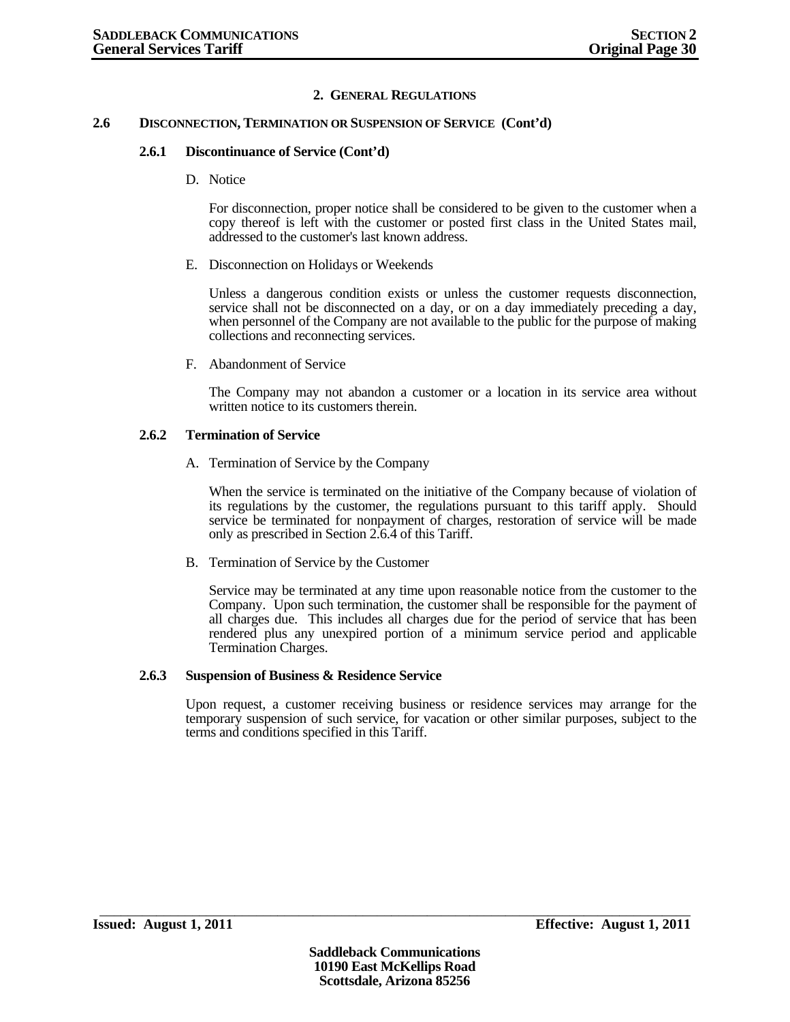#### **2.6 DISCONNECTION, TERMINATION OR SUSPENSION OF SERVICE (Cont'd)**

#### **2.6.1 Discontinuance of Service (Cont'd)**

D. Notice

For disconnection, proper notice shall be considered to be given to the customer when a copy thereof is left with the customer or posted first class in the United States mail, addressed to the customer's last known address.

E. Disconnection on Holidays or Weekends

Unless a dangerous condition exists or unless the customer requests disconnection, service shall not be disconnected on a day, or on a day immediately preceding a day, when personnel of the Company are not available to the public for the purpose of making collections and reconnecting services.

F. Abandonment of Service

The Company may not abandon a customer or a location in its service area without written notice to its customers therein.

# **2.6.2 Termination of Service**

A. Termination of Service by the Company

When the service is terminated on the initiative of the Company because of violation of its regulations by the customer, the regulations pursuant to this tariff apply. Should service be terminated for nonpayment of charges, restoration of service will be made only as prescribed in Section 2.6.4 of this Tariff.

B. Termination of Service by the Customer

Service may be terminated at any time upon reasonable notice from the customer to the Company. Upon such termination, the customer shall be responsible for the payment of all charges due. This includes all charges due for the period of service that has been rendered plus any unexpired portion of a minimum service period and applicable Termination Charges.

#### **2.6.3 Suspension of Business & Residence Service**

Upon request, a customer receiving business or residence services may arrange for the temporary suspension of such service, for vacation or other similar purposes, subject to the terms and conditions specified in this Tariff.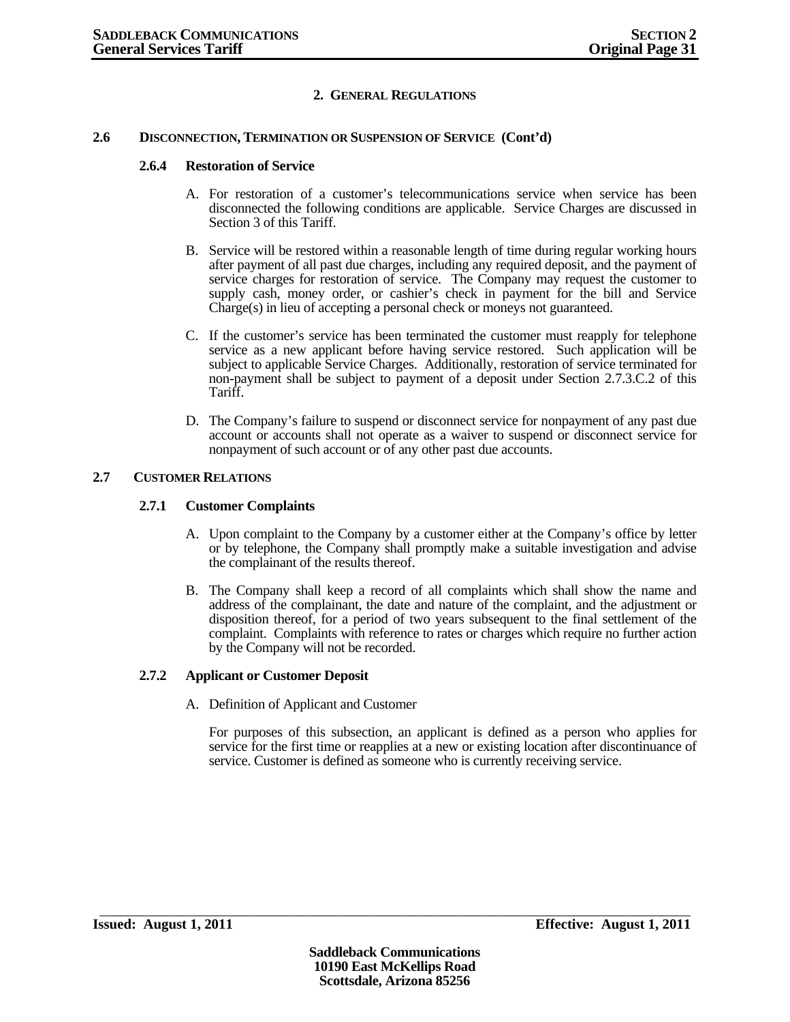#### **2.6 DISCONNECTION, TERMINATION OR SUSPENSION OF SERVICE (Cont'd)**

#### **2.6.4 Restoration of Service**

- A. For restoration of a customer's telecommunications service when service has been disconnected the following conditions are applicable. Service Charges are discussed in Section 3 of this Tariff.
- B. Service will be restored within a reasonable length of time during regular working hours after payment of all past due charges, including any required deposit, and the payment of service charges for restoration of service. The Company may request the customer to supply cash, money order, or cashier's check in payment for the bill and Service Charge(s) in lieu of accepting a personal check or moneys not guaranteed.
- C. If the customer's service has been terminated the customer must reapply for telephone service as a new applicant before having service restored. Such application will be subject to applicable Service Charges. Additionally, restoration of service terminated for non-payment shall be subject to payment of a deposit under Section 2.7.3.C.2 of this Tariff.
- D. The Company's failure to suspend or disconnect service for nonpayment of any past due account or accounts shall not operate as a waiver to suspend or disconnect service for nonpayment of such account or of any other past due accounts.

#### **2.7 CUSTOMER RELATIONS**

#### **2.7.1 Customer Complaints**

- A. Upon complaint to the Company by a customer either at the Company's office by letter or by telephone, the Company shall promptly make a suitable investigation and advise the complainant of the results thereof.
- B. The Company shall keep a record of all complaints which shall show the name and address of the complainant, the date and nature of the complaint, and the adjustment or disposition thereof, for a period of two years subsequent to the final settlement of the complaint. Complaints with reference to rates or charges which require no further action by the Company will not be recorded.

## **2.7.2 Applicant or Customer Deposit**

A. Definition of Applicant and Customer

For purposes of this subsection, an applicant is defined as a person who applies for service for the first time or reapplies at a new or existing location after discontinuance of service. Customer is defined as someone who is currently receiving service.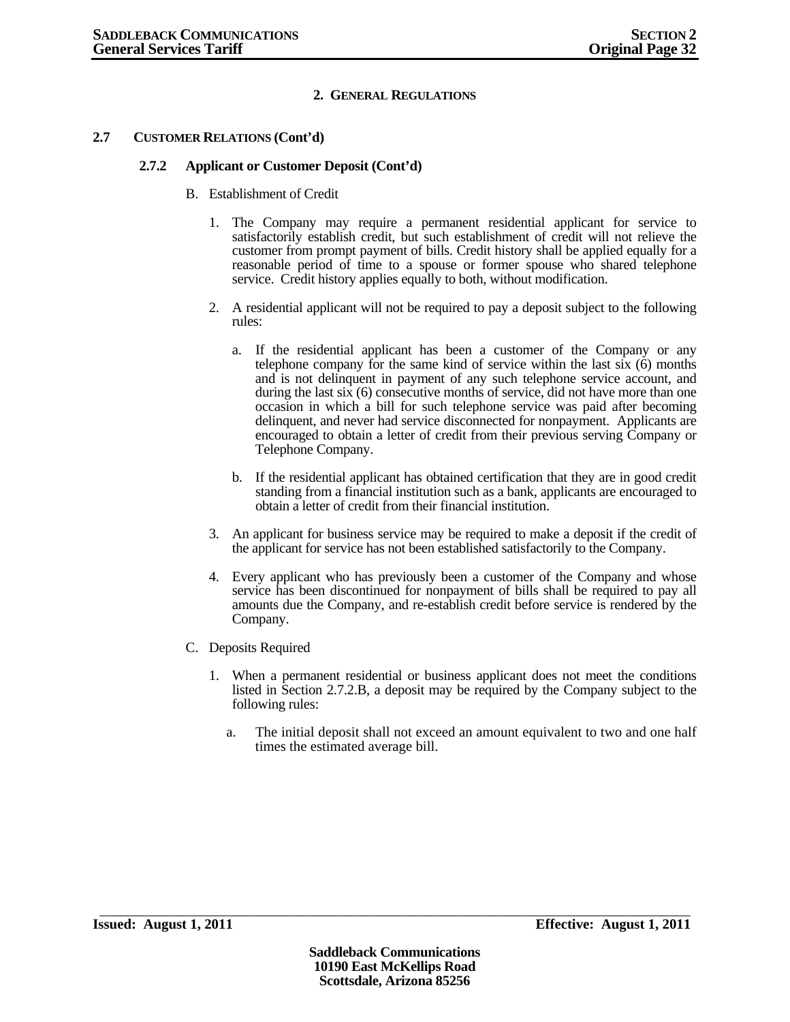## **2.7 CUSTOMER RELATIONS (Cont'd)**

#### **2.7.2 Applicant or Customer Deposit (Cont'd)**

- B. Establishment of Credit
	- 1. The Company may require a permanent residential applicant for service to satisfactorily establish credit, but such establishment of credit will not relieve the customer from prompt payment of bills. Credit history shall be applied equally for a reasonable period of time to a spouse or former spouse who shared telephone service. Credit history applies equally to both, without modification.
	- 2. A residential applicant will not be required to pay a deposit subject to the following rules:
		- a. If the residential applicant has been a customer of the Company or any telephone company for the same kind of service within the last six (6) months and is not delinquent in payment of any such telephone service account, and during the last six (6) consecutive months of service, did not have more than one occasion in which a bill for such telephone service was paid after becoming delinquent, and never had service disconnected for nonpayment. Applicants are encouraged to obtain a letter of credit from their previous serving Company or Telephone Company.
		- b. If the residential applicant has obtained certification that they are in good credit standing from a financial institution such as a bank, applicants are encouraged to obtain a letter of credit from their financial institution.
	- 3. An applicant for business service may be required to make a deposit if the credit of the applicant for service has not been established satisfactorily to the Company.
	- 4. Every applicant who has previously been a customer of the Company and whose service has been discontinued for nonpayment of bills shall be required to pay all amounts due the Company, and re-establish credit before service is rendered by the Company.
- C. Deposits Required
	- 1. When a permanent residential or business applicant does not meet the conditions listed in Section 2.7.2.B, a deposit may be required by the Company subject to the following rules:
		- a. The initial deposit shall not exceed an amount equivalent to two and one half times the estimated average bill.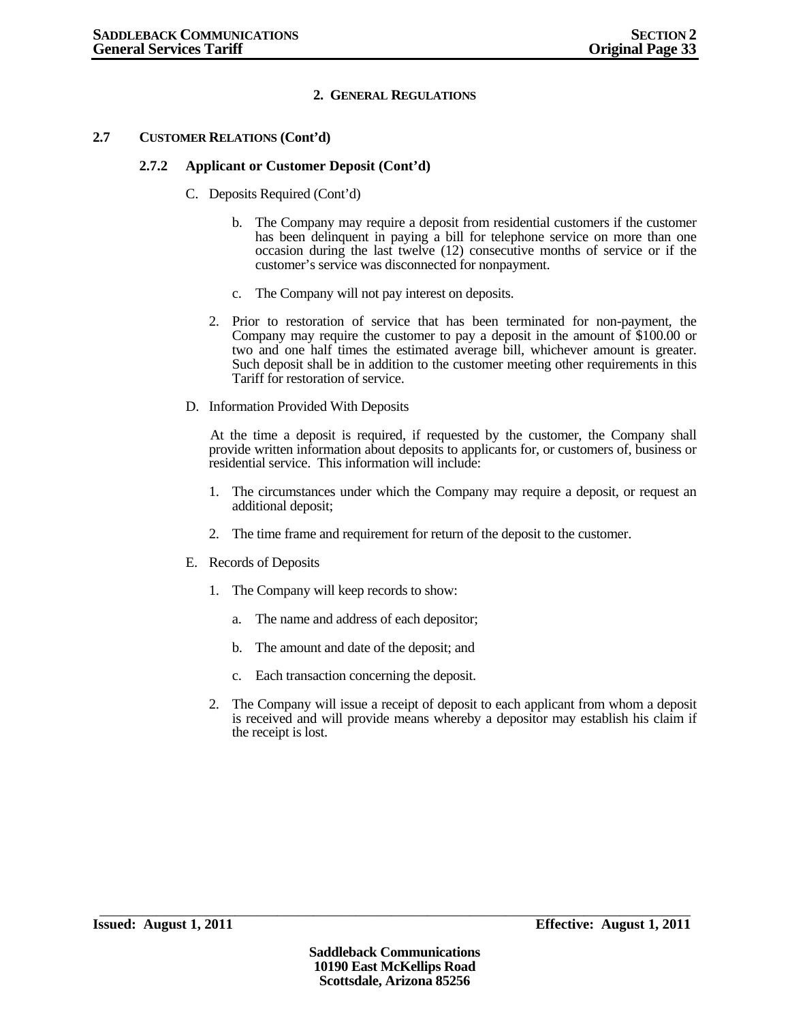## **2.7 CUSTOMER RELATIONS (Cont'd)**

## **2.7.2 Applicant or Customer Deposit (Cont'd)**

- C. Deposits Required (Cont'd)
	- b. The Company may require a deposit from residential customers if the customer has been delinquent in paying a bill for telephone service on more than one occasion during the last twelve (12) consecutive months of service or if the customer's service was disconnected for nonpayment.
	- c. The Company will not pay interest on deposits.
	- 2. Prior to restoration of service that has been terminated for non-payment, the Company may require the customer to pay a deposit in the amount of \$100.00 or two and one half times the estimated average bill, whichever amount is greater. Such deposit shall be in addition to the customer meeting other requirements in this Tariff for restoration of service.
- D. Information Provided With Deposits

At the time a deposit is required, if requested by the customer, the Company shall provide written information about deposits to applicants for, or customers of, business or residential service. This information will include:

- 1. The circumstances under which the Company may require a deposit, or request an additional deposit;
- 2. The time frame and requirement for return of the deposit to the customer.
- E. Records of Deposits
	- 1. The Company will keep records to show:
		- a. The name and address of each depositor;
		- b. The amount and date of the deposit; and
		- c. Each transaction concerning the deposit.
	- 2. The Company will issue a receipt of deposit to each applicant from whom a deposit is received and will provide means whereby a depositor may establish his claim if the receipt is lost.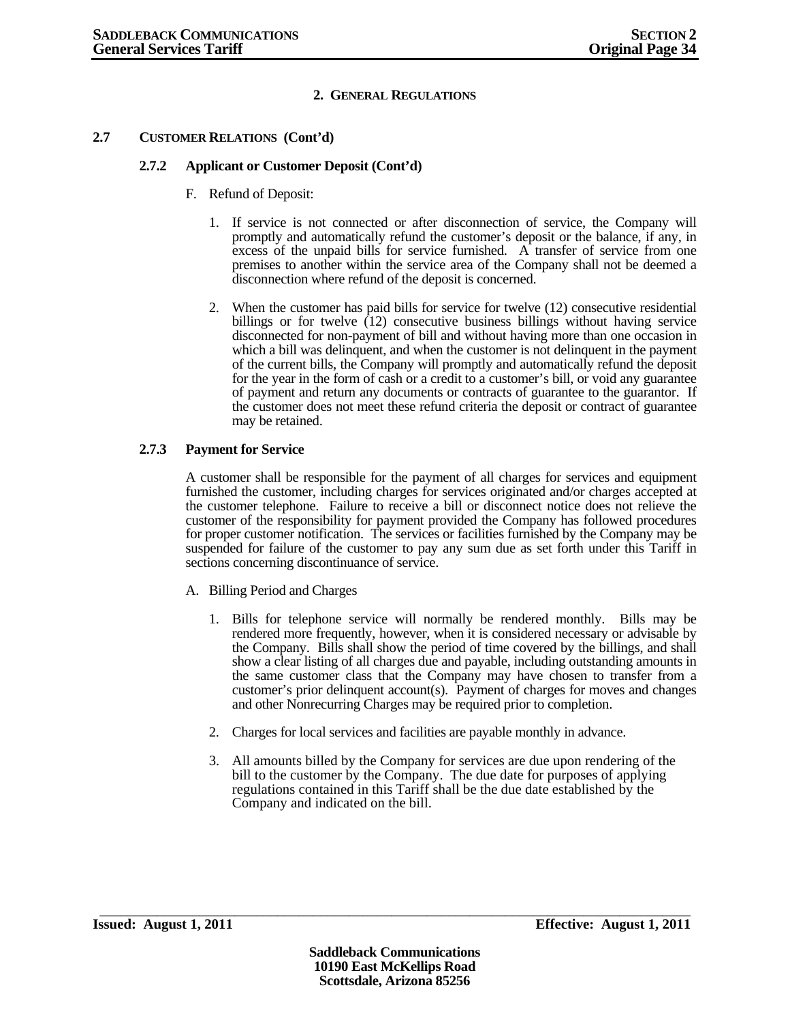# **2.7 CUSTOMER RELATIONS (Cont'd)**

#### **2.7.2 Applicant or Customer Deposit (Cont'd)**

- F. Refund of Deposit:
	- 1. If service is not connected or after disconnection of service, the Company will promptly and automatically refund the customer's deposit or the balance, if any, in excess of the unpaid bills for service furnished. A transfer of service from one premises to another within the service area of the Company shall not be deemed a disconnection where refund of the deposit is concerned.
	- 2. When the customer has paid bills for service for twelve (12) consecutive residential billings or for twelve  $(12)$  consecutive business billings without having service disconnected for non-payment of bill and without having more than one occasion in which a bill was delinquent, and when the customer is not delinquent in the payment of the current bills, the Company will promptly and automatically refund the deposit for the year in the form of cash or a credit to a customer's bill, or void any guarantee of payment and return any documents or contracts of guarantee to the guarantor. If the customer does not meet these refund criteria the deposit or contract of guarantee may be retained.

#### **2.7.3 Payment for Service**

A customer shall be responsible for the payment of all charges for services and equipment furnished the customer, including charges for services originated and/or charges accepted at the customer telephone. Failure to receive a bill or disconnect notice does not relieve the customer of the responsibility for payment provided the Company has followed procedures for proper customer notification. The services or facilities furnished by the Company may be suspended for failure of the customer to pay any sum due as set forth under this Tariff in sections concerning discontinuance of service.

- A. Billing Period and Charges
	- 1. Bills for telephone service will normally be rendered monthly. Bills may be rendered more frequently, however, when it is considered necessary or advisable by the Company. Bills shall show the period of time covered by the billings, and shall show a clear listing of all charges due and payable, including outstanding amounts in the same customer class that the Company may have chosen to transfer from a customer's prior delinquent account(s). Payment of charges for moves and changes and other Nonrecurring Charges may be required prior to completion.
	- 2. Charges for local services and facilities are payable monthly in advance.
	- 3. All amounts billed by the Company for services are due upon rendering of the bill to the customer by the Company. The due date for purposes of applying regulations contained in this Tariff shall be the due date established by the Company and indicated on the bill.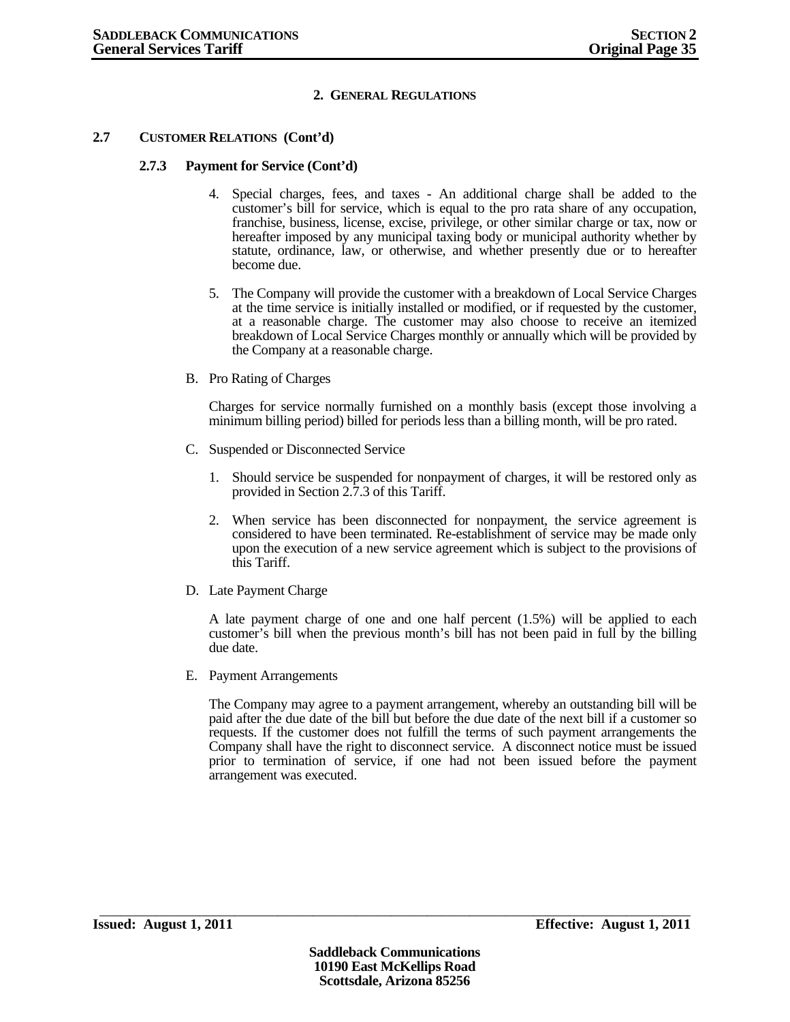## **2.7 CUSTOMER RELATIONS (Cont'd)**

## **2.7.3 Payment for Service (Cont'd)**

- 4. Special charges, fees, and taxes An additional charge shall be added to the customer's bill for service, which is equal to the pro rata share of any occupation, franchise, business, license, excise, privilege, or other similar charge or tax, now or hereafter imposed by any municipal taxing body or municipal authority whether by statute, ordinance, law, or otherwise, and whether presently due or to hereafter become due.
- 5. The Company will provide the customer with a breakdown of Local Service Charges at the time service is initially installed or modified, or if requested by the customer, at a reasonable charge. The customer may also choose to receive an itemized breakdown of Local Service Charges monthly or annually which will be provided by the Company at a reasonable charge.
- B. Pro Rating of Charges

Charges for service normally furnished on a monthly basis (except those involving a minimum billing period) billed for periods less than a billing month, will be pro rated.

- C. Suspended or Disconnected Service
	- 1. Should service be suspended for nonpayment of charges, it will be restored only as provided in Section 2.7.3 of this Tariff.
	- 2. When service has been disconnected for nonpayment, the service agreement is considered to have been terminated. Re-establishment of service may be made only upon the execution of a new service agreement which is subject to the provisions of this Tariff.
- D. Late Payment Charge

A late payment charge of one and one half percent (1.5%) will be applied to each customer's bill when the previous month's bill has not been paid in full by the billing due date.

E. Payment Arrangements

The Company may agree to a payment arrangement, whereby an outstanding bill will be paid after the due date of the bill but before the due date of the next bill if a customer so requests. If the customer does not fulfill the terms of such payment arrangements the Company shall have the right to disconnect service. A disconnect notice must be issued prior to termination of service, if one had not been issued before the payment arrangement was executed.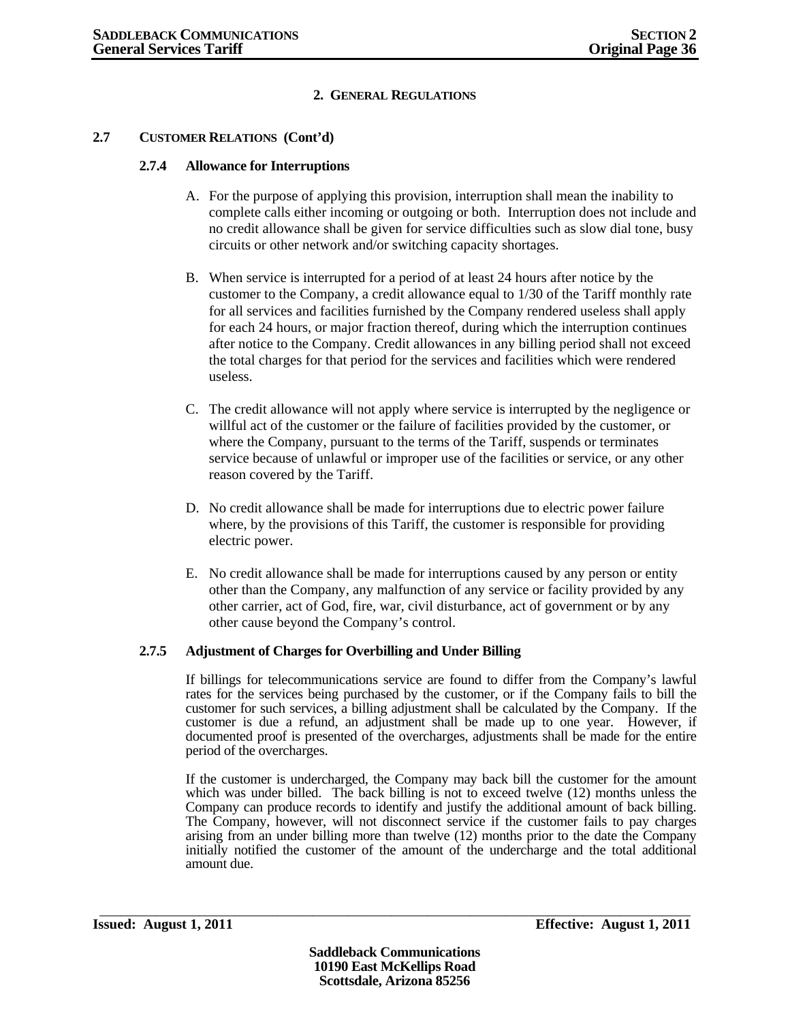## **2.7 CUSTOMER RELATIONS (Cont'd)**

## **2.7.4 Allowance for Interruptions**

- A. For the purpose of applying this provision, interruption shall mean the inability to complete calls either incoming or outgoing or both. Interruption does not include and no credit allowance shall be given for service difficulties such as slow dial tone, busy circuits or other network and/or switching capacity shortages.
- B. When service is interrupted for a period of at least 24 hours after notice by the customer to the Company, a credit allowance equal to 1/30 of the Tariff monthly rate for all services and facilities furnished by the Company rendered useless shall apply for each 24 hours, or major fraction thereof, during which the interruption continues after notice to the Company. Credit allowances in any billing period shall not exceed the total charges for that period for the services and facilities which were rendered useless.
- C. The credit allowance will not apply where service is interrupted by the negligence or willful act of the customer or the failure of facilities provided by the customer, or where the Company, pursuant to the terms of the Tariff, suspends or terminates service because of unlawful or improper use of the facilities or service, or any other reason covered by the Tariff.
- D. No credit allowance shall be made for interruptions due to electric power failure where, by the provisions of this Tariff, the customer is responsible for providing electric power.
- E. No credit allowance shall be made for interruptions caused by any person or entity other than the Company, any malfunction of any service or facility provided by any other carrier, act of God, fire, war, civil disturbance, act of government or by any other cause beyond the Company's control.

## **2.7.5 Adjustment of Charges for Overbilling and Under Billing**

If billings for telecommunications service are found to differ from the Company's lawful rates for the services being purchased by the customer, or if the Company fails to bill the customer for such services, a billing adjustment shall be calculated by the Company. If the customer is due a refund, an adjustment shall be made up to one year. However, if documented proof is presented of the overcharges, adjustments shall be made for the entire period of the overcharges.

If the customer is undercharged, the Company may back bill the customer for the amount which was under billed. The back billing is not to exceed twelve (12) months unless the Company can produce records to identify and justify the additional amount of back billing. The Company, however, will not disconnect service if the customer fails to pay charges arising from an under billing more than twelve (12) months prior to the date the Company initially notified the customer of the amount of the undercharge and the total additional amount due.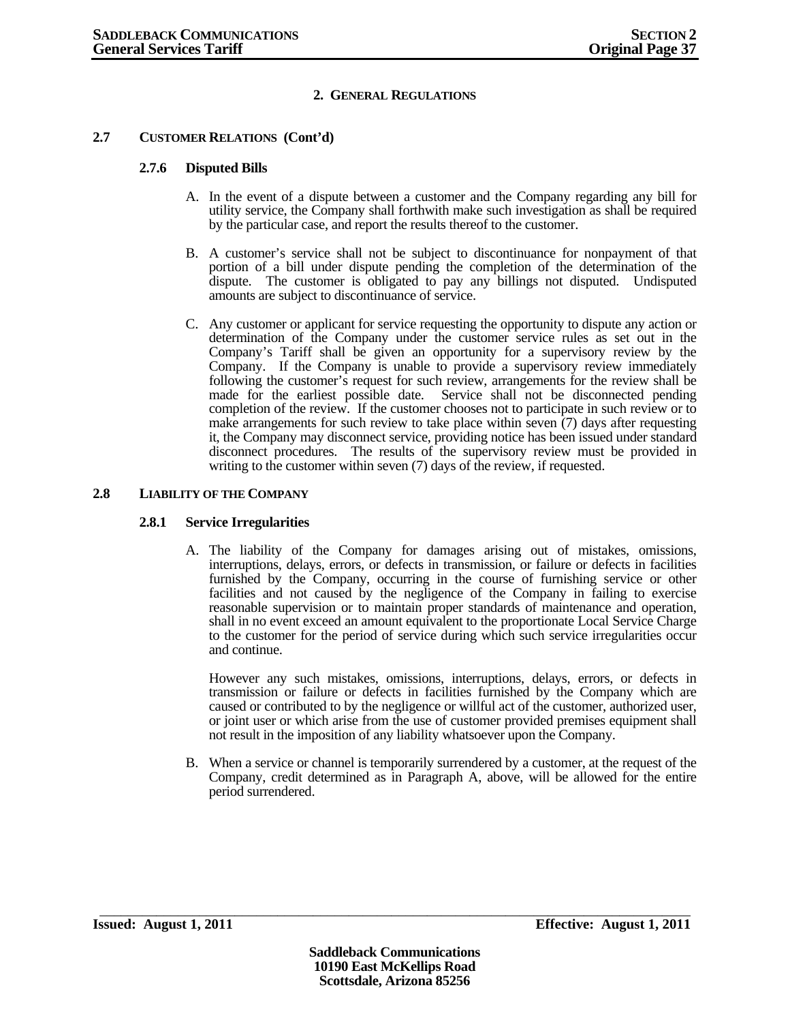# **2. GENERAL REGULATIONS**

## **2.7 CUSTOMER RELATIONS (Cont'd)**

#### **2.7.6 Disputed Bills**

- A. In the event of a dispute between a customer and the Company regarding any bill for utility service, the Company shall forthwith make such investigation as shall be required by the particular case, and report the results thereof to the customer.
- B. A customer's service shall not be subject to discontinuance for nonpayment of that portion of a bill under dispute pending the completion of the determination of the dispute. The customer is obligated to pay any billings not disputed. Undisputed amounts are subject to discontinuance of service.
- C. Any customer or applicant for service requesting the opportunity to dispute any action or determination of the Company under the customer service rules as set out in the Company's Tariff shall be given an opportunity for a supervisory review by the Company. If the Company is unable to provide a supervisory review immediately following the customer's request for such review, arrangements for the review shall be made for the earliest possible date. Service shall not be disconnected pending completion of the review. If the customer chooses not to participate in such review or to make arrangements for such review to take place within seven  $(7)$  days after requesting it, the Company may disconnect service, providing notice has been issued under standard disconnect procedures. The results of the supervisory review must be provided in writing to the customer within seven (7) days of the review, if requested.

#### **2.8 LIABILITY OF THE COMPANY**

### **2.8.1 Service Irregularities**

A. The liability of the Company for damages arising out of mistakes, omissions, interruptions, delays, errors, or defects in transmission, or failure or defects in facilities furnished by the Company, occurring in the course of furnishing service or other facilities and not caused by the negligence of the Company in failing to exercise reasonable supervision or to maintain proper standards of maintenance and operation, shall in no event exceed an amount equivalent to the proportionate Local Service Charge to the customer for the period of service during which such service irregularities occur and continue.

However any such mistakes, omissions, interruptions, delays, errors, or defects in transmission or failure or defects in facilities furnished by the Company which are caused or contributed to by the negligence or willful act of the customer, authorized user, or joint user or which arise from the use of customer provided premises equipment shall not result in the imposition of any liability whatsoever upon the Company.

B. When a service or channel is temporarily surrendered by a customer, at the request of the Company, credit determined as in Paragraph A, above, will be allowed for the entire period surrendered.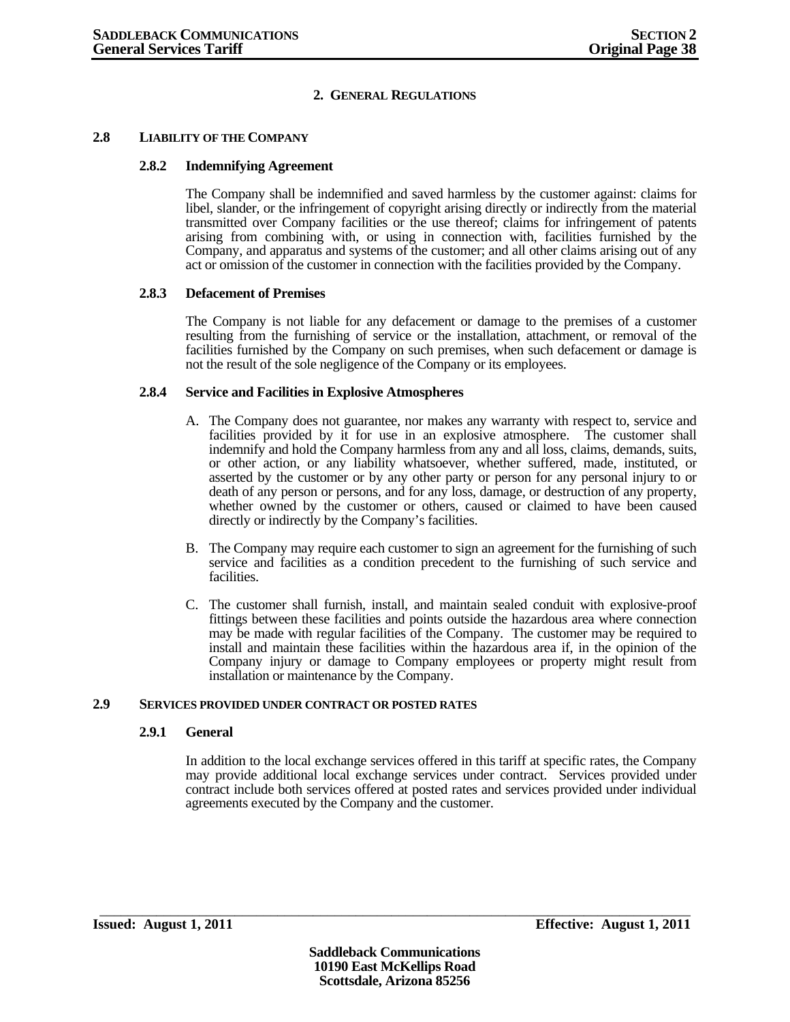# **2. GENERAL REGULATIONS**

#### **2.8 LIABILITY OF THE COMPANY**

#### **2.8.2 Indemnifying Agreement**

The Company shall be indemnified and saved harmless by the customer against: claims for libel, slander, or the infringement of copyright arising directly or indirectly from the material transmitted over Company facilities or the use thereof; claims for infringement of patents arising from combining with, or using in connection with, facilities furnished by the Company, and apparatus and systems of the customer; and all other claims arising out of any act or omission of the customer in connection with the facilities provided by the Company.

#### **2.8.3 Defacement of Premises**

The Company is not liable for any defacement or damage to the premises of a customer resulting from the furnishing of service or the installation, attachment, or removal of the facilities furnished by the Company on such premises, when such defacement or damage is not the result of the sole negligence of the Company or its employees.

#### **2.8.4 Service and Facilities in Explosive Atmospheres**

- A. The Company does not guarantee, nor makes any warranty with respect to, service and facilities provided by it for use in an explosive atmosphere. The customer shall indemnify and hold the Company harmless from any and all loss, claims, demands, suits, or other action, or any liability whatsoever, whether suffered, made, instituted, or asserted by the customer or by any other party or person for any personal injury to or death of any person or persons, and for any loss, damage, or destruction of any property, whether owned by the customer or others, caused or claimed to have been caused directly or indirectly by the Company's facilities.
- B. The Company may require each customer to sign an agreement for the furnishing of such service and facilities as a condition precedent to the furnishing of such service and facilities.
- C. The customer shall furnish, install, and maintain sealed conduit with explosive-proof fittings between these facilities and points outside the hazardous area where connection may be made with regular facilities of the Company. The customer may be required to install and maintain these facilities within the hazardous area if, in the opinion of the Company injury or damage to Company employees or property might result from installation or maintenance by the Company.

## **2.9 SERVICES PROVIDED UNDER CONTRACT OR POSTED RATES**

#### **2.9.1 General**

In addition to the local exchange services offered in this tariff at specific rates, the Company may provide additional local exchange services under contract. Services provided under contract include both services offered at posted rates and services provided under individual agreements executed by the Company and the customer.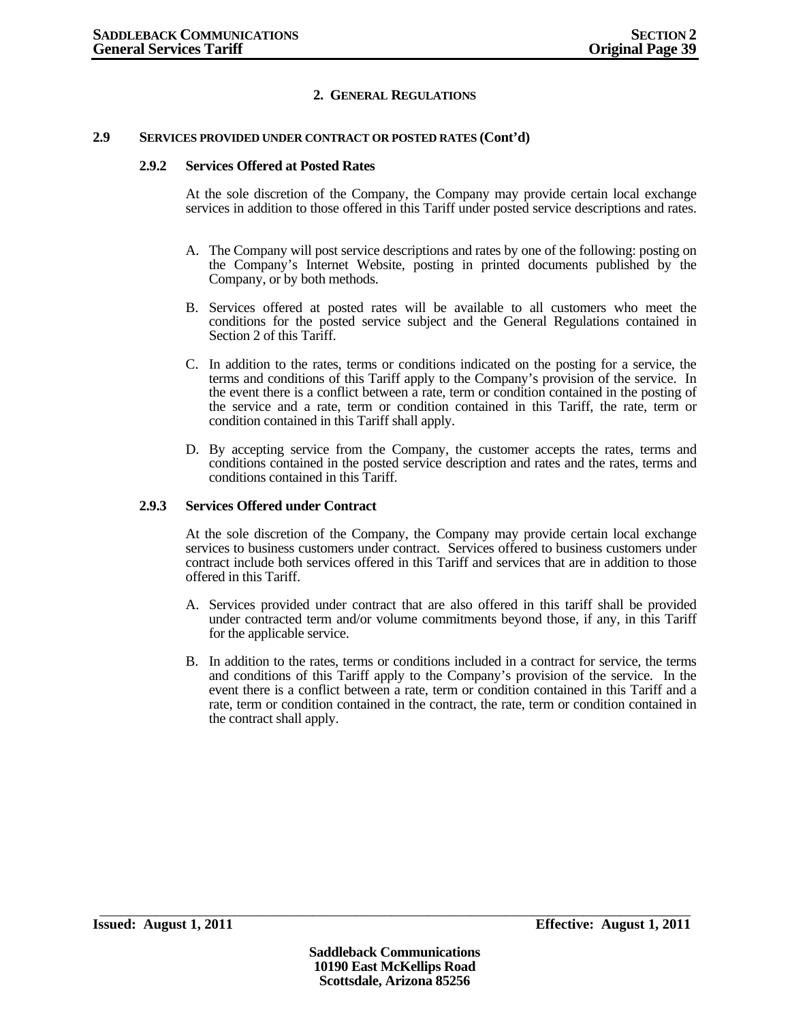# **2. GENERAL REGULATIONS**

#### **2.9 SERVICES PROVIDED UNDER CONTRACT OR POSTED RATES (Cont'd)**

#### **2.9.2 Services Offered at Posted Rates**

At the sole discretion of the Company, the Company may provide certain local exchange services in addition to those offered in this Tariff under posted service descriptions and rates.

- A. The Company will post service descriptions and rates by one of the following: posting on the Company's Internet Website, posting in printed documents published by the Company, or by both methods.
- B. Services offered at posted rates will be available to all customers who meet the conditions for the posted service subject and the General Regulations contained in Section 2 of this Tariff.
- C. In addition to the rates, terms or conditions indicated on the posting for a service, the terms and conditions of this Tariff apply to the Company's provision of the service. In the event there is a conflict between a rate, term or condition contained in the posting of the service and a rate, term or condition contained in this Tariff, the rate, term or condition contained in this Tariff shall apply.
- D. By accepting service from the Company, the customer accepts the rates, terms and conditions contained in the posted service description and rates and the rates, terms and conditions contained in this Tariff.

#### **2.9.3 Services Offered under Contract**

At the sole discretion of the Company, the Company may provide certain local exchange services to business customers under contract. Services offered to business customers under contract include both services offered in this Tariff and services that are in addition to those offered in this Tariff.

- A. Services provided under contract that are also offered in this tariff shall be provided under contracted term and/or volume commitments beyond those, if any, in this Tariff for the applicable service.
- B. In addition to the rates, terms or conditions included in a contract for service, the terms and conditions of this Tariff apply to the Company's provision of the service. In the event there is a conflict between a rate, term or condition contained in this Tariff and a rate, term or condition contained in the contract, the rate, term or condition contained in the contract shall apply.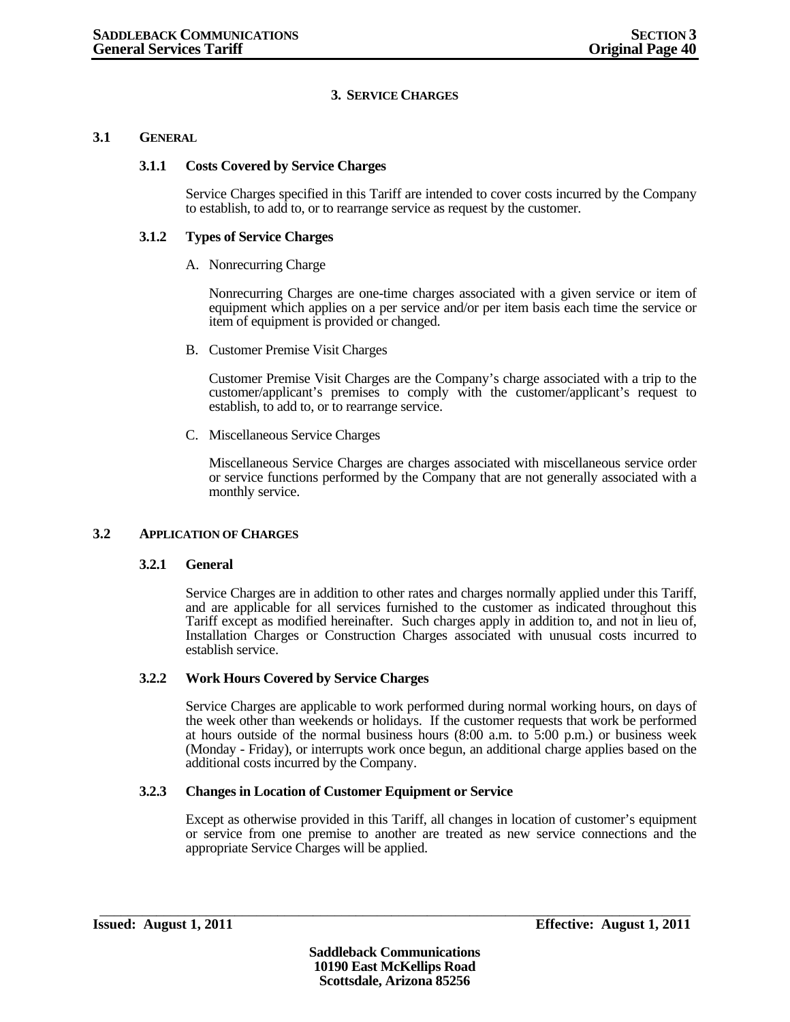# **3. SERVICE CHARGES**

### **3.1 GENERAL**

### **3.1.1 Costs Covered by Service Charges**

Service Charges specified in this Tariff are intended to cover costs incurred by the Company to establish, to add to, or to rearrange service as request by the customer.

### **3.1.2 Types of Service Charges**

# A. Nonrecurring Charge

Nonrecurring Charges are one-time charges associated with a given service or item of equipment which applies on a per service and/or per item basis each time the service or item of equipment is provided or changed.

B. Customer Premise Visit Charges

Customer Premise Visit Charges are the Company's charge associated with a trip to the customer/applicant's premises to comply with the customer/applicant's request to establish, to add to, or to rearrange service.

C. Miscellaneous Service Charges

Miscellaneous Service Charges are charges associated with miscellaneous service order or service functions performed by the Company that are not generally associated with a monthly service.

### **3.2 APPLICATION OF CHARGES**

### **3.2.1 General**

Service Charges are in addition to other rates and charges normally applied under this Tariff, and are applicable for all services furnished to the customer as indicated throughout this Tariff except as modified hereinafter. Such charges apply in addition to, and not in lieu of, Installation Charges or Construction Charges associated with unusual costs incurred to establish service.

# **3.2.2 Work Hours Covered by Service Charges**

Service Charges are applicable to work performed during normal working hours, on days of the week other than weekends or holidays. If the customer requests that work be performed at hours outside of the normal business hours (8:00 a.m. to 5:00 p.m.) or business week (Monday - Friday), or interrupts work once begun, an additional charge applies based on the additional costs incurred by the Company.

### **3.2.3 Changes in Location of Customer Equipment or Service**

Except as otherwise provided in this Tariff, all changes in location of customer's equipment or service from one premise to another are treated as new service connections and the appropriate Service Charges will be applied.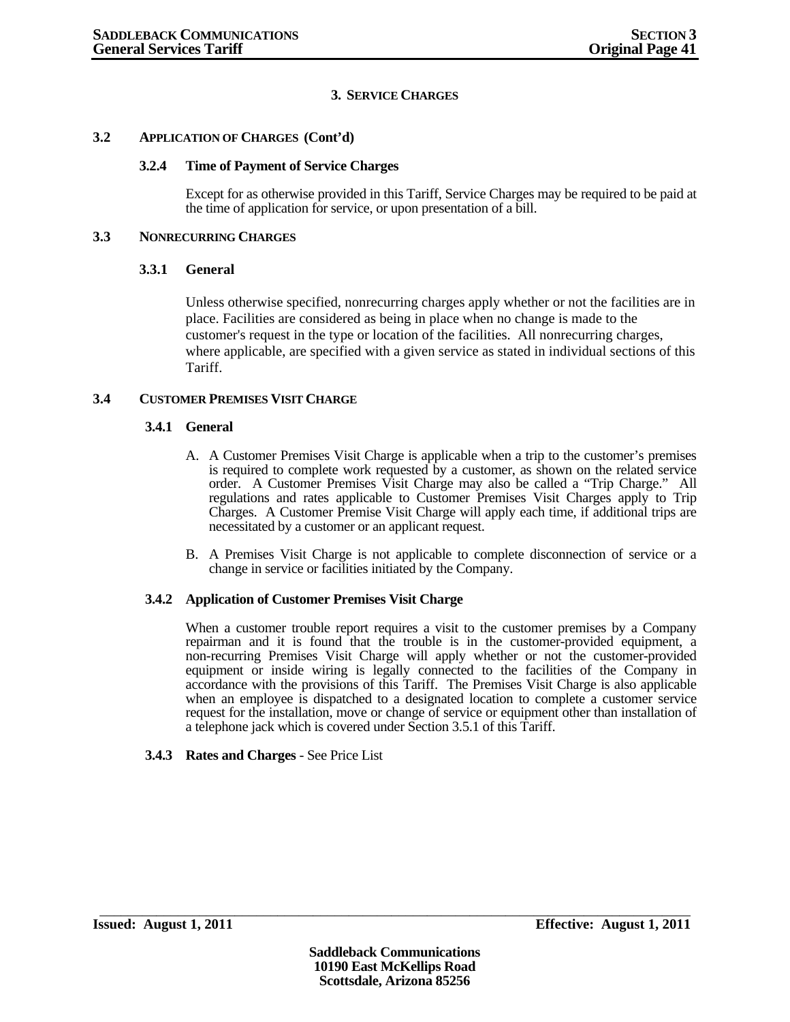# **3. SERVICE CHARGES**

### **3.2 APPLICATION OF CHARGES (Cont'd)**

### **3.2.4 Time of Payment of Service Charges**

Except for as otherwise provided in this Tariff, Service Charges may be required to be paid at the time of application for service, or upon presentation of a bill.

# **3.3 NONRECURRING CHARGES**

### **3.3.1 General**

Unless otherwise specified, nonrecurring charges apply whether or not the facilities are in place. Facilities are considered as being in place when no change is made to the customer's request in the type or location of the facilities. All nonrecurring charges, where applicable, are specified with a given service as stated in individual sections of this Tariff.

# **3.4 CUSTOMER PREMISES VISIT CHARGE**

### **3.4.1 General**

- A. A Customer Premises Visit Charge is applicable when a trip to the customer's premises is required to complete work requested by a customer, as shown on the related service order. A Customer Premises Visit Charge may also be called a "Trip Charge." All regulations and rates applicable to Customer Premises Visit Charges apply to Trip Charges. A Customer Premise Visit Charge will apply each time, if additional trips are necessitated by a customer or an applicant request.
- B. A Premises Visit Charge is not applicable to complete disconnection of service or a change in service or facilities initiated by the Company.

### **3.4.2 Application of Customer Premises Visit Charge**

When a customer trouble report requires a visit to the customer premises by a Company repairman and it is found that the trouble is in the customer-provided equipment, a non-recurring Premises Visit Charge will apply whether or not the customer-provided equipment or inside wiring is legally connected to the facilities of the Company in accordance with the provisions of this Tariff. The Premises Visit Charge is also applicable when an employee is dispatched to a designated location to complete a customer service request for the installation, move or change of service or equipment other than installation of a telephone jack which is covered under Section 3.5.1 of this Tariff.

### **3.4.3 Rates and Charges** - See Price List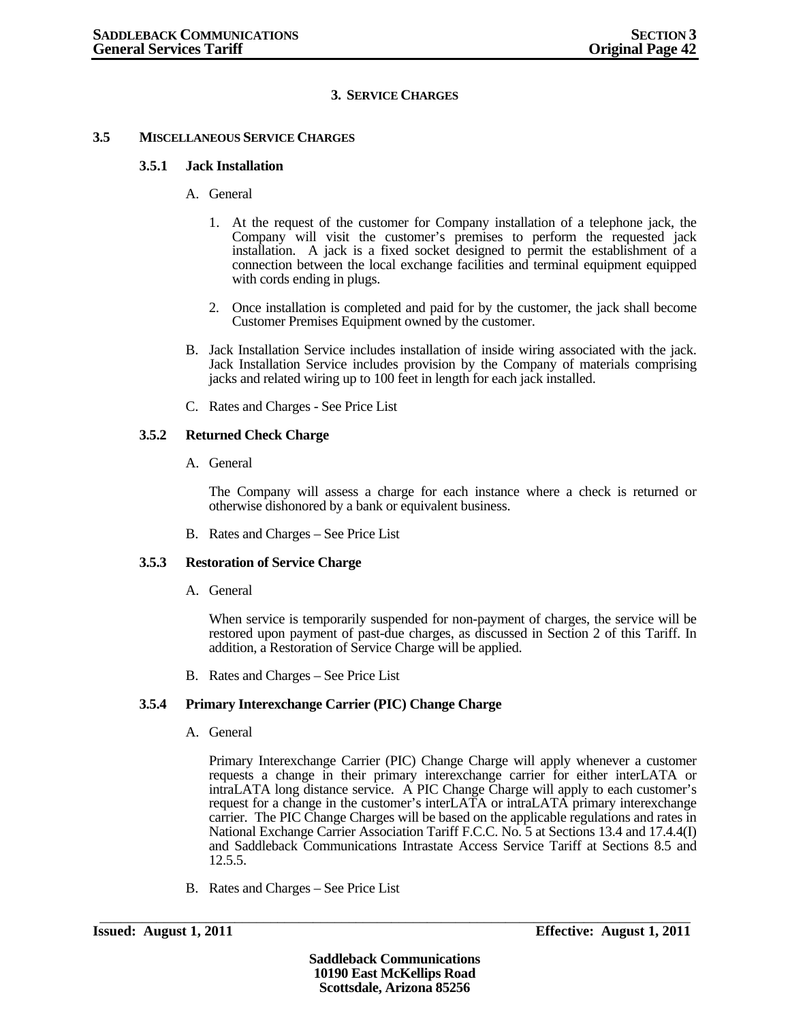# **3. SERVICE CHARGES**

#### **3.5 MISCELLANEOUS SERVICE CHARGES**

#### **3.5.1 Jack Installation**

- A. General
	- 1. At the request of the customer for Company installation of a telephone jack, the Company will visit the customer's premises to perform the requested jack installation. A jack is a fixed socket designed to permit the establishment of a connection between the local exchange facilities and terminal equipment equipped with cords ending in plugs.
	- 2. Once installation is completed and paid for by the customer, the jack shall become Customer Premises Equipment owned by the customer.
- B. Jack Installation Service includes installation of inside wiring associated with the jack. Jack Installation Service includes provision by the Company of materials comprising jacks and related wiring up to 100 feet in length for each jack installed.
- C. Rates and Charges See Price List

### **3.5.2 Returned Check Charge**

A. General

The Company will assess a charge for each instance where a check is returned or otherwise dishonored by a bank or equivalent business.

B. Rates and Charges – See Price List

#### **3.5.3 Restoration of Service Charge**

A. General

When service is temporarily suspended for non-payment of charges, the service will be restored upon payment of past-due charges, as discussed in Section 2 of this Tariff. In addition, a Restoration of Service Charge will be applied.

B. Rates and Charges – See Price List

### **3.5.4 Primary Interexchange Carrier (PIC) Change Charge**

A. General

Primary Interexchange Carrier (PIC) Change Charge will apply whenever a customer requests a change in their primary interexchange carrier for either interLATA or intraLATA long distance service. A PIC Change Charge will apply to each customer's request for a change in the customer's interLATA or intraLATA primary interexchange carrier. The PIC Change Charges will be based on the applicable regulations and rates in National Exchange Carrier Association Tariff F.C.C. No. 5 at Sections 13.4 and 17.4.4(I) and Saddleback Communications Intrastate Access Service Tariff at Sections 8.5 and 12.5.5.

B. Rates and Charges – See Price List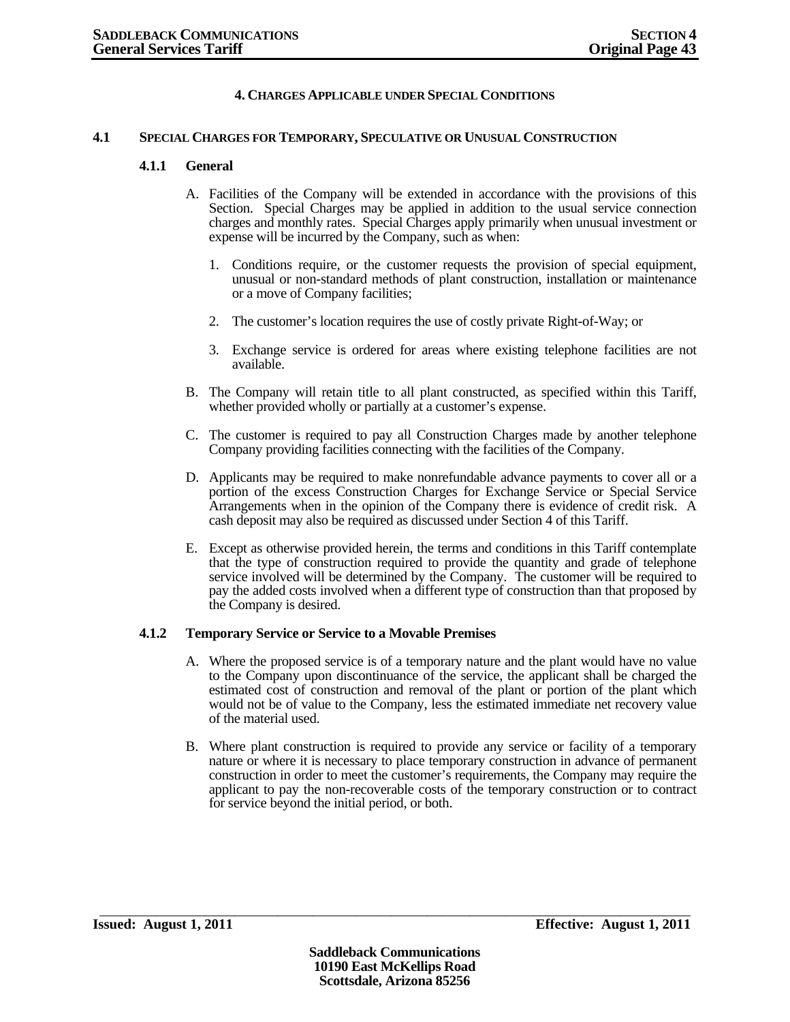#### **4.1 SPECIAL CHARGES FOR TEMPORARY, SPECULATIVE OR UNUSUAL CONSTRUCTION**

#### **4.1.1 General**

- A. Facilities of the Company will be extended in accordance with the provisions of this Section. Special Charges may be applied in addition to the usual service connection charges and monthly rates. Special Charges apply primarily when unusual investment or expense will be incurred by the Company, such as when:
	- 1. Conditions require, or the customer requests the provision of special equipment, unusual or non-standard methods of plant construction, installation or maintenance or a move of Company facilities;
	- 2. The customer's location requires the use of costly private Right-of-Way; or
	- 3. Exchange service is ordered for areas where existing telephone facilities are not available.
- B. The Company will retain title to all plant constructed, as specified within this Tariff, whether provided wholly or partially at a customer's expense.
- C. The customer is required to pay all Construction Charges made by another telephone Company providing facilities connecting with the facilities of the Company.
- D. Applicants may be required to make nonrefundable advance payments to cover all or a portion of the excess Construction Charges for Exchange Service or Special Service Arrangements when in the opinion of the Company there is evidence of credit risk. A cash deposit may also be required as discussed under Section 4 of this Tariff.
- E. Except as otherwise provided herein, the terms and conditions in this Tariff contemplate that the type of construction required to provide the quantity and grade of telephone service involved will be determined by the Company. The customer will be required to pay the added costs involved when a different type of construction than that proposed by the Company is desired.

### **4.1.2 Temporary Service or Service to a Movable Premises**

- A. Where the proposed service is of a temporary nature and the plant would have no value to the Company upon discontinuance of the service, the applicant shall be charged the estimated cost of construction and removal of the plant or portion of the plant which would not be of value to the Company, less the estimated immediate net recovery value of the material used.
- B. Where plant construction is required to provide any service or facility of a temporary nature or where it is necessary to place temporary construction in advance of permanent construction in order to meet the customer's requirements, the Company may require the applicant to pay the non-recoverable costs of the temporary construction or to contract for service beyond the initial period, or both.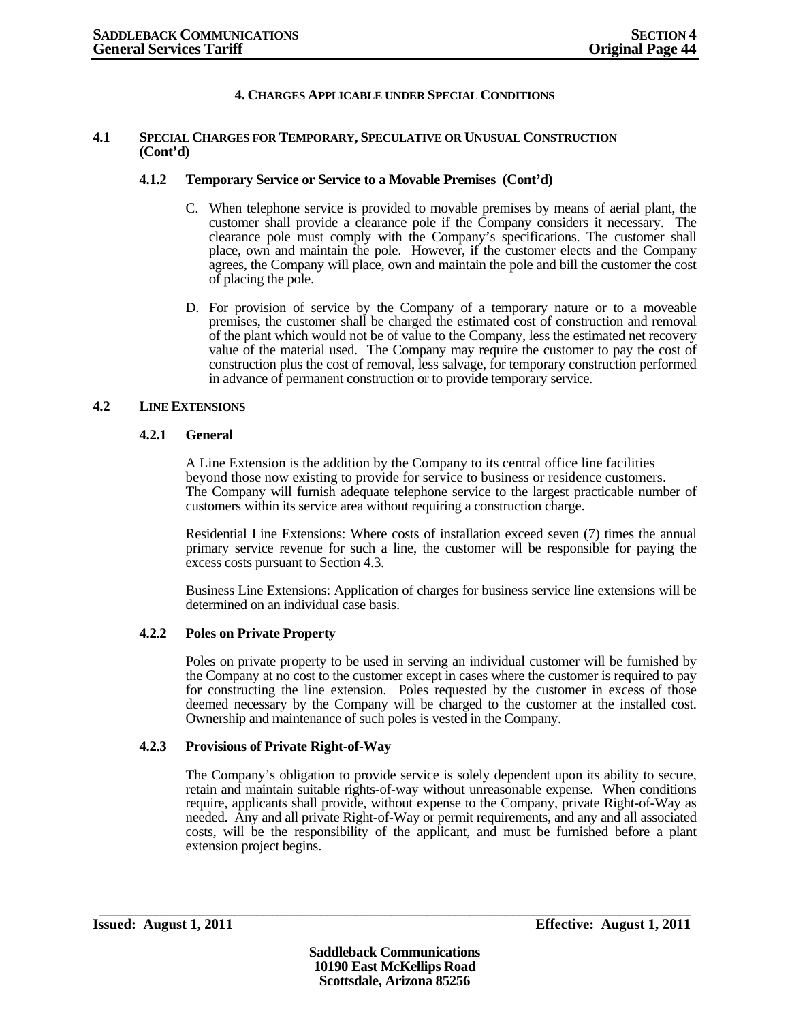#### **4.1 SPECIAL CHARGES FOR TEMPORARY, SPECULATIVE OR UNUSUAL CONSTRUCTION (Cont'd)**

#### **4.1.2 Temporary Service or Service to a Movable Premises (Cont'd)**

- C. When telephone service is provided to movable premises by means of aerial plant, the customer shall provide a clearance pole if the Company considers it necessary. The clearance pole must comply with the Company's specifications. The customer shall place, own and maintain the pole. However, if the customer elects and the Company agrees, the Company will place, own and maintain the pole and bill the customer the cost of placing the pole.
- D. For provision of service by the Company of a temporary nature or to a moveable premises, the customer shall be charged the estimated cost of construction and removal of the plant which would not be of value to the Company, less the estimated net recovery value of the material used. The Company may require the customer to pay the cost of construction plus the cost of removal, less salvage, for temporary construction performed in advance of permanent construction or to provide temporary service.

## **4.2 LINE EXTENSIONS**

#### **4.2.1 General**

A Line Extension is the addition by the Company to its central office line facilities beyond those now existing to provide for service to business or residence customers. The Company will furnish adequate telephone service to the largest practicable number of customers within its service area without requiring a construction charge.

 Residential Line Extensions: Where costs of installation exceed seven (7) times the annual primary service revenue for such a line, the customer will be responsible for paying the excess costs pursuant to Section 4.3.

 Business Line Extensions: Application of charges for business service line extensions will be determined on an individual case basis.

### **4.2.2 Poles on Private Property**

Poles on private property to be used in serving an individual customer will be furnished by the Company at no cost to the customer except in cases where the customer is required to pay for constructing the line extension. Poles requested by the customer in excess of those deemed necessary by the Company will be charged to the customer at the installed cost. Ownership and maintenance of such poles is vested in the Company.

### **4.2.3 Provisions of Private Right-of-Way**

The Company's obligation to provide service is solely dependent upon its ability to secure, retain and maintain suitable rights-of-way without unreasonable expense. When conditions require, applicants shall provide, without expense to the Company, private Right-of-Way as needed. Any and all private Right-of-Way or permit requirements, and any and all associated costs, will be the responsibility of the applicant, and must be furnished before a plant extension project begins.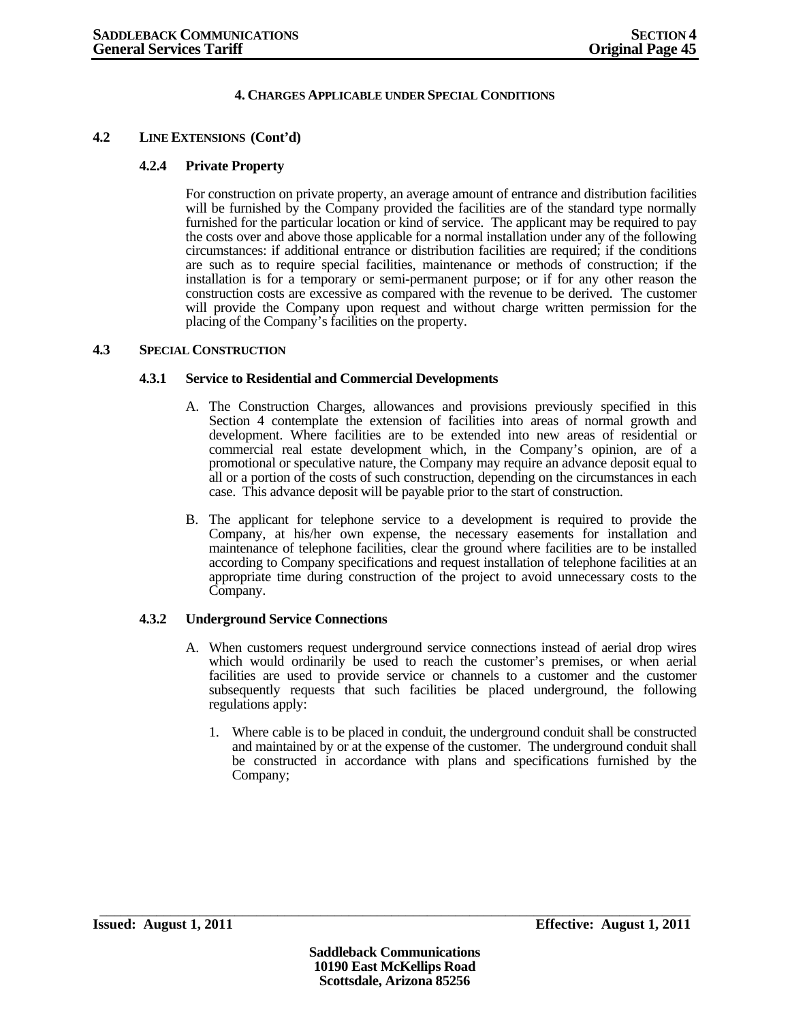# **4.2 LINE EXTENSIONS (Cont'd)**

### **4.2.4 Private Property**

For construction on private property, an average amount of entrance and distribution facilities will be furnished by the Company provided the facilities are of the standard type normally furnished for the particular location or kind of service. The applicant may be required to pay the costs over and above those applicable for a normal installation under any of the following circumstances: if additional entrance or distribution facilities are required; if the conditions are such as to require special facilities, maintenance or methods of construction; if the installation is for a temporary or semi-permanent purpose; or if for any other reason the construction costs are excessive as compared with the revenue to be derived. The customer will provide the Company upon request and without charge written permission for the placing of the Company's facilities on the property.

### **4.3 SPECIAL CONSTRUCTION**

#### **4.3.1 Service to Residential and Commercial Developments**

- A. The Construction Charges, allowances and provisions previously specified in this Section 4 contemplate the extension of facilities into areas of normal growth and development. Where facilities are to be extended into new areas of residential or commercial real estate development which, in the Company's opinion, are of a promotional or speculative nature, the Company may require an advance deposit equal to all or a portion of the costs of such construction, depending on the circumstances in each case. This advance deposit will be payable prior to the start of construction.
- B. The applicant for telephone service to a development is required to provide the Company, at his/her own expense, the necessary easements for installation and maintenance of telephone facilities, clear the ground where facilities are to be installed according to Company specifications and request installation of telephone facilities at an appropriate time during construction of the project to avoid unnecessary costs to the Company.

### **4.3.2 Underground Service Connections**

- A. When customers request underground service connections instead of aerial drop wires which would ordinarily be used to reach the customer's premises, or when aerial facilities are used to provide service or channels to a customer and the customer subsequently requests that such facilities be placed underground, the following regulations apply:
	- 1. Where cable is to be placed in conduit, the underground conduit shall be constructed and maintained by or at the expense of the customer. The underground conduit shall be constructed in accordance with plans and specifications furnished by the Company;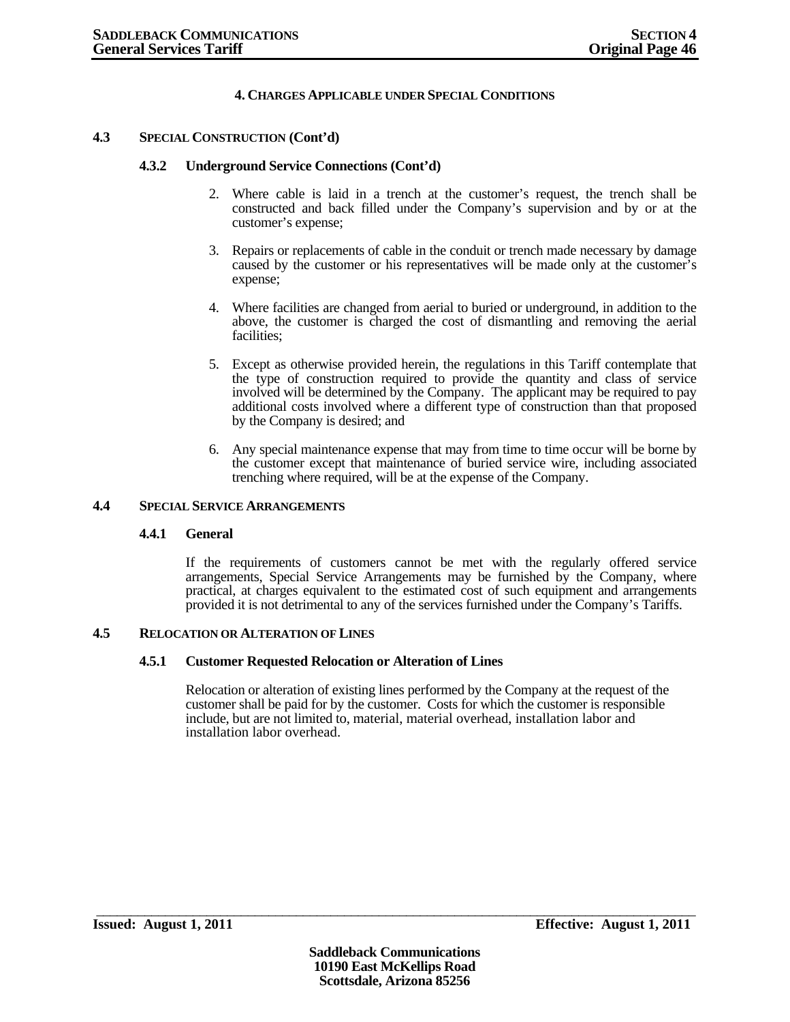### **4.3 SPECIAL CONSTRUCTION (Cont'd)**

#### **4.3.2 Underground Service Connections (Cont'd)**

- 2. Where cable is laid in a trench at the customer's request, the trench shall be constructed and back filled under the Company's supervision and by or at the customer's expense;
- 3. Repairs or replacements of cable in the conduit or trench made necessary by damage caused by the customer or his representatives will be made only at the customer's expense;
- 4. Where facilities are changed from aerial to buried or underground, in addition to the above, the customer is charged the cost of dismantling and removing the aerial facilities;
- 5. Except as otherwise provided herein, the regulations in this Tariff contemplate that the type of construction required to provide the quantity and class of service involved will be determined by the Company. The applicant may be required to pay additional costs involved where a different type of construction than that proposed by the Company is desired; and
- 6. Any special maintenance expense that may from time to time occur will be borne by the customer except that maintenance of buried service wire, including associated trenching where required, will be at the expense of the Company.

# **4.4 SPECIAL SERVICE ARRANGEMENTS**

#### **4.4.1 General**

If the requirements of customers cannot be met with the regularly offered service arrangements, Special Service Arrangements may be furnished by the Company, where practical, at charges equivalent to the estimated cost of such equipment and arrangements provided it is not detrimental to any of the services furnished under the Company's Tariffs.

### **4.5 RELOCATION OR ALTERATION OF LINES**

### **4.5.1 Customer Requested Relocation or Alteration of Lines**

Relocation or alteration of existing lines performed by the Company at the request of the customer shall be paid for by the customer. Costs for which the customer is responsible include, but are not limited to, material, material overhead, installation labor and installation labor overhead.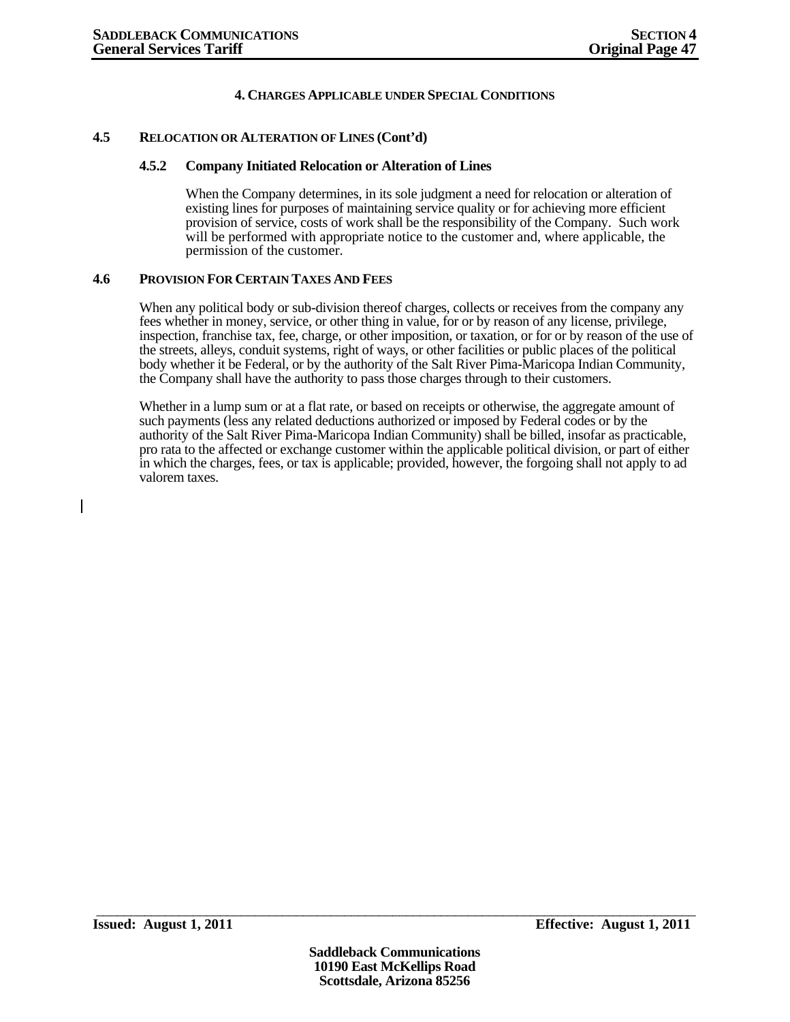#### **4.5 RELOCATION OR ALTERATION OF LINES (Cont'd)**

#### **4.5.2 Company Initiated Relocation or Alteration of Lines**

When the Company determines, in its sole judgment a need for relocation or alteration of existing lines for purposes of maintaining service quality or for achieving more efficient provision of service, costs of work shall be the responsibility of the Company. Such work will be performed with appropriate notice to the customer and, where applicable, the permission of the customer.

# **4.6 PROVISION FOR CERTAIN TAXES AND FEES**

When any political body or sub-division thereof charges, collects or receives from the company any fees whether in money, service, or other thing in value, for or by reason of any license, privilege, inspection, franchise tax, fee, charge, or other imposition, or taxation, or for or by reason of the use of the streets, alleys, conduit systems, right of ways, or other facilities or public places of the political body whether it be Federal, or by the authority of the Salt River Pima-Maricopa Indian Community, the Company shall have the authority to pass those charges through to their customers.

Whether in a lump sum or at a flat rate, or based on receipts or otherwise, the aggregate amount of such payments (less any related deductions authorized or imposed by Federal codes or by the authority of the Salt River Pima-Maricopa Indian Community) shall be billed, insofar as practicable, pro rata to the affected or exchange customer within the applicable political division, or part of either in which the charges, fees, or tax is applicable; provided, however, the forgoing shall not apply to ad valorem taxes.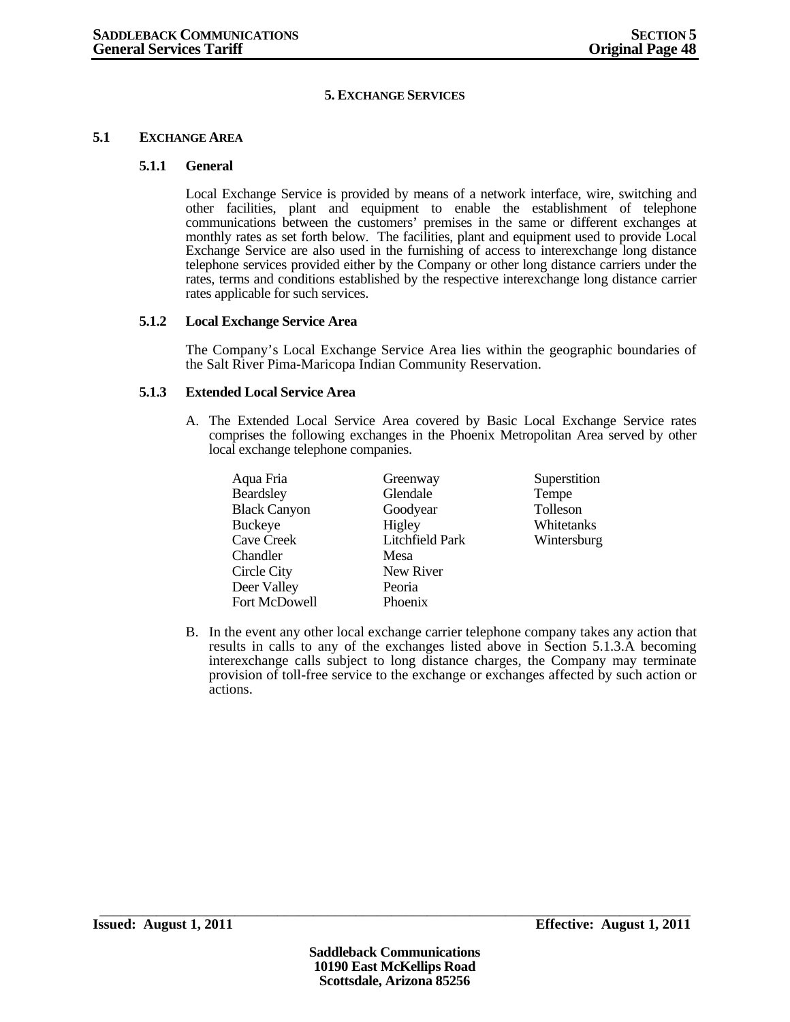### **5. EXCHANGE SERVICES**

#### **5.1 EXCHANGE AREA**

#### **5.1.1 General**

Local Exchange Service is provided by means of a network interface, wire, switching and other facilities, plant and equipment to enable the establishment of telephone communications between the customers' premises in the same or different exchanges at monthly rates as set forth below. The facilities, plant and equipment used to provide Local Exchange Service are also used in the furnishing of access to interexchange long distance telephone services provided either by the Company or other long distance carriers under the rates, terms and conditions established by the respective interexchange long distance carrier rates applicable for such services.

## **5.1.2 Local Exchange Service Area**

The Company's Local Exchange Service Area lies within the geographic boundaries of the Salt River Pima-Maricopa Indian Community Reservation.

#### **5.1.3 Extended Local Service Area**

A. The Extended Local Service Area covered by Basic Local Exchange Service rates comprises the following exchanges in the Phoenix Metropolitan Area served by other local exchange telephone companies.

| Aqua Fria           | Greenway        | Superstition |
|---------------------|-----------------|--------------|
| Beardsley           | Glendale        | Tempe        |
| <b>Black Canyon</b> | Goodyear        | Tolleson     |
| Buckeye             | Higley          | Whitetanks   |
| <b>Cave Creek</b>   | Litchfield Park | Wintersburg  |
| Chandler            | Mesa            |              |
| Circle City         | New River       |              |
| Deer Valley         | Peoria          |              |
| Fort McDowell       | Phoenix         |              |

B. In the event any other local exchange carrier telephone company takes any action that results in calls to any of the exchanges listed above in Section 5.1.3.A becoming interexchange calls subject to long distance charges, the Company may terminate provision of toll-free service to the exchange or exchanges affected by such action or actions.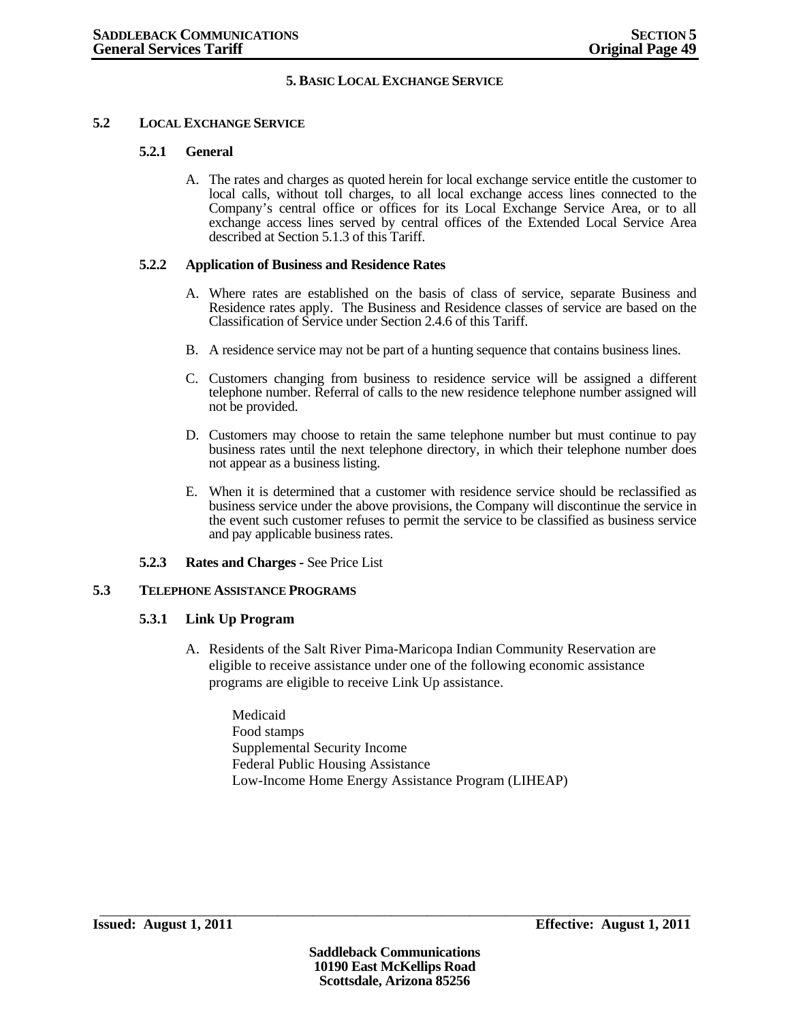#### **5.2 LOCAL EXCHANGE SERVICE**

#### **5.2.1 General**

A. The rates and charges as quoted herein for local exchange service entitle the customer to local calls, without toll charges, to all local exchange access lines connected to the Company's central office or offices for its Local Exchange Service Area, or to all exchange access lines served by central offices of the Extended Local Service Area described at Section 5.1.3 of this Tariff.

#### **5.2.2 Application of Business and Residence Rates**

- A. Where rates are established on the basis of class of service, separate Business and Residence rates apply. The Business and Residence classes of service are based on the Classification of Service under Section 2.4.6 of this Tariff.
- B. A residence service may not be part of a hunting sequence that contains business lines.
- C. Customers changing from business to residence service will be assigned a different telephone number. Referral of calls to the new residence telephone number assigned will not be provided.
- D. Customers may choose to retain the same telephone number but must continue to pay business rates until the next telephone directory, in which their telephone number does not appear as a business listing.
- E. When it is determined that a customer with residence service should be reclassified as business service under the above provisions, the Company will discontinue the service in the event such customer refuses to permit the service to be classified as business service and pay applicable business rates.

#### **5.2.3 Rates and Charges -** See Price List

#### **5.3 TELEPHONE ASSISTANCE PROGRAMS**

### **5.3.1 Link Up Program**

A. Residents of the Salt River Pima-Maricopa Indian Community Reservation are eligible to receive assistance under one of the following economic assistance programs are eligible to receive Link Up assistance.

Medicaid Food stamps Supplemental Security Income Federal Public Housing Assistance Low-Income Home Energy Assistance Program (LIHEAP)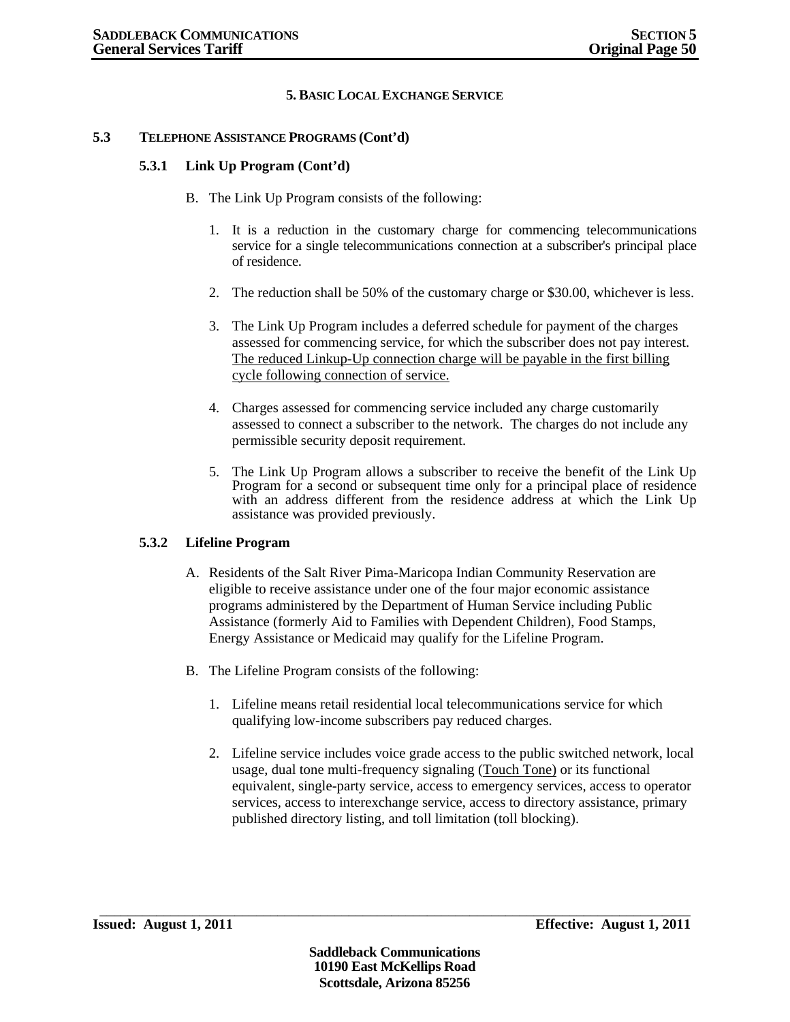### **5.3 TELEPHONE ASSISTANCE PROGRAMS (Cont'd)**

## **5.3.1 Link Up Program (Cont'd)**

- B. The Link Up Program consists of the following:
	- 1. It is a reduction in the customary charge for commencing telecommunications service for a single telecommunications connection at a subscriber's principal place of residence.
	- 2. The reduction shall be 50% of the customary charge or \$30.00, whichever is less.
	- 3. The Link Up Program includes a deferred schedule for payment of the charges assessed for commencing service, for which the subscriber does not pay interest. The reduced Linkup-Up connection charge will be payable in the first billing cycle following connection of service.
	- 4. Charges assessed for commencing service included any charge customarily assessed to connect a subscriber to the network. The charges do not include any permissible security deposit requirement.
	- 5. The Link Up Program allows a subscriber to receive the benefit of the Link Up Program for a second or subsequent time only for a principal place of residence with an address different from the residence address at which the Link Up assistance was provided previously.

# **5.3.2 Lifeline Program**

- A. Residents of the Salt River Pima-Maricopa Indian Community Reservation are eligible to receive assistance under one of the four major economic assistance programs administered by the Department of Human Service including Public Assistance (formerly Aid to Families with Dependent Children), Food Stamps, Energy Assistance or Medicaid may qualify for the Lifeline Program.
- B. The Lifeline Program consists of the following:
	- 1. Lifeline means retail residential local telecommunications service for which qualifying low-income subscribers pay reduced charges.
	- 2. Lifeline service includes voice grade access to the public switched network, local usage, dual tone multi-frequency signaling (Touch Tone) or its functional equivalent, single-party service, access to emergency services, access to operator services, access to interexchange service, access to directory assistance, primary published directory listing, and toll limitation (toll blocking).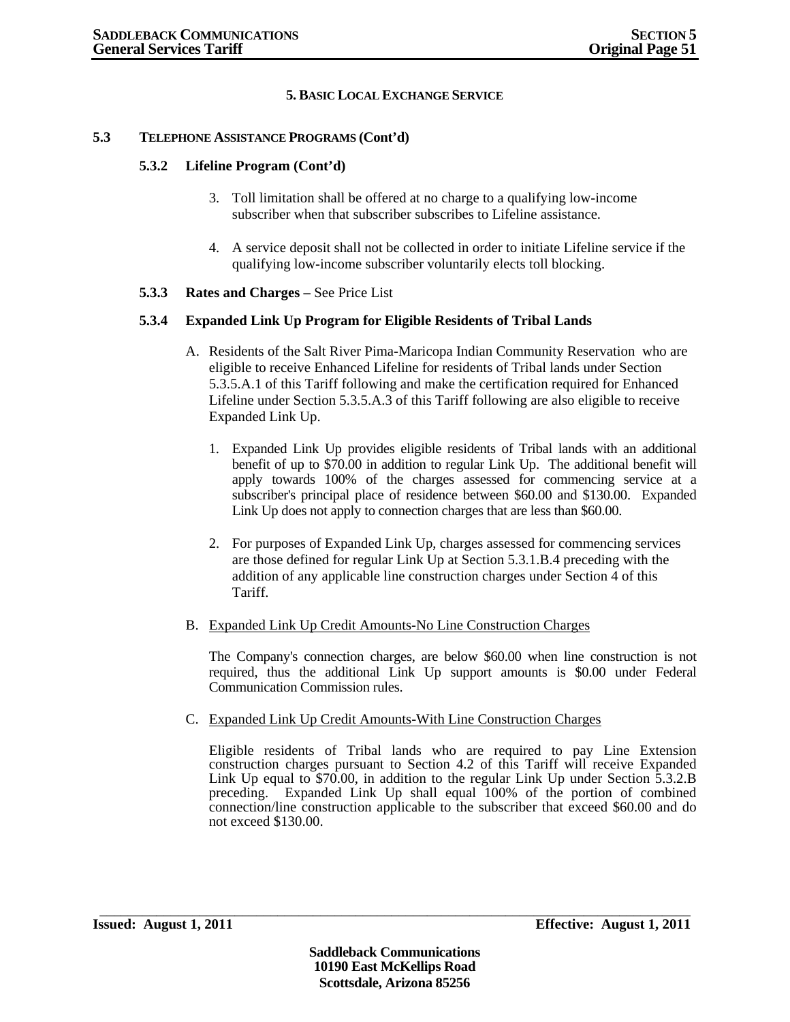## **5.3 TELEPHONE ASSISTANCE PROGRAMS (Cont'd)**

## **5.3.2 Lifeline Program (Cont'd)**

- 3. Toll limitation shall be offered at no charge to a qualifying low-income subscriber when that subscriber subscribes to Lifeline assistance.
- 4. A service deposit shall not be collected in order to initiate Lifeline service if the qualifying low-income subscriber voluntarily elects toll blocking.

# **5.3.3 Rates and Charges –** See Price List

# **5.3.4 Expanded Link Up Program for Eligible Residents of Tribal Lands**

- A. Residents of the Salt River Pima-Maricopa Indian Community Reservation who are eligible to receive Enhanced Lifeline for residents of Tribal lands under Section 5.3.5.A.1 of this Tariff following and make the certification required for Enhanced Lifeline under Section 5.3.5.A.3 of this Tariff following are also eligible to receive Expanded Link Up.
	- 1. Expanded Link Up provides eligible residents of Tribal lands with an additional benefit of up to \$70.00 in addition to regular Link Up. The additional benefit will apply towards 100% of the charges assessed for commencing service at a subscriber's principal place of residence between \$60.00 and \$130.00. Expanded Link Up does not apply to connection charges that are less than \$60.00.
	- 2. For purposes of Expanded Link Up, charges assessed for commencing services are those defined for regular Link Up at Section 5.3.1.B.4 preceding with the addition of any applicable line construction charges under Section 4 of this Tariff.

## B. Expanded Link Up Credit Amounts-No Line Construction Charges

The Company's connection charges, are below \$60.00 when line construction is not required, thus the additional Link Up support amounts is \$0.00 under Federal Communication Commission rules.

### C. Expanded Link Up Credit Amounts-With Line Construction Charges

Eligible residents of Tribal lands who are required to pay Line Extension construction charges pursuant to Section 4.2 of this Tariff will receive Expanded Link Up equal to \$70.00, in addition to the regular Link Up under Section 5.3.2.B preceding. Expanded Link Up shall equal 100% of the portion of combined connection/line construction applicable to the subscriber that exceed \$60.00 and do not exceed \$130.00.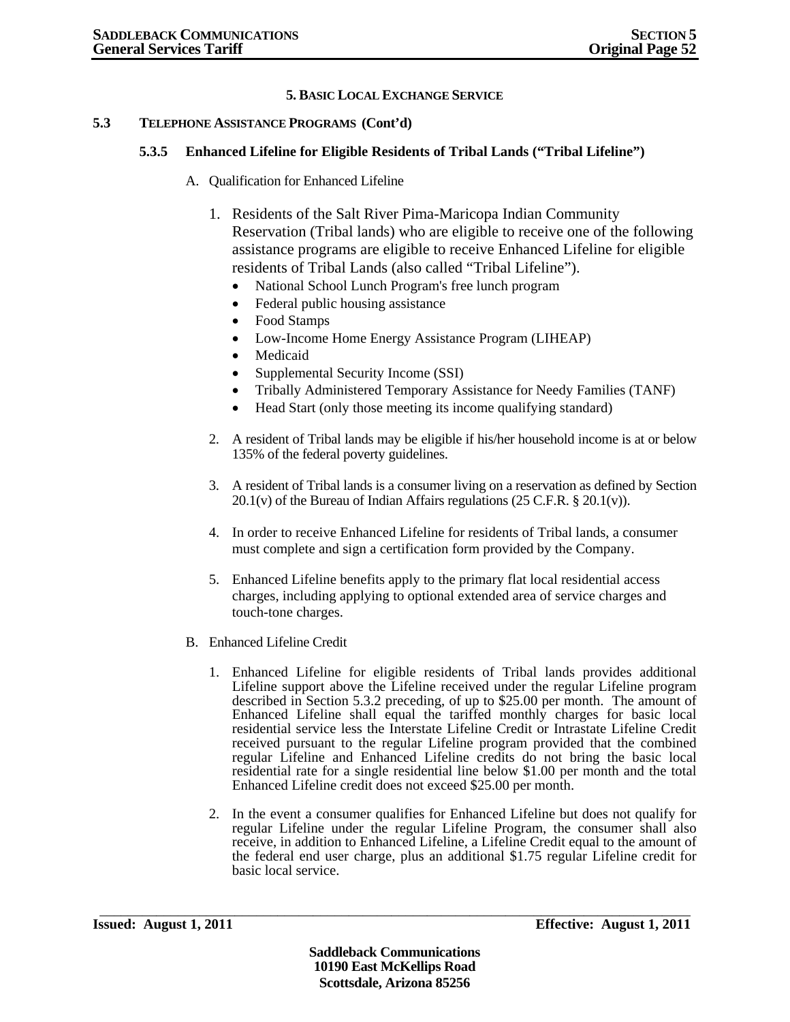### **5.3 TELEPHONE ASSISTANCE PROGRAMS (Cont'd)**

# **5.3.5 Enhanced Lifeline for Eligible Residents of Tribal Lands ("Tribal Lifeline")**

- A. Qualification for Enhanced Lifeline
	- 1. Residents of the Salt River Pima-Maricopa Indian Community Reservation (Tribal lands) who are eligible to receive one of the following assistance programs are eligible to receive Enhanced Lifeline for eligible residents of Tribal Lands (also called "Tribal Lifeline").
		- National School Lunch Program's free lunch program
		- Federal public housing assistance
		- Food Stamps
		- Low-Income Home Energy Assistance Program (LIHEAP)
		- Medicaid
		- Supplemental Security Income (SSI)
		- Tribally Administered Temporary Assistance for Needy Families (TANF)
		- Head Start (only those meeting its income qualifying standard)
	- 2. A resident of Tribal lands may be eligible if his/her household income is at or below 135% of the federal poverty guidelines.
	- 3. A resident of Tribal lands is a consumer living on a reservation as defined by Section  $20.1(v)$  of the Bureau of Indian Affairs regulations (25 C.F.R. § 20.1(v)).
	- 4. In order to receive Enhanced Lifeline for residents of Tribal lands, a consumer must complete and sign a certification form provided by the Company.
	- 5. Enhanced Lifeline benefits apply to the primary flat local residential access charges, including applying to optional extended area of service charges and touch-tone charges.
- B. Enhanced Lifeline Credit
	- 1. Enhanced Lifeline for eligible residents of Tribal lands provides additional Lifeline support above the Lifeline received under the regular Lifeline program described in Section 5.3.2 preceding, of up to \$25.00 per month. The amount of Enhanced Lifeline shall equal the tariffed monthly charges for basic local residential service less the Interstate Lifeline Credit or Intrastate Lifeline Credit received pursuant to the regular Lifeline program provided that the combined regular Lifeline and Enhanced Lifeline credits do not bring the basic local residential rate for a single residential line below \$1.00 per month and the total Enhanced Lifeline credit does not exceed \$25.00 per month.
	- 2. In the event a consumer qualifies for Enhanced Lifeline but does not qualify for regular Lifeline under the regular Lifeline Program, the consumer shall also receive, in addition to Enhanced Lifeline, a Lifeline Credit equal to the amount of the federal end user charge, plus an additional \$1.75 regular Lifeline credit for basic local service.

**Saddleback Communications 10190 East McKellips Road Scottsdale, Arizona 85256**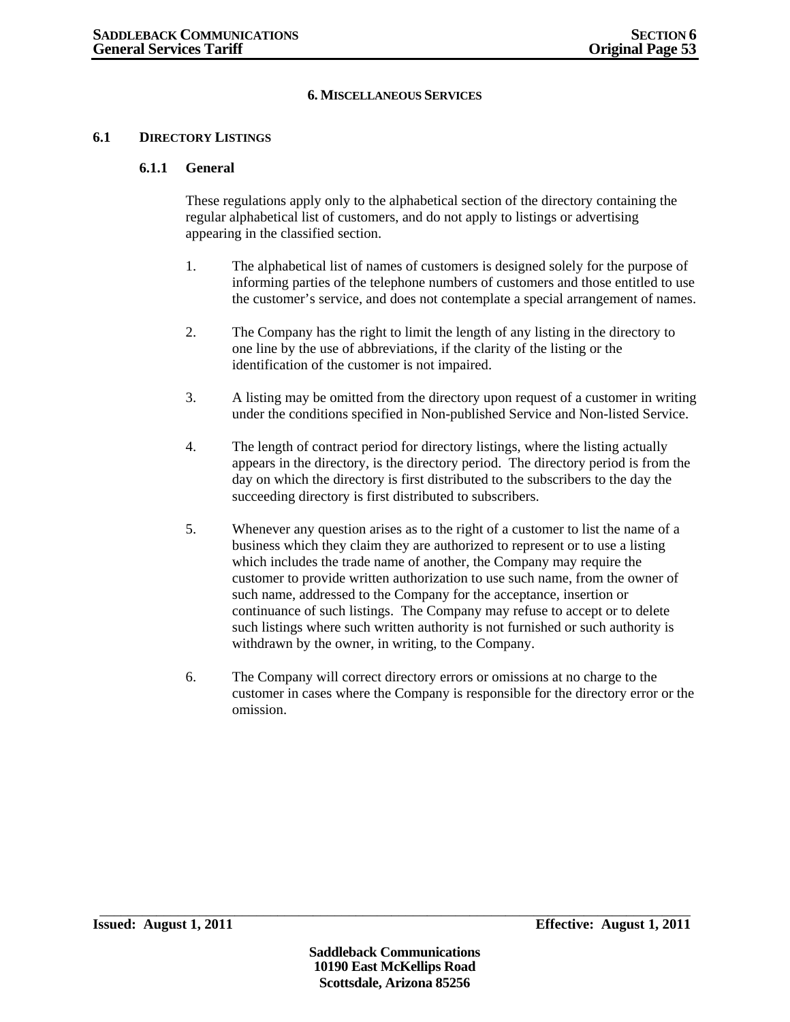## **6.1 DIRECTORY LISTINGS**

## **6.1.1 General**

These regulations apply only to the alphabetical section of the directory containing the regular alphabetical list of customers, and do not apply to listings or advertising appearing in the classified section.

- 1. The alphabetical list of names of customers is designed solely for the purpose of informing parties of the telephone numbers of customers and those entitled to use the customer's service, and does not contemplate a special arrangement of names.
- 2. The Company has the right to limit the length of any listing in the directory to one line by the use of abbreviations, if the clarity of the listing or the identification of the customer is not impaired.
- 3. A listing may be omitted from the directory upon request of a customer in writing under the conditions specified in Non-published Service and Non-listed Service.
- 4. The length of contract period for directory listings, where the listing actually appears in the directory, is the directory period. The directory period is from the day on which the directory is first distributed to the subscribers to the day the succeeding directory is first distributed to subscribers.
- 5. Whenever any question arises as to the right of a customer to list the name of a business which they claim they are authorized to represent or to use a listing which includes the trade name of another, the Company may require the customer to provide written authorization to use such name, from the owner of such name, addressed to the Company for the acceptance, insertion or continuance of such listings. The Company may refuse to accept or to delete such listings where such written authority is not furnished or such authority is withdrawn by the owner, in writing, to the Company.
- 6. The Company will correct directory errors or omissions at no charge to the customer in cases where the Company is responsible for the directory error or the omission.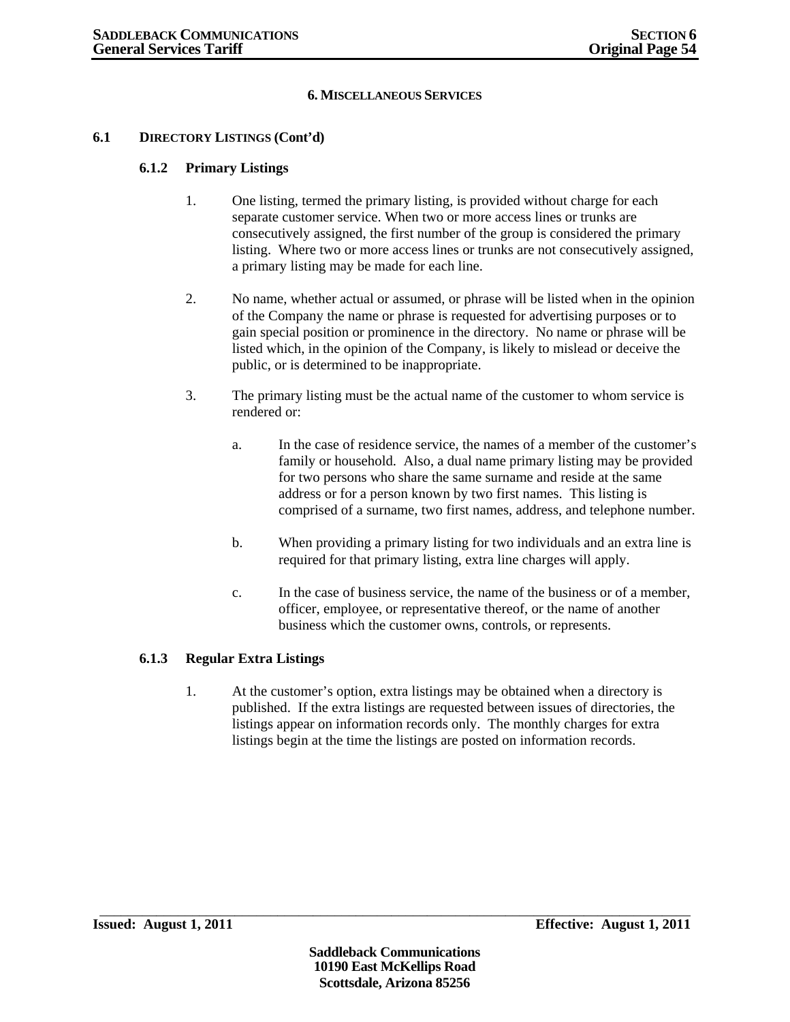# **6.1 DIRECTORY LISTINGS (Cont'd)**

# **6.1.2 Primary Listings**

- 1. One listing, termed the primary listing, is provided without charge for each separate customer service. When two or more access lines or trunks are consecutively assigned, the first number of the group is considered the primary listing. Where two or more access lines or trunks are not consecutively assigned, a primary listing may be made for each line.
- 2. No name, whether actual or assumed, or phrase will be listed when in the opinion of the Company the name or phrase is requested for advertising purposes or to gain special position or prominence in the directory. No name or phrase will be listed which, in the opinion of the Company, is likely to mislead or deceive the public, or is determined to be inappropriate.
- 3. The primary listing must be the actual name of the customer to whom service is rendered or:
	- a. In the case of residence service, the names of a member of the customer's family or household. Also, a dual name primary listing may be provided for two persons who share the same surname and reside at the same address or for a person known by two first names. This listing is comprised of a surname, two first names, address, and telephone number.
	- b. When providing a primary listing for two individuals and an extra line is required for that primary listing, extra line charges will apply.
	- c. In the case of business service, the name of the business or of a member, officer, employee, or representative thereof, or the name of another business which the customer owns, controls, or represents.

### **6.1.3 Regular Extra Listings**

1. At the customer's option, extra listings may be obtained when a directory is published. If the extra listings are requested between issues of directories, the listings appear on information records only. The monthly charges for extra listings begin at the time the listings are posted on information records.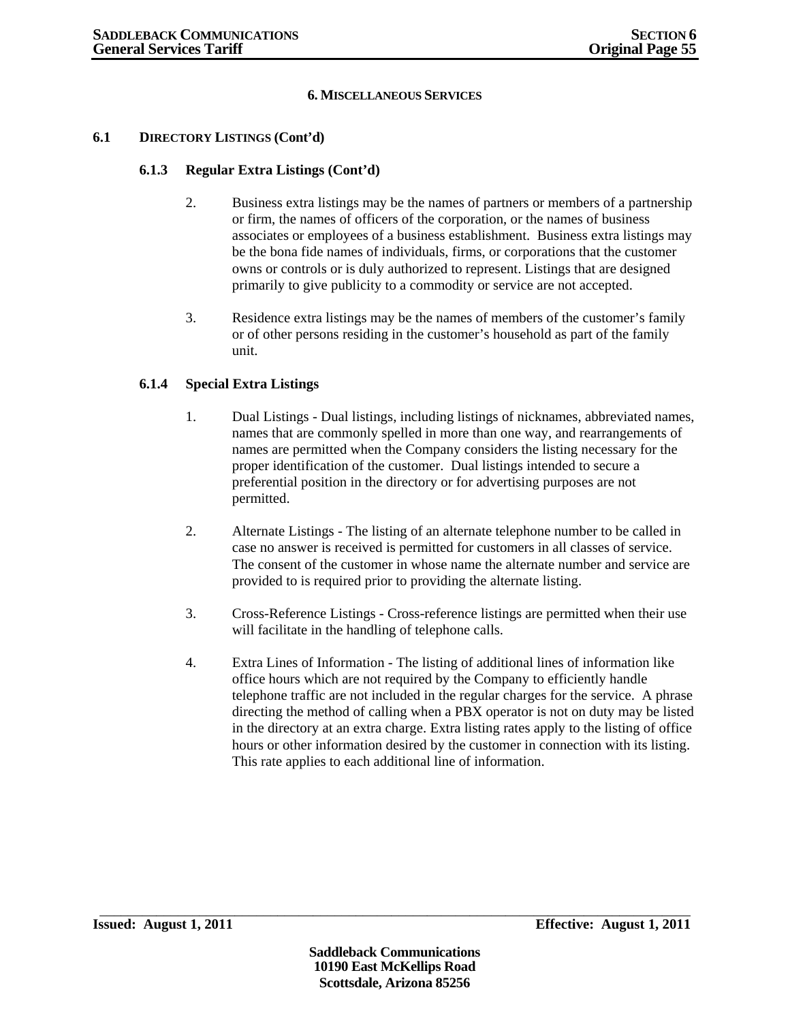# **6.1 DIRECTORY LISTINGS (Cont'd)**

# **6.1.3 Regular Extra Listings (Cont'd)**

- 2. Business extra listings may be the names of partners or members of a partnership or firm, the names of officers of the corporation, or the names of business associates or employees of a business establishment. Business extra listings may be the bona fide names of individuals, firms, or corporations that the customer owns or controls or is duly authorized to represent. Listings that are designed primarily to give publicity to a commodity or service are not accepted.
- 3. Residence extra listings may be the names of members of the customer's family or of other persons residing in the customer's household as part of the family unit.

# **6.1.4 Special Extra Listings**

- 1. Dual Listings Dual listings, including listings of nicknames, abbreviated names, names that are commonly spelled in more than one way, and rearrangements of names are permitted when the Company considers the listing necessary for the proper identification of the customer. Dual listings intended to secure a preferential position in the directory or for advertising purposes are not permitted.
- 2. Alternate Listings The listing of an alternate telephone number to be called in case no answer is received is permitted for customers in all classes of service. The consent of the customer in whose name the alternate number and service are provided to is required prior to providing the alternate listing.
- 3. Cross-Reference Listings Cross-reference listings are permitted when their use will facilitate in the handling of telephone calls.
- 4. Extra Lines of Information The listing of additional lines of information like office hours which are not required by the Company to efficiently handle telephone traffic are not included in the regular charges for the service. A phrase directing the method of calling when a PBX operator is not on duty may be listed in the directory at an extra charge. Extra listing rates apply to the listing of office hours or other information desired by the customer in connection with its listing. This rate applies to each additional line of information.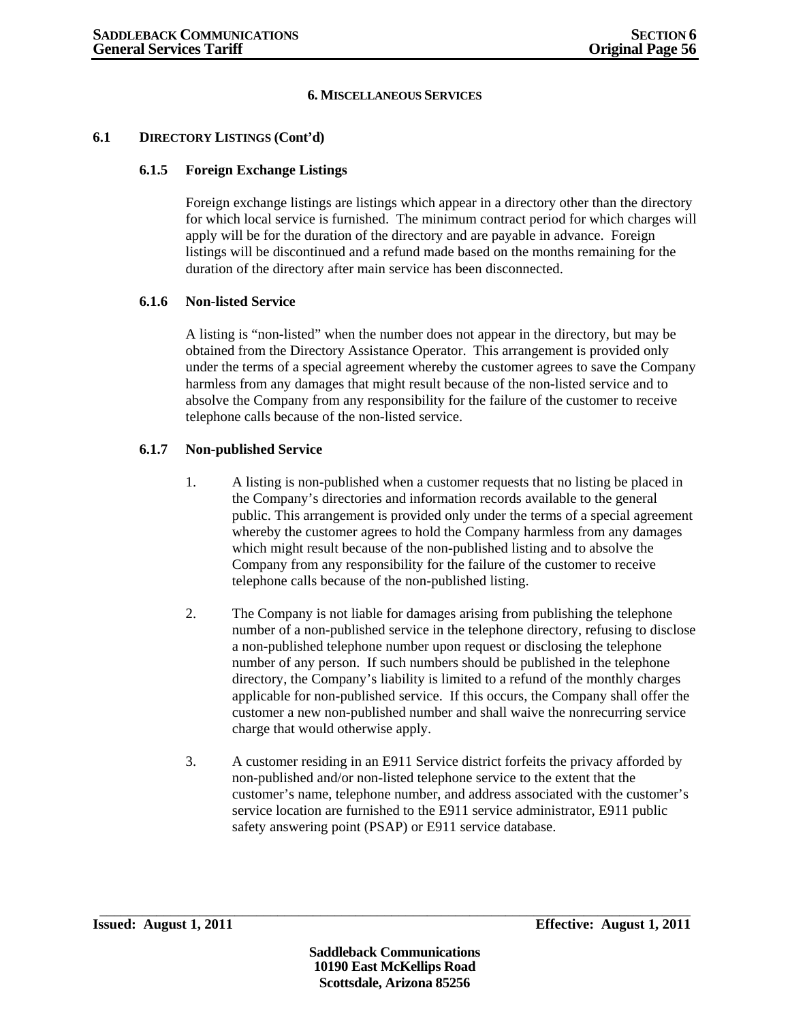# **6.1 DIRECTORY LISTINGS (Cont'd)**

# **6.1.5 Foreign Exchange Listings**

Foreign exchange listings are listings which appear in a directory other than the directory for which local service is furnished. The minimum contract period for which charges will apply will be for the duration of the directory and are payable in advance. Foreign listings will be discontinued and a refund made based on the months remaining for the duration of the directory after main service has been disconnected.

# **6.1.6 Non-listed Service**

A listing is "non-listed" when the number does not appear in the directory, but may be obtained from the Directory Assistance Operator. This arrangement is provided only under the terms of a special agreement whereby the customer agrees to save the Company harmless from any damages that might result because of the non-listed service and to absolve the Company from any responsibility for the failure of the customer to receive telephone calls because of the non-listed service.

# **6.1.7 Non-published Service**

- 1. A listing is non-published when a customer requests that no listing be placed in the Company's directories and information records available to the general public. This arrangement is provided only under the terms of a special agreement whereby the customer agrees to hold the Company harmless from any damages which might result because of the non-published listing and to absolve the Company from any responsibility for the failure of the customer to receive telephone calls because of the non-published listing.
- 2. The Company is not liable for damages arising from publishing the telephone number of a non-published service in the telephone directory, refusing to disclose a non-published telephone number upon request or disclosing the telephone number of any person. If such numbers should be published in the telephone directory, the Company's liability is limited to a refund of the monthly charges applicable for non-published service. If this occurs, the Company shall offer the customer a new non-published number and shall waive the nonrecurring service charge that would otherwise apply.
- 3. A customer residing in an E911 Service district forfeits the privacy afforded by non-published and/or non-listed telephone service to the extent that the customer's name, telephone number, and address associated with the customer's service location are furnished to the E911 service administrator, E911 public safety answering point (PSAP) or E911 service database.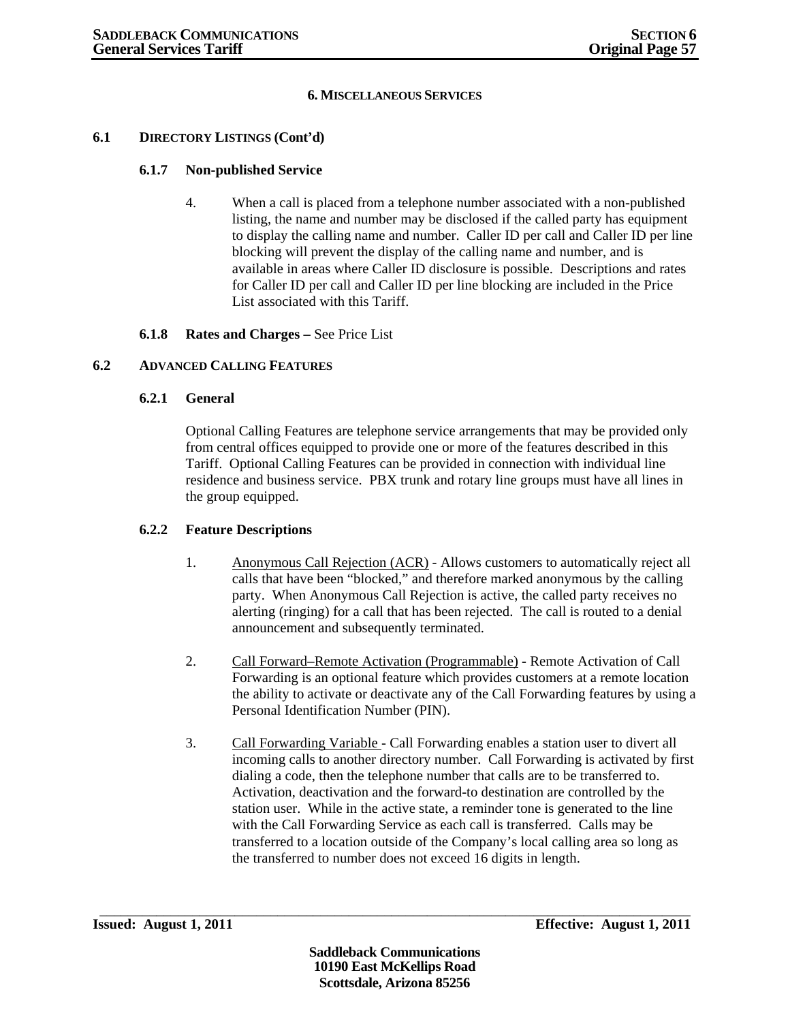# **6.1 DIRECTORY LISTINGS (Cont'd)**

# **6.1.7 Non-published Service**

4. When a call is placed from a telephone number associated with a non-published listing, the name and number may be disclosed if the called party has equipment to display the calling name and number. Caller ID per call and Caller ID per line blocking will prevent the display of the calling name and number, and is available in areas where Caller ID disclosure is possible. Descriptions and rates for Caller ID per call and Caller ID per line blocking are included in the Price List associated with this Tariff.

# **6.1.8 Rates and Charges –** See Price List

# **6.2 ADVANCED CALLING FEATURES**

# **6.2.1 General**

Optional Calling Features are telephone service arrangements that may be provided only from central offices equipped to provide one or more of the features described in this Tariff. Optional Calling Features can be provided in connection with individual line residence and business service. PBX trunk and rotary line groups must have all lines in the group equipped.

# **6.2.2 Feature Descriptions**

- 1. Anonymous Call Rejection (ACR) Allows customers to automatically reject all calls that have been "blocked," and therefore marked anonymous by the calling party. When Anonymous Call Rejection is active, the called party receives no alerting (ringing) for a call that has been rejected. The call is routed to a denial announcement and subsequently terminated.
- 2. Call Forward–Remote Activation (Programmable) Remote Activation of Call Forwarding is an optional feature which provides customers at a remote location the ability to activate or deactivate any of the Call Forwarding features by using a Personal Identification Number (PIN).
- 3. Call Forwarding Variable Call Forwarding enables a station user to divert all incoming calls to another directory number. Call Forwarding is activated by first dialing a code, then the telephone number that calls are to be transferred to. Activation, deactivation and the forward-to destination are controlled by the station user. While in the active state, a reminder tone is generated to the line with the Call Forwarding Service as each call is transferred. Calls may be transferred to a location outside of the Company's local calling area so long as the transferred to number does not exceed 16 digits in length.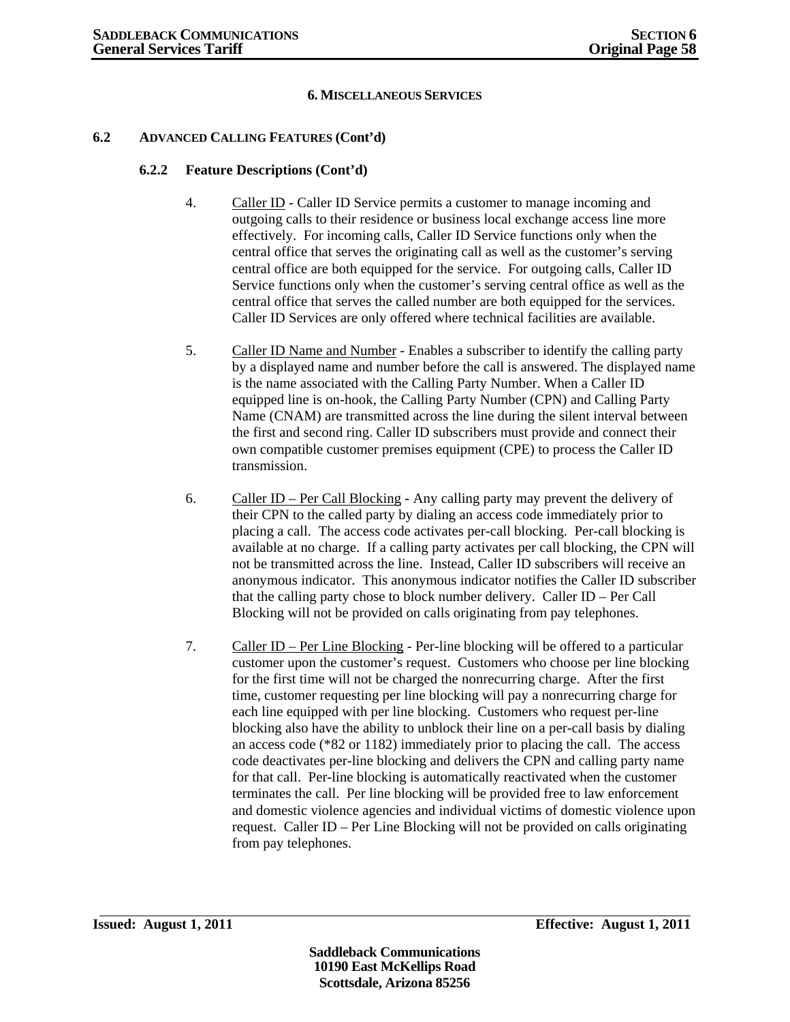# **6.2 ADVANCED CALLING FEATURES (Cont'd)**

# **6.2.2 Feature Descriptions (Cont'd)**

- 4. Caller ID Caller ID Service permits a customer to manage incoming and outgoing calls to their residence or business local exchange access line more effectively. For incoming calls, Caller ID Service functions only when the central office that serves the originating call as well as the customer's serving central office are both equipped for the service. For outgoing calls, Caller ID Service functions only when the customer's serving central office as well as the central office that serves the called number are both equipped for the services. Caller ID Services are only offered where technical facilities are available.
- 5. Caller ID Name and Number Enables a subscriber to identify the calling party by a displayed name and number before the call is answered. The displayed name is the name associated with the Calling Party Number. When a Caller ID equipped line is on-hook, the Calling Party Number (CPN) and Calling Party Name (CNAM) are transmitted across the line during the silent interval between the first and second ring. Caller ID subscribers must provide and connect their own compatible customer premises equipment (CPE) to process the Caller ID transmission.
- 6. Caller ID Per Call Blocking Any calling party may prevent the delivery of their CPN to the called party by dialing an access code immediately prior to placing a call. The access code activates per-call blocking. Per-call blocking is available at no charge. If a calling party activates per call blocking, the CPN will not be transmitted across the line. Instead, Caller ID subscribers will receive an anonymous indicator. This anonymous indicator notifies the Caller ID subscriber that the calling party chose to block number delivery. Caller ID – Per Call Blocking will not be provided on calls originating from pay telephones.
- 7. Caller ID Per Line Blocking Per-line blocking will be offered to a particular customer upon the customer's request. Customers who choose per line blocking for the first time will not be charged the nonrecurring charge. After the first time, customer requesting per line blocking will pay a nonrecurring charge for each line equipped with per line blocking. Customers who request per-line blocking also have the ability to unblock their line on a per-call basis by dialing an access code (\*82 or 1182) immediately prior to placing the call. The access code deactivates per-line blocking and delivers the CPN and calling party name for that call. Per-line blocking is automatically reactivated when the customer terminates the call. Per line blocking will be provided free to law enforcement and domestic violence agencies and individual victims of domestic violence upon request. Caller ID – Per Line Blocking will not be provided on calls originating from pay telephones.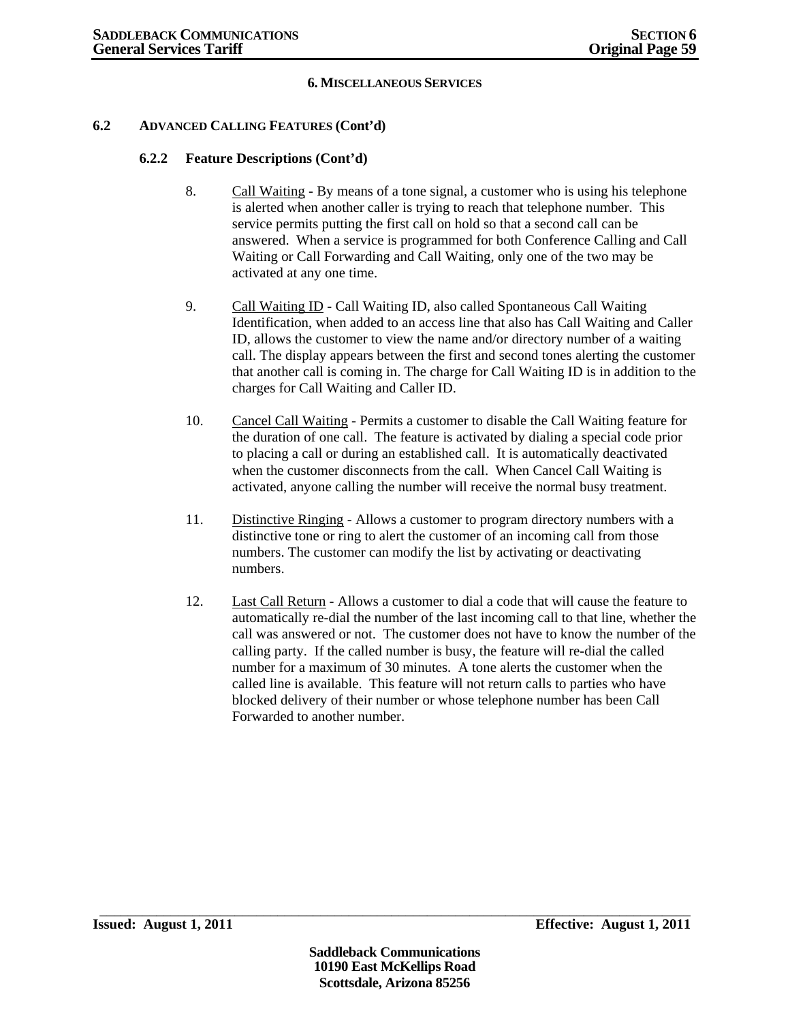# **6.2 ADVANCED CALLING FEATURES (Cont'd)**

# **6.2.2 Feature Descriptions (Cont'd)**

- 8. Call Waiting By means of a tone signal, a customer who is using his telephone is alerted when another caller is trying to reach that telephone number. This service permits putting the first call on hold so that a second call can be answered. When a service is programmed for both Conference Calling and Call Waiting or Call Forwarding and Call Waiting, only one of the two may be activated at any one time.
- 9. Call Waiting ID Call Waiting ID, also called Spontaneous Call Waiting Identification, when added to an access line that also has Call Waiting and Caller ID, allows the customer to view the name and/or directory number of a waiting call. The display appears between the first and second tones alerting the customer that another call is coming in. The charge for Call Waiting ID is in addition to the charges for Call Waiting and Caller ID.
- 10. Cancel Call Waiting Permits a customer to disable the Call Waiting feature for the duration of one call. The feature is activated by dialing a special code prior to placing a call or during an established call. It is automatically deactivated when the customer disconnects from the call. When Cancel Call Waiting is activated, anyone calling the number will receive the normal busy treatment.
- 11. Distinctive Ringing Allows a customer to program directory numbers with a distinctive tone or ring to alert the customer of an incoming call from those numbers. The customer can modify the list by activating or deactivating numbers.
- 12. Last Call Return Allows a customer to dial a code that will cause the feature to automatically re-dial the number of the last incoming call to that line, whether the call was answered or not. The customer does not have to know the number of the calling party. If the called number is busy, the feature will re-dial the called number for a maximum of 30 minutes. A tone alerts the customer when the called line is available. This feature will not return calls to parties who have blocked delivery of their number or whose telephone number has been Call Forwarded to another number.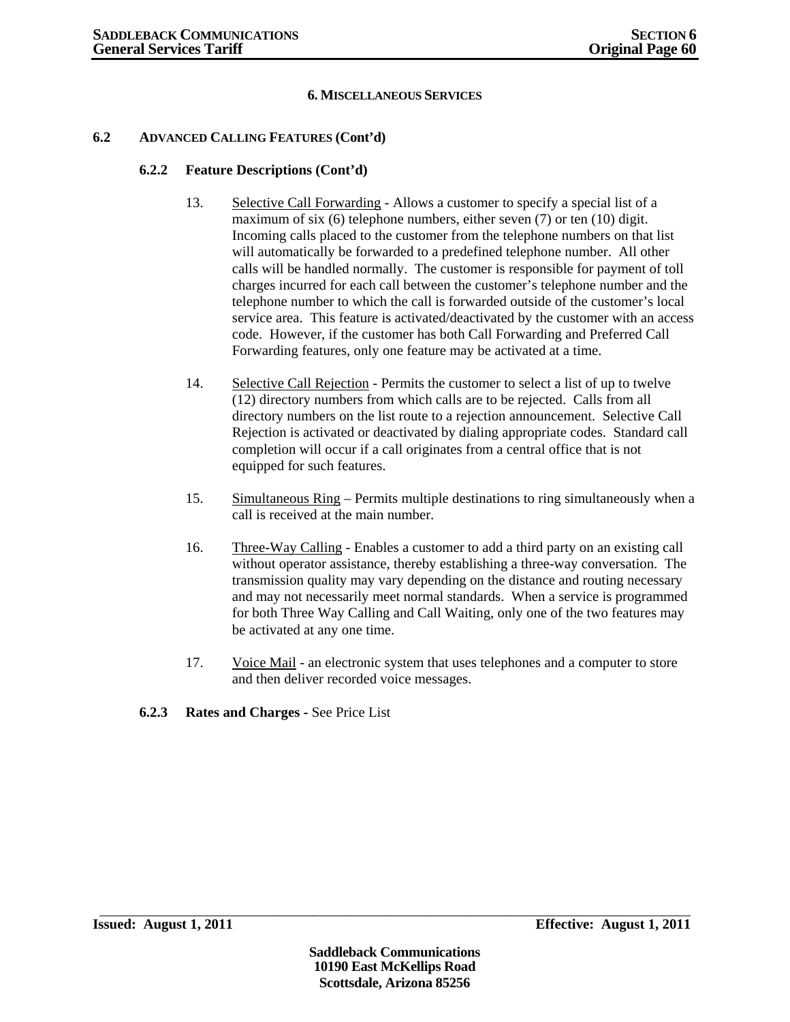# **6.2 ADVANCED CALLING FEATURES (Cont'd)**

## **6.2.2 Feature Descriptions (Cont'd)**

- 13. Selective Call Forwarding Allows a customer to specify a special list of a maximum of six (6) telephone numbers, either seven (7) or ten (10) digit. Incoming calls placed to the customer from the telephone numbers on that list will automatically be forwarded to a predefined telephone number. All other calls will be handled normally. The customer is responsible for payment of toll charges incurred for each call between the customer's telephone number and the telephone number to which the call is forwarded outside of the customer's local service area. This feature is activated/deactivated by the customer with an access code. However, if the customer has both Call Forwarding and Preferred Call Forwarding features, only one feature may be activated at a time.
- 14. Selective Call Rejection Permits the customer to select a list of up to twelve (12) directory numbers from which calls are to be rejected. Calls from all directory numbers on the list route to a rejection announcement. Selective Call Rejection is activated or deactivated by dialing appropriate codes. Standard call completion will occur if a call originates from a central office that is not equipped for such features.
- 15. Simultaneous Ring Permits multiple destinations to ring simultaneously when a call is received at the main number.
- 16. Three-Way Calling Enables a customer to add a third party on an existing call without operator assistance, thereby establishing a three-way conversation. The transmission quality may vary depending on the distance and routing necessary and may not necessarily meet normal standards. When a service is programmed for both Three Way Calling and Call Waiting, only one of the two features may be activated at any one time.
- 17. Voice Mail an electronic system that uses telephones and a computer to store and then deliver recorded voice messages.
- **6.2.3 Rates and Charges** See Price List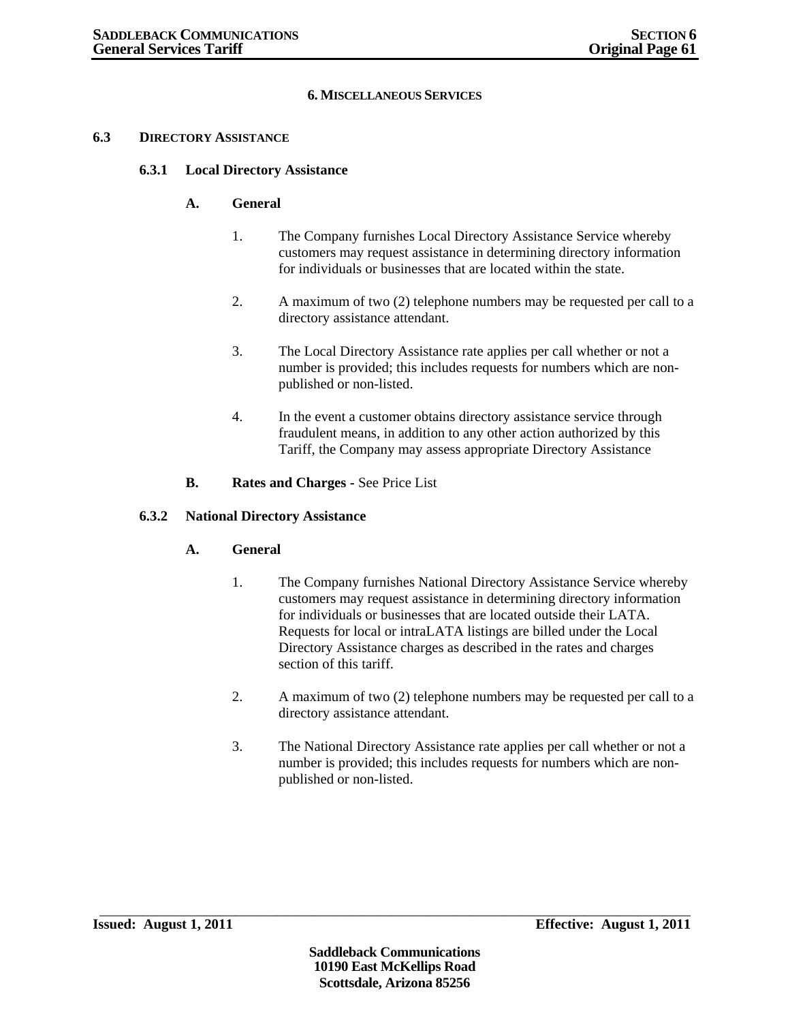# **6.3 DIRECTORY ASSISTANCE**

# **6.3.1 Local Directory Assistance**

# **A. General**

- 1. The Company furnishes Local Directory Assistance Service whereby customers may request assistance in determining directory information for individuals or businesses that are located within the state.
- 2. A maximum of two (2) telephone numbers may be requested per call to a directory assistance attendant.
- 3. The Local Directory Assistance rate applies per call whether or not a number is provided; this includes requests for numbers which are nonpublished or non-listed.
- 4. In the event a customer obtains directory assistance service through fraudulent means, in addition to any other action authorized by this Tariff, the Company may assess appropriate Directory Assistance
- **B. Rates and Charges** See Price List

## **6.3.2 National Directory Assistance**

# **A. General**

- 1. The Company furnishes National Directory Assistance Service whereby customers may request assistance in determining directory information for individuals or businesses that are located outside their LATA. Requests for local or intraLATA listings are billed under the Local Directory Assistance charges as described in the rates and charges section of this tariff.
- 2. A maximum of two (2) telephone numbers may be requested per call to a directory assistance attendant.
- 3. The National Directory Assistance rate applies per call whether or not a number is provided; this includes requests for numbers which are nonpublished or non-listed.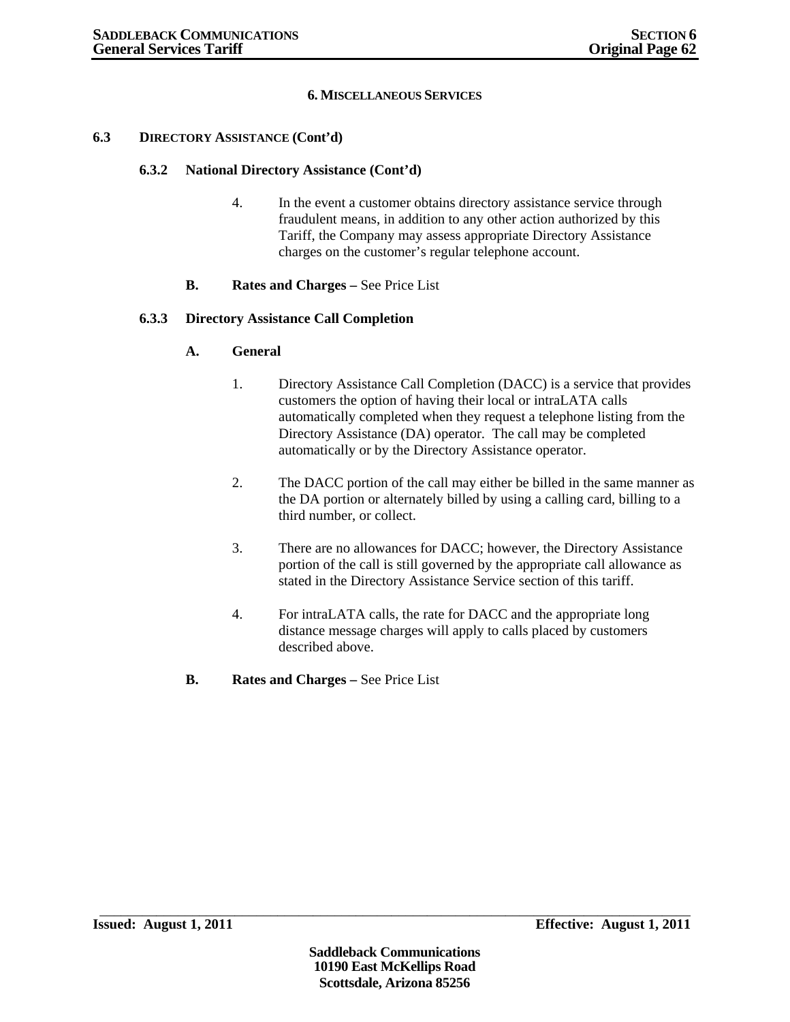## **6.3 DIRECTORY ASSISTANCE (Cont'd)**

## **6.3.2 National Directory Assistance (Cont'd)**

4. In the event a customer obtains directory assistance service through fraudulent means, in addition to any other action authorized by this Tariff, the Company may assess appropriate Directory Assistance charges on the customer's regular telephone account.

# **B. Rates and Charges –** See Price List

# **6.3.3 Directory Assistance Call Completion**

# **A. General**

- 1. Directory Assistance Call Completion (DACC) is a service that provides customers the option of having their local or intraLATA calls automatically completed when they request a telephone listing from the Directory Assistance (DA) operator. The call may be completed automatically or by the Directory Assistance operator.
- 2. The DACC portion of the call may either be billed in the same manner as the DA portion or alternately billed by using a calling card, billing to a third number, or collect.
- 3. There are no allowances for DACC; however, the Directory Assistance portion of the call is still governed by the appropriate call allowance as stated in the Directory Assistance Service section of this tariff.
- 4. For intraLATA calls, the rate for DACC and the appropriate long distance message charges will apply to calls placed by customers described above.
- **B.** Rates and Charges See Price List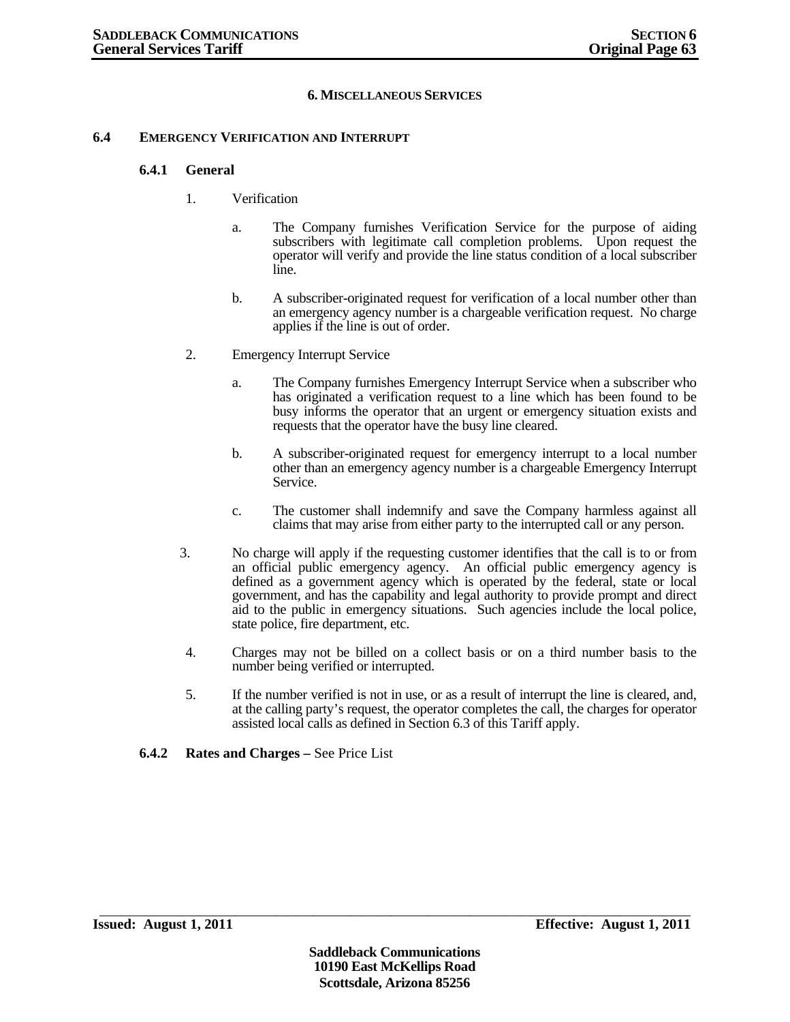#### **6.4 EMERGENCY VERIFICATION AND INTERRUPT**

#### **6.4.1 General**

- 1. Verification
	- a. The Company furnishes Verification Service for the purpose of aiding subscribers with legitimate call completion problems. Upon request the operator will verify and provide the line status condition of a local subscriber line.
	- b. A subscriber-originated request for verification of a local number other than an emergency agency number is a chargeable verification request. No charge applies if the line is out of order.
- 2. Emergency Interrupt Service
	- a. The Company furnishes Emergency Interrupt Service when a subscriber who has originated a verification request to a line which has been found to be busy informs the operator that an urgent or emergency situation exists and requests that the operator have the busy line cleared.
	- b. A subscriber-originated request for emergency interrupt to a local number other than an emergency agency number is a chargeable Emergency Interrupt Service.
	- c. The customer shall indemnify and save the Company harmless against all claims that may arise from either party to the interrupted call or any person.
- 3. No charge will apply if the requesting customer identifies that the call is to or from an official public emergency agency. An official public emergency agency is defined as a government agency which is operated by the federal, state or local government, and has the capability and legal authority to provide prompt and direct aid to the public in emergency situations. Such agencies include the local police, state police, fire department, etc.
- 4. Charges may not be billed on a collect basis or on a third number basis to the number being verified or interrupted.
- 5. If the number verified is not in use, or as a result of interrupt the line is cleared, and, at the calling party's request, the operator completes the call, the charges for operator assisted local calls as defined in Section 6.3 of this Tariff apply.
- **6.4.2 Rates and Charges** See Price List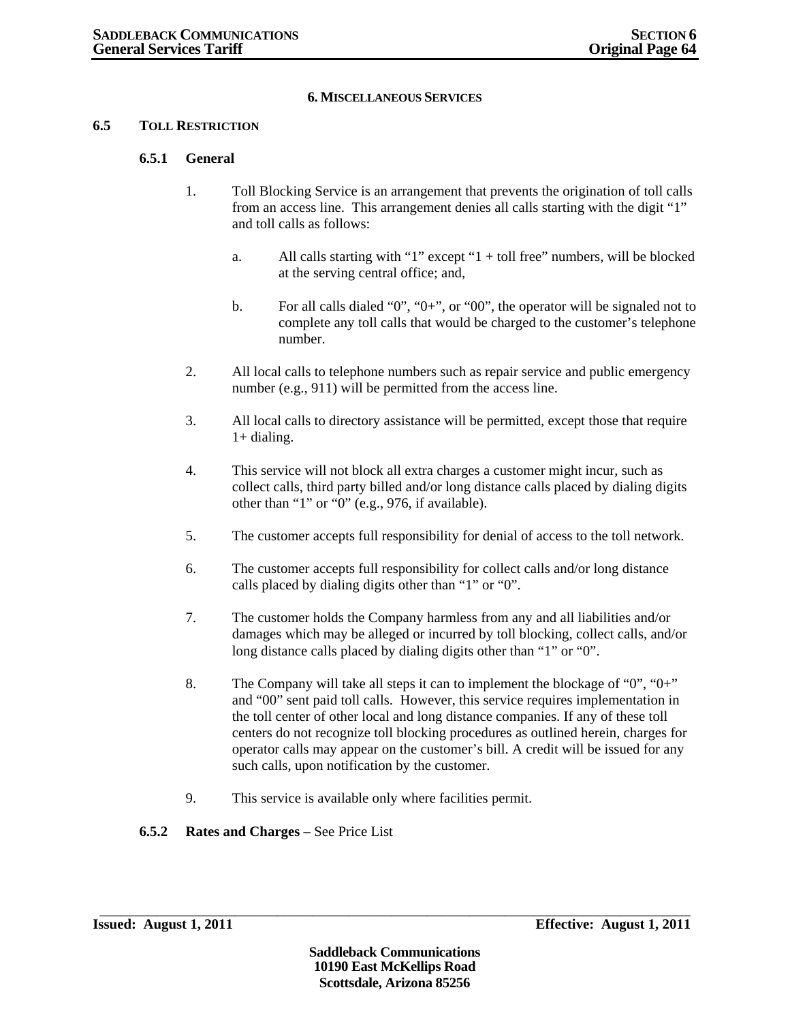# **6.5 TOLL RESTRICTION**

# **6.5.1 General**

- 1. Toll Blocking Service is an arrangement that prevents the origination of toll calls from an access line. This arrangement denies all calls starting with the digit "1" and toll calls as follows:
	- a. All calls starting with "1" except "1 + toll free" numbers, will be blocked at the serving central office; and,
	- b. For all calls dialed "0", "0+", or "00", the operator will be signaled not to complete any toll calls that would be charged to the customer's telephone number.
- 2. All local calls to telephone numbers such as repair service and public emergency number (e.g., 911) will be permitted from the access line.
- 3. All local calls to directory assistance will be permitted, except those that require  $1+$  dialing.
- 4. This service will not block all extra charges a customer might incur, such as collect calls, third party billed and/or long distance calls placed by dialing digits other than "1" or "0" (e.g., 976, if available).
- 5. The customer accepts full responsibility for denial of access to the toll network.
- 6. The customer accepts full responsibility for collect calls and/or long distance calls placed by dialing digits other than "1" or "0".
- 7. The customer holds the Company harmless from any and all liabilities and/or damages which may be alleged or incurred by toll blocking, collect calls, and/or long distance calls placed by dialing digits other than "1" or "0".
- 8. The Company will take all steps it can to implement the blockage of "0", "0+" and "00" sent paid toll calls. However, this service requires implementation in the toll center of other local and long distance companies. If any of these toll centers do not recognize toll blocking procedures as outlined herein, charges for operator calls may appear on the customer's bill. A credit will be issued for any such calls, upon notification by the customer.
- 9. This service is available only where facilities permit.
- **6.5.2 Rates and Charges** See Price List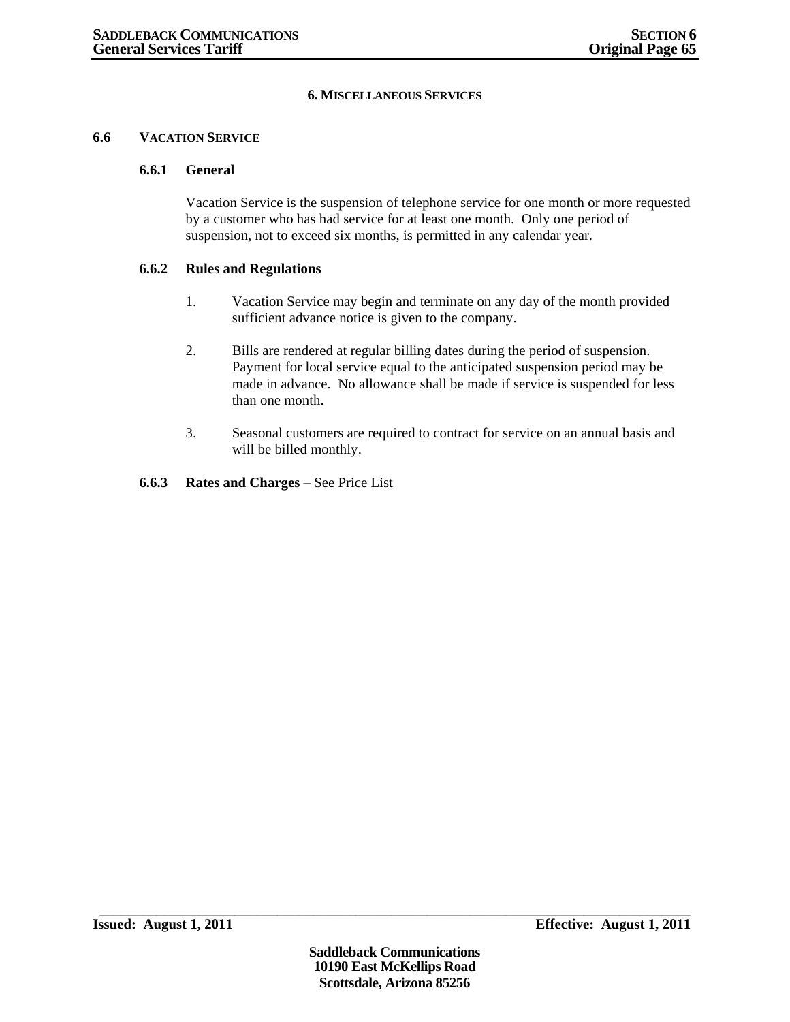# **6.6 VACATION SERVICE**

# **6.6.1 General**

Vacation Service is the suspension of telephone service for one month or more requested by a customer who has had service for at least one month. Only one period of suspension, not to exceed six months, is permitted in any calendar year.

# **6.6.2 Rules and Regulations**

- 1. Vacation Service may begin and terminate on any day of the month provided sufficient advance notice is given to the company.
- 2. Bills are rendered at regular billing dates during the period of suspension. Payment for local service equal to the anticipated suspension period may be made in advance. No allowance shall be made if service is suspended for less than one month.
- 3. Seasonal customers are required to contract for service on an annual basis and will be billed monthly.
- **6.6.3 Rates and Charges** See Price List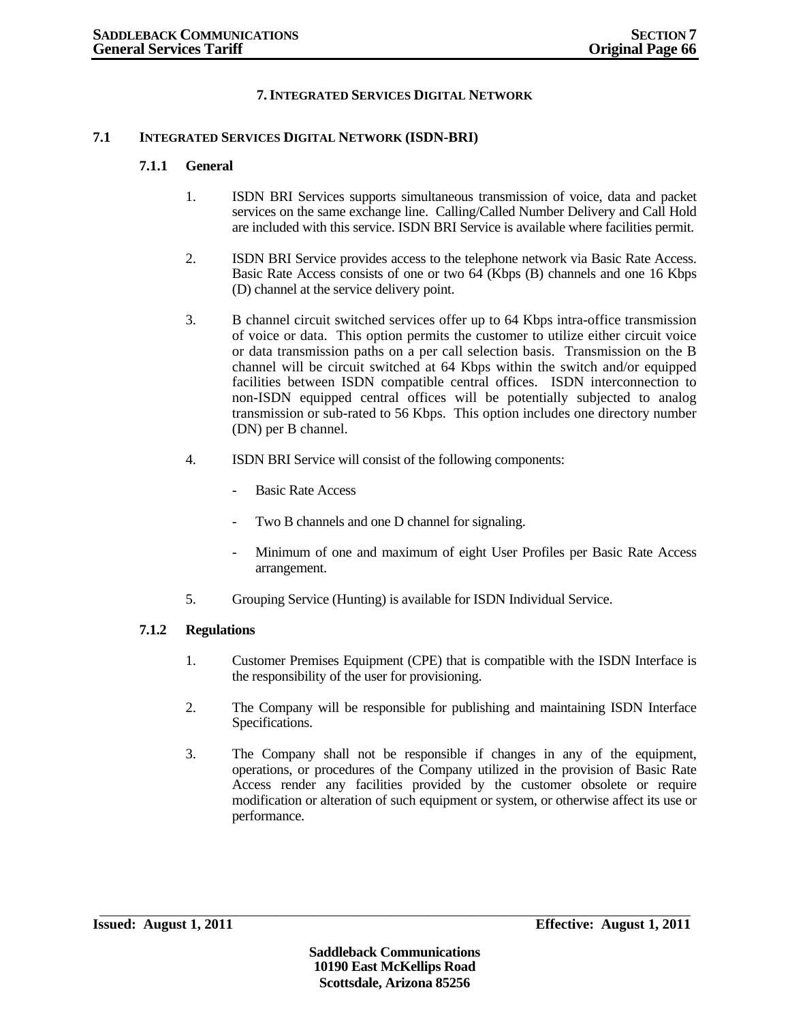### **7.1 INTEGRATED SERVICES DIGITAL NETWORK (ISDN-BRI)**

## **7.1.1 General**

- 1. ISDN BRI Services supports simultaneous transmission of voice, data and packet services on the same exchange line. Calling/Called Number Delivery and Call Hold are included with this service. ISDN BRI Service is available where facilities permit.
- 2. ISDN BRI Service provides access to the telephone network via Basic Rate Access. Basic Rate Access consists of one or two 64 (Kbps (B) channels and one 16 Kbps (D) channel at the service delivery point.
- 3. B channel circuit switched services offer up to 64 Kbps intra-office transmission of voice or data. This option permits the customer to utilize either circuit voice or data transmission paths on a per call selection basis. Transmission on the B channel will be circuit switched at 64 Kbps within the switch and/or equipped facilities between ISDN compatible central offices. ISDN interconnection to non-ISDN equipped central offices will be potentially subjected to analog transmission or sub-rated to 56 Kbps. This option includes one directory number (DN) per B channel.
- 4. ISDN BRI Service will consist of the following components:
	- Basic Rate Access
	- Two B channels and one D channel for signaling.
	- Minimum of one and maximum of eight User Profiles per Basic Rate Access arrangement.
- 5. Grouping Service (Hunting) is available for ISDN Individual Service.

### **7.1.2 Regulations**

- 1. Customer Premises Equipment (CPE) that is compatible with the ISDN Interface is the responsibility of the user for provisioning.
- 2. The Company will be responsible for publishing and maintaining ISDN Interface Specifications.
- 3. The Company shall not be responsible if changes in any of the equipment, operations, or procedures of the Company utilized in the provision of Basic Rate Access render any facilities provided by the customer obsolete or require modification or alteration of such equipment or system, or otherwise affect its use or performance.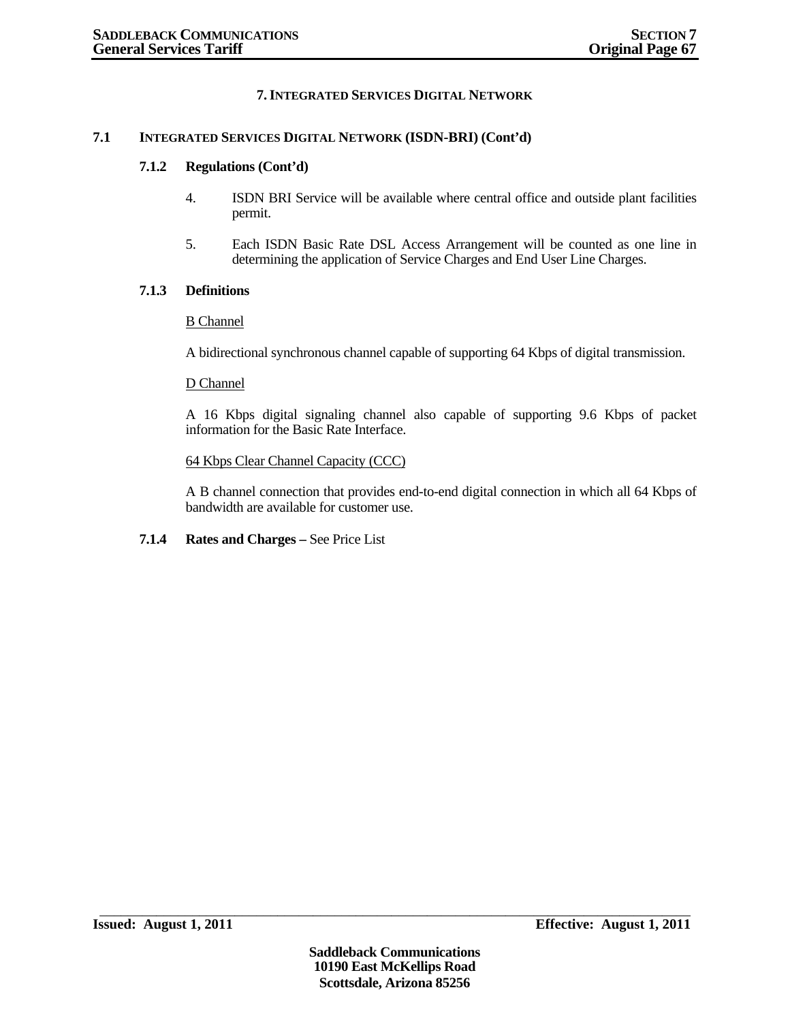## **7.1 INTEGRATED SERVICES DIGITAL NETWORK (ISDN-BRI) (Cont'd)**

## **7.1.2 Regulations (Cont'd)**

- 4. ISDN BRI Service will be available where central office and outside plant facilities permit.
- 5. Each ISDN Basic Rate DSL Access Arrangement will be counted as one line in determining the application of Service Charges and End User Line Charges.

# **7.1.3 Definitions**

# B Channel

A bidirectional synchronous channel capable of supporting 64 Kbps of digital transmission.

# D Channel

A 16 Kbps digital signaling channel also capable of supporting 9.6 Kbps of packet information for the Basic Rate Interface.

# 64 Kbps Clear Channel Capacity (CCC)

A B channel connection that provides end-to-end digital connection in which all 64 Kbps of bandwidth are available for customer use.

**7.1.4 Rates and Charges –** See Price List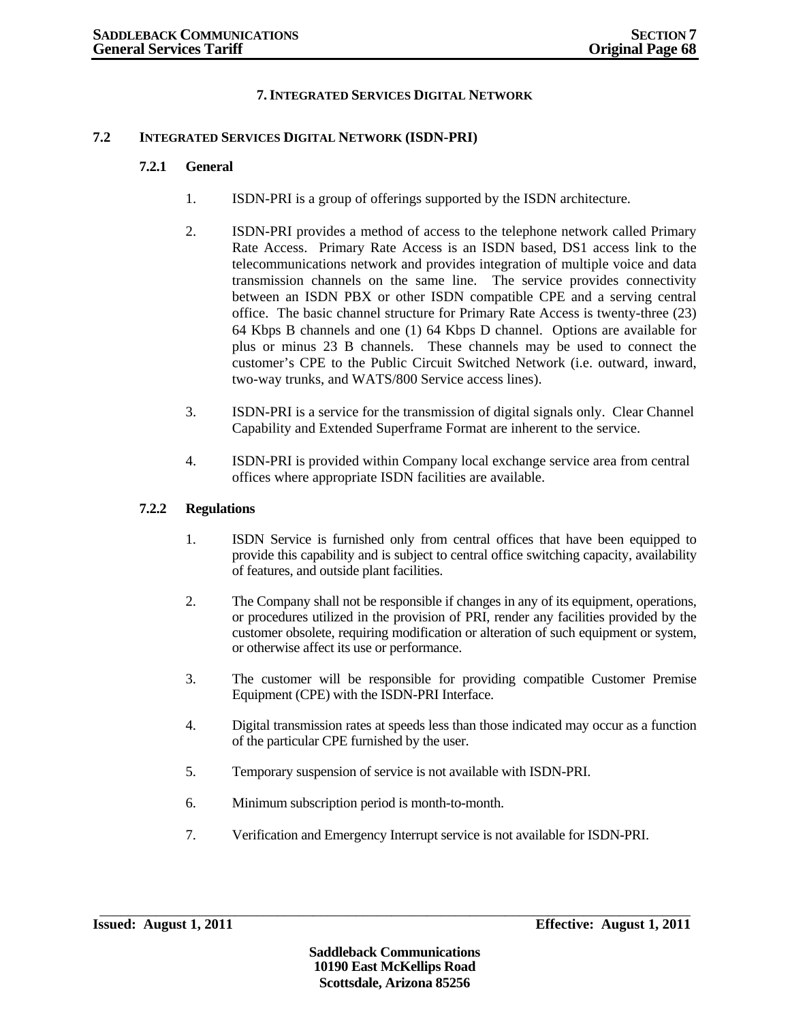## **7.2 INTEGRATED SERVICES DIGITAL NETWORK (ISDN-PRI)**

## **7.2.1 General**

- 1. ISDN-PRI is a group of offerings supported by the ISDN architecture.
- 2. ISDN-PRI provides a method of access to the telephone network called Primary Rate Access. Primary Rate Access is an ISDN based, DS1 access link to the telecommunications network and provides integration of multiple voice and data transmission channels on the same line. The service provides connectivity between an ISDN PBX or other ISDN compatible CPE and a serving central office. The basic channel structure for Primary Rate Access is twenty-three (23) 64 Kbps B channels and one (1) 64 Kbps D channel. Options are available for plus or minus 23 B channels. These channels may be used to connect the customer's CPE to the Public Circuit Switched Network (i.e. outward, inward, two-way trunks, and WATS/800 Service access lines).
- 3. ISDN-PRI is a service for the transmission of digital signals only. Clear Channel Capability and Extended Superframe Format are inherent to the service.
- 4. ISDN-PRI is provided within Company local exchange service area from central offices where appropriate ISDN facilities are available.

### **7.2.2 Regulations**

- 1. ISDN Service is furnished only from central offices that have been equipped to provide this capability and is subject to central office switching capacity, availability of features, and outside plant facilities.
- 2. The Company shall not be responsible if changes in any of its equipment, operations, or procedures utilized in the provision of PRI, render any facilities provided by the customer obsolete, requiring modification or alteration of such equipment or system, or otherwise affect its use or performance.
- 3. The customer will be responsible for providing compatible Customer Premise Equipment (CPE) with the ISDN-PRI Interface.
- 4. Digital transmission rates at speeds less than those indicated may occur as a function of the particular CPE furnished by the user.
- 5. Temporary suspension of service is not available with ISDN-PRI.
- 6. Minimum subscription period is month-to-month.
- 7. Verification and Emergency Interrupt service is not available for ISDN-PRI.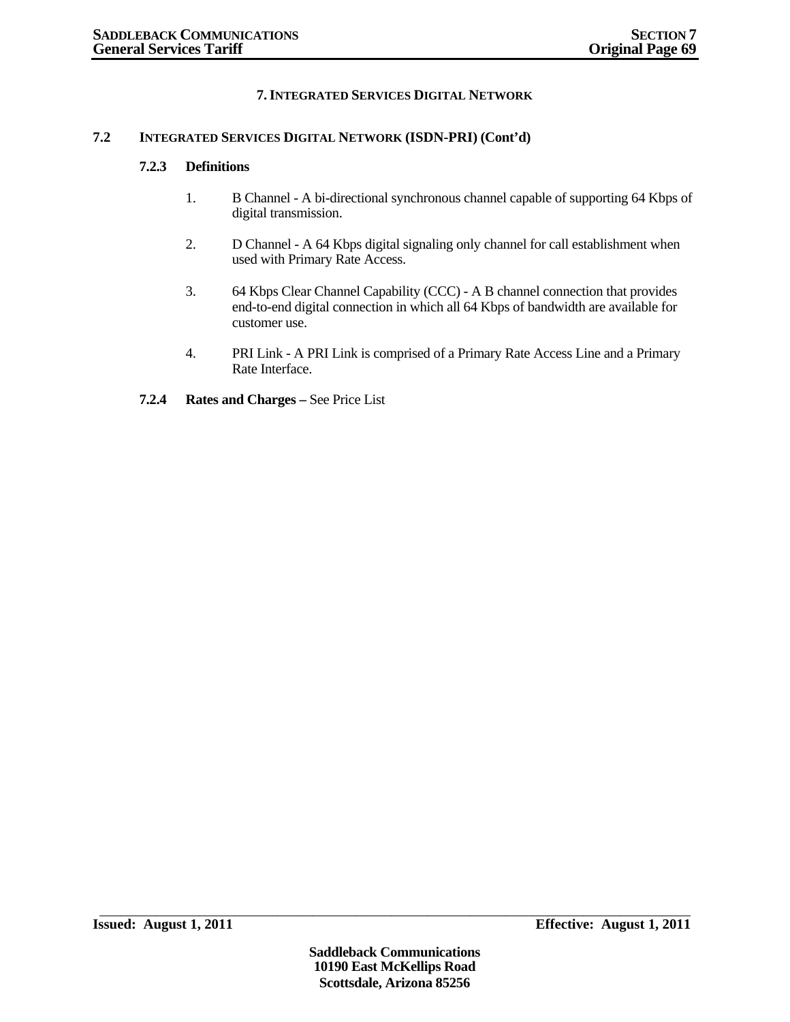## **7.2 INTEGRATED SERVICES DIGITAL NETWORK (ISDN-PRI) (Cont'd)**

# **7.2.3 Definitions**

- 1. B Channel A bi-directional synchronous channel capable of supporting 64 Kbps of digital transmission.
- 2. D Channel A 64 Kbps digital signaling only channel for call establishment when used with Primary Rate Access.
- 3. 64 Kbps Clear Channel Capability (CCC) A B channel connection that provides end-to-end digital connection in which all 64 Kbps of bandwidth are available for customer use.
- 4. PRI Link A PRI Link is comprised of a Primary Rate Access Line and a Primary Rate Interface.
- **7.2.4 Rates and Charges** See Price List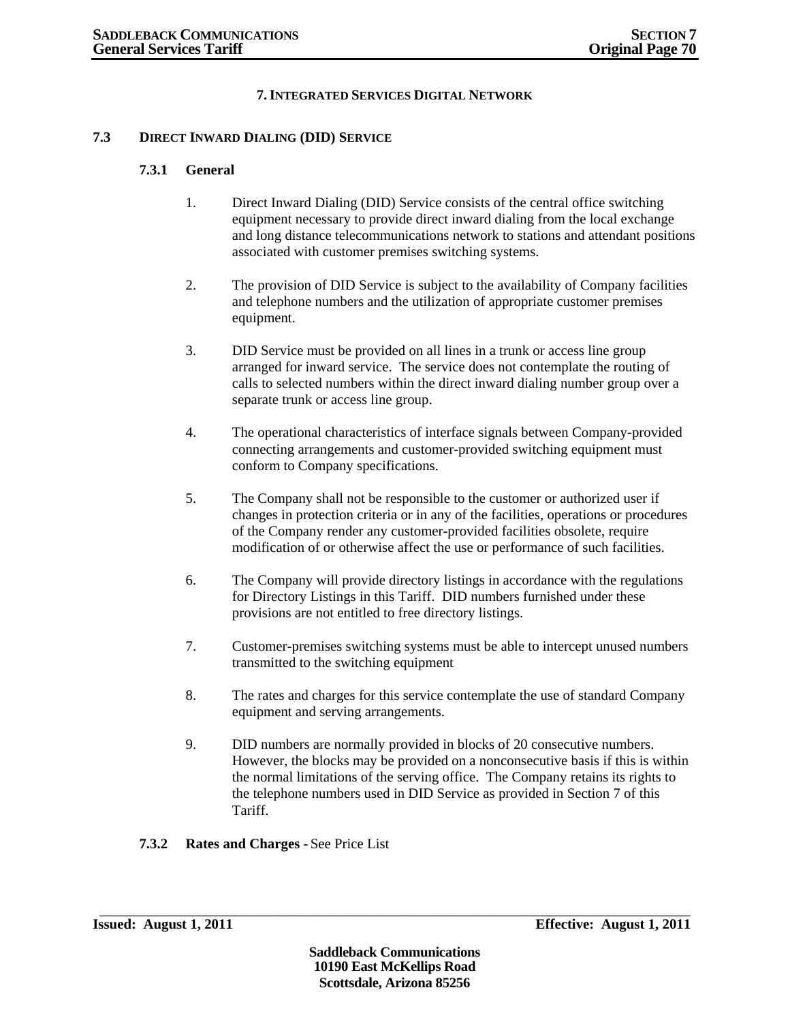# **7.3 DIRECT INWARD DIALING (DID) SERVICE**

# **7.3.1 General**

- 1. Direct Inward Dialing (DID) Service consists of the central office switching equipment necessary to provide direct inward dialing from the local exchange and long distance telecommunications network to stations and attendant positions associated with customer premises switching systems.
- 2. The provision of DID Service is subject to the availability of Company facilities and telephone numbers and the utilization of appropriate customer premises equipment.
- 3. DID Service must be provided on all lines in a trunk or access line group arranged for inward service. The service does not contemplate the routing of calls to selected numbers within the direct inward dialing number group over a separate trunk or access line group.
- 4. The operational characteristics of interface signals between Company-provided connecting arrangements and customer-provided switching equipment must conform to Company specifications.
- 5. The Company shall not be responsible to the customer or authorized user if changes in protection criteria or in any of the facilities, operations or procedures of the Company render any customer-provided facilities obsolete, require modification of or otherwise affect the use or performance of such facilities.
- 6. The Company will provide directory listings in accordance with the regulations for Directory Listings in this Tariff. DID numbers furnished under these provisions are not entitled to free directory listings.
- 7. Customer-premises switching systems must be able to intercept unused numbers transmitted to the switching equipment
- 8. The rates and charges for this service contemplate the use of standard Company equipment and serving arrangements.
- 9. DID numbers are normally provided in blocks of 20 consecutive numbers. However, the blocks may be provided on a nonconsecutive basis if this is within the normal limitations of the serving office. The Company retains its rights to the telephone numbers used in DID Service as provided in Section 7 of this Tariff.

# **7.3.2 Rates and Charges -** See Price List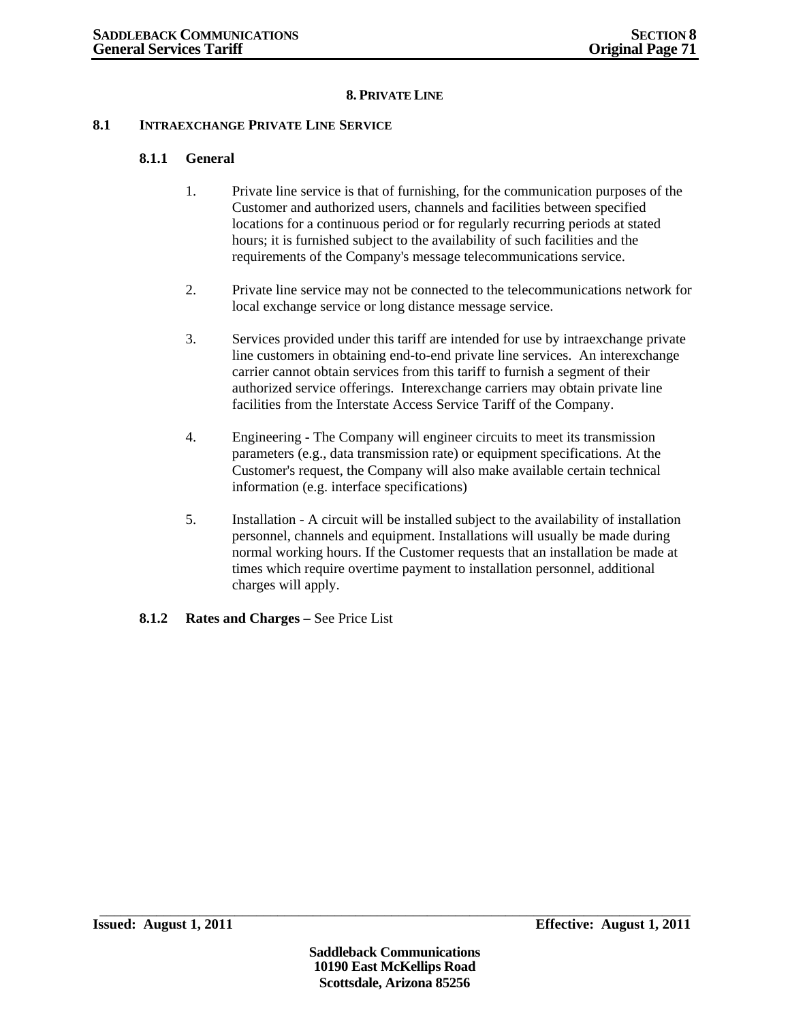# **8. PRIVATE LINE**

## **8.1 INTRAEXCHANGE PRIVATE LINE SERVICE**

# **8.1.1 General**

- 1. Private line service is that of furnishing, for the communication purposes of the Customer and authorized users, channels and facilities between specified locations for a continuous period or for regularly recurring periods at stated hours; it is furnished subject to the availability of such facilities and the requirements of the Company's message telecommunications service.
- 2. Private line service may not be connected to the telecommunications network for local exchange service or long distance message service.
- 3. Services provided under this tariff are intended for use by intraexchange private line customers in obtaining end-to-end private line services. An interexchange carrier cannot obtain services from this tariff to furnish a segment of their authorized service offerings. Interexchange carriers may obtain private line facilities from the Interstate Access Service Tariff of the Company.
- 4. Engineering The Company will engineer circuits to meet its transmission parameters (e.g., data transmission rate) or equipment specifications. At the Customer's request, the Company will also make available certain technical information (e.g. interface specifications)
- 5. Installation A circuit will be installed subject to the availability of installation personnel, channels and equipment. Installations will usually be made during normal working hours. If the Customer requests that an installation be made at times which require overtime payment to installation personnel, additional charges will apply.
- **8.1.2 Rates and Charges** See Price List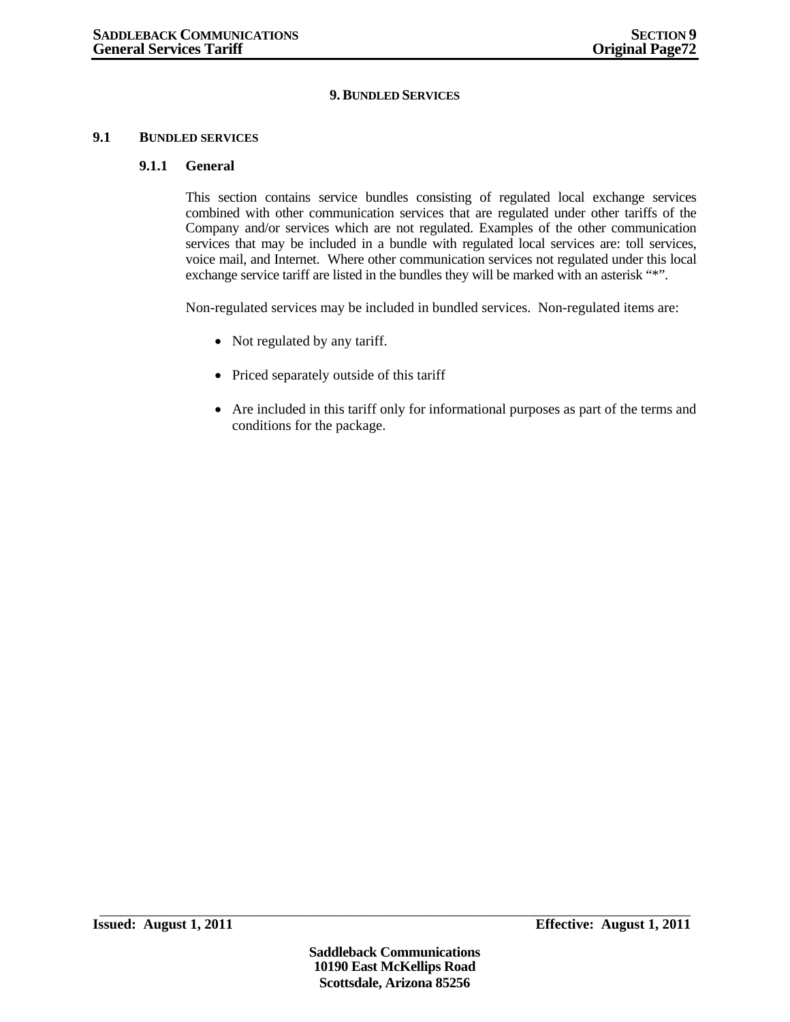# **9. BUNDLED SERVICES**

#### **9.1 BUNDLED SERVICES**

#### **9.1.1 General**

This section contains service bundles consisting of regulated local exchange services combined with other communication services that are regulated under other tariffs of the Company and/or services which are not regulated. Examples of the other communication services that may be included in a bundle with regulated local services are: toll services, voice mail, and Internet. Where other communication services not regulated under this local exchange service tariff are listed in the bundles they will be marked with an asterisk "\*".

Non-regulated services may be included in bundled services. Non-regulated items are:

- Not regulated by any tariff.
- Priced separately outside of this tariff
- Are included in this tariff only for informational purposes as part of the terms and conditions for the package.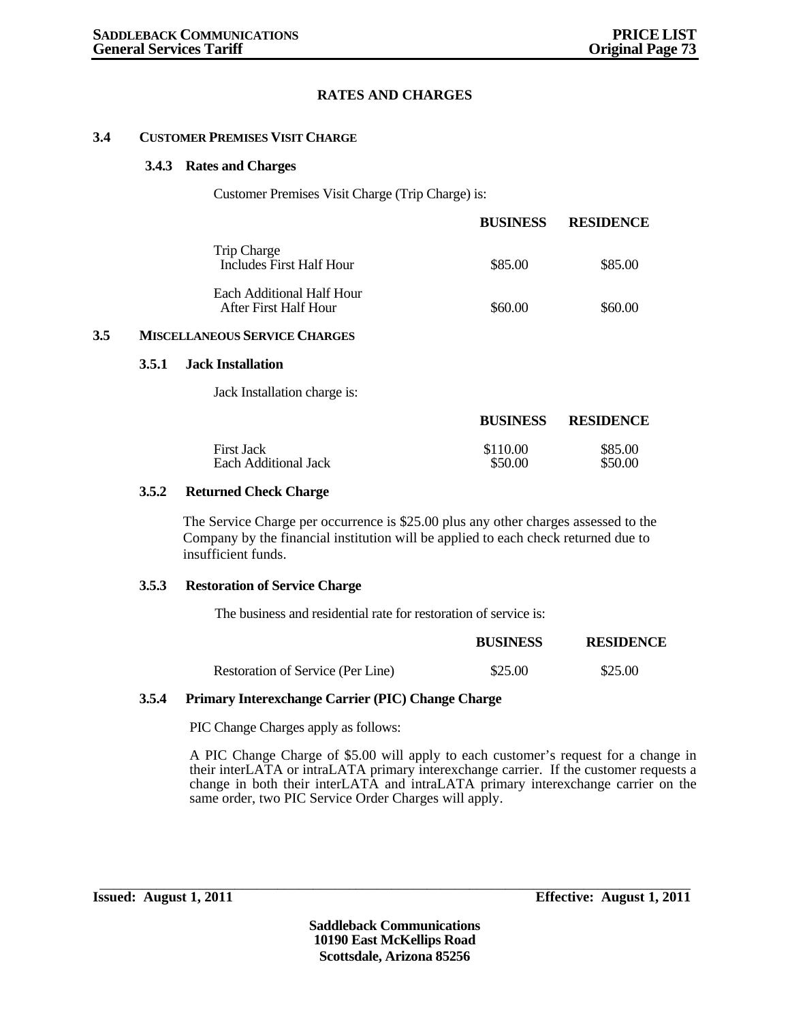## **3.4 CUSTOMER PREMISES VISIT CHARGE**

#### **3.4.3 Rates and Charges**

Customer Premises Visit Charge (Trip Charge) is:

|                                                    | <b>BUSINESS</b> | <b>RESIDENCE</b> |
|----------------------------------------------------|-----------------|------------------|
| Trip Charge<br>Includes First Half Hour            | \$85.00         | \$85.00          |
| Each Additional Half Hour<br>After First Half Hour | \$60.00         | \$60.00          |

# **3.5 MISCELLANEOUS SERVICE CHARGES**

#### **3.5.1 Jack Installation**

Jack Installation charge is:

|                      | <b>BUSINESS</b> | <b>KEMIDENCE</b> |
|----------------------|-----------------|------------------|
| <b>First Jack</b>    | \$110.00        | \$85.00          |
| Each Additional Jack | \$50.00         | \$50.00          |

**BUSINESS BESIDENCE** 

# **3.5.2 Returned Check Charge**

The Service Charge per occurrence is \$25.00 plus any other charges assessed to the Company by the financial institution will be applied to each check returned due to insufficient funds.

#### **3.5.3 Restoration of Service Charge**

The business and residential rate for restoration of service is:

|                                   | <b>BUSINESS</b> | <b>RESIDENCE</b> |
|-----------------------------------|-----------------|------------------|
| Restoration of Service (Per Line) | \$25.00         | \$25.00          |

#### **3.5.4 Primary Interexchange Carrier (PIC) Change Charge**

PIC Change Charges apply as follows:

A PIC Change Charge of \$5.00 will apply to each customer's request for a change in their interLATA or intraLATA primary interexchange carrier. If the customer requests a change in both their interLATA and intraLATA primary interexchange carrier on the same order, two PIC Service Order Charges will apply.

**Saddleback Communications 10190 East McKellips Road Scottsdale, Arizona 85256**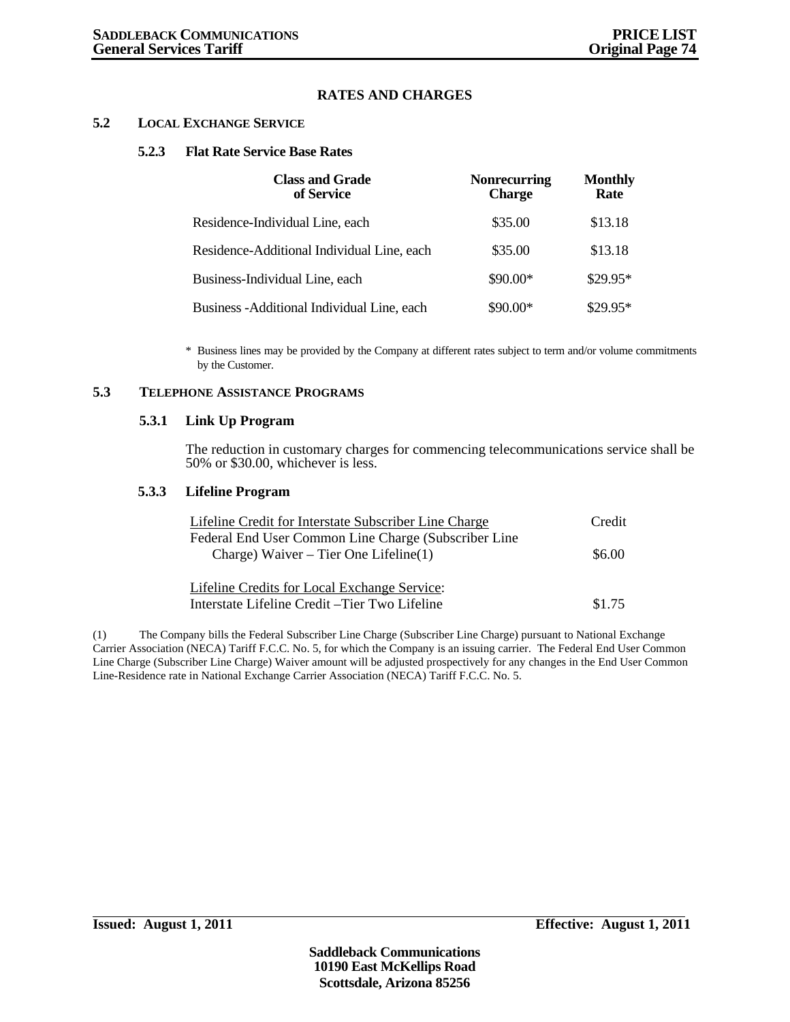# **5.2 LOCAL EXCHANGE SERVICE**

### **5.2.3 Flat Rate Service Base Rates**

| <b>Class and Grade</b><br>of Service        | <b>Nonrecurring</b><br><b>Charge</b> | <b>Monthly</b><br>Rate |
|---------------------------------------------|--------------------------------------|------------------------|
| Residence-Individual Line, each             | \$35.00                              | \$13.18                |
| Residence-Additional Individual Line, each  | \$35.00                              | \$13.18                |
| Business-Individual Line, each              | \$90.00*                             | $$29.95*$              |
| Business - Additional Individual Line, each | \$90.00*                             | $$29.95*$              |

\* Business lines may be provided by the Company at different rates subject to term and/or volume commitments by the Customer.

#### **5.3 TELEPHONE ASSISTANCE PROGRAMS**

# **5.3.1 Link Up Program**

The reduction in customary charges for commencing telecommunications service shall be 50% or \$30.00, whichever is less.

## **5.3.3 Lifeline Program**

| Lifeline Credit for Interstate Subscriber Line Charge | Credit |
|-------------------------------------------------------|--------|
| Federal End User Common Line Charge (Subscriber Line  |        |
| Charge) Waiver – Tier One Lifeline $(1)$              | \$6.00 |
|                                                       |        |
| Lifeline Credits for Local Exchange Service:          |        |
| Interstate Lifeline Credit - Tier Two Lifeline        | \$1.75 |

(1) The Company bills the Federal Subscriber Line Charge (Subscriber Line Charge) pursuant to National Exchange Carrier Association (NECA) Tariff F.C.C. No. 5, for which the Company is an issuing carrier. The Federal End User Common Line Charge (Subscriber Line Charge) Waiver amount will be adjusted prospectively for any changes in the End User Common Line-Residence rate in National Exchange Carrier Association (NECA) Tariff F.C.C. No. 5.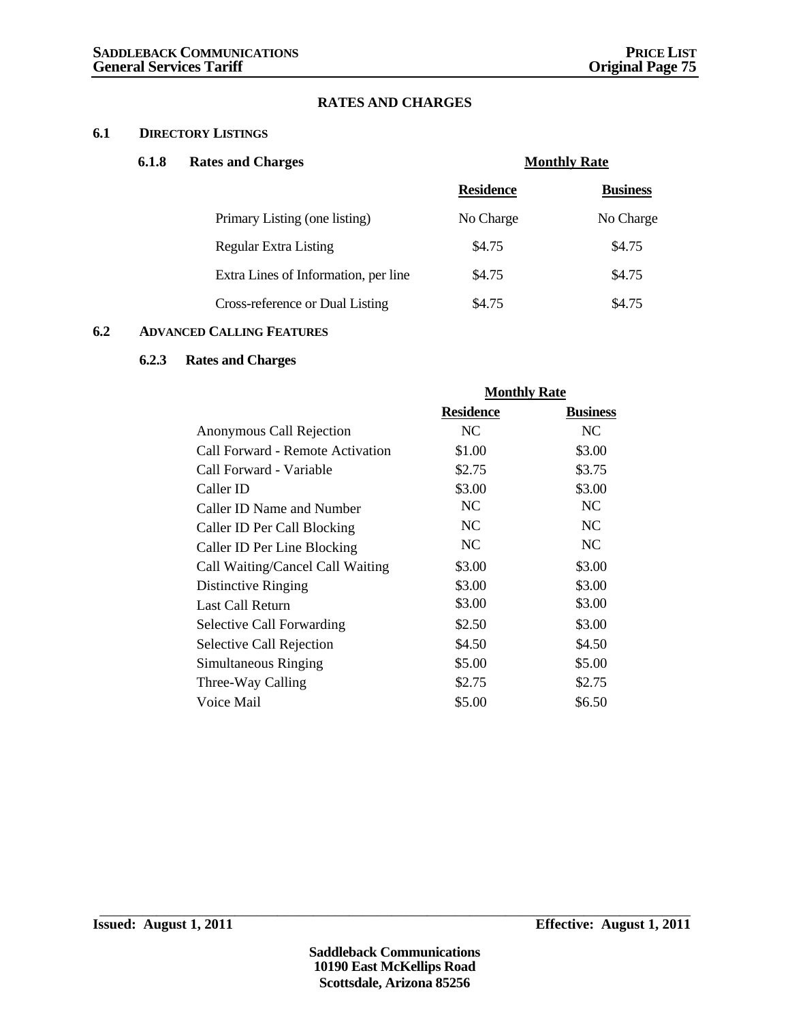#### **6.1 DIRECTORY LISTINGS**

#### **6.1.8 Rates and Charges Monthly Rate**

|                                      | <b>Residence</b> | <b>Business</b> |
|--------------------------------------|------------------|-----------------|
| Primary Listing (one listing)        | No Charge        | No Charge       |
| <b>Regular Extra Listing</b>         | \$4.75           | \$4.75          |
| Extra Lines of Information, per line | \$4.75           | \$4.75          |
| Cross-reference or Dual Listing      | \$4.75           | \$4.75          |

# **6.2 ADVANCED CALLING FEATURES**

# **6.2.3 Rates and Charges**

|                                  | <b>Monthly Rate</b> |                 |
|----------------------------------|---------------------|-----------------|
|                                  | <b>Residence</b>    | <b>Business</b> |
| Anonymous Call Rejection         | NC                  | NC              |
| Call Forward - Remote Activation | \$1.00              | \$3.00          |
| Call Forward - Variable          | \$2.75              | \$3.75          |
| Caller ID                        | \$3.00              | \$3.00          |
| Caller ID Name and Number        | NC                  | NC              |
| Caller ID Per Call Blocking      | NC                  | NC              |
| Caller ID Per Line Blocking      | NC                  | NC              |
| Call Waiting/Cancel Call Waiting | \$3.00              | \$3.00          |
| Distinctive Ringing              | \$3.00              | \$3.00          |
| Last Call Return                 | \$3.00              | \$3.00          |
| <b>Selective Call Forwarding</b> | \$2.50              | \$3.00          |
| Selective Call Rejection         | \$4.50              | \$4.50          |
| Simultaneous Ringing             | \$5.00              | \$5.00          |
| Three-Way Calling                | \$2.75              | \$2.75          |
| Voice Mail                       | \$5.00              | \$6.50          |

\_\_\_\_\_\_\_\_\_\_\_\_\_\_\_\_\_\_\_\_\_\_\_\_\_\_\_\_\_\_\_\_\_\_\_\_\_\_\_\_\_\_\_\_\_\_\_\_\_\_\_\_\_\_\_\_\_\_\_\_\_\_\_\_\_\_\_\_\_\_\_\_\_\_\_\_\_\_\_\_\_\_\_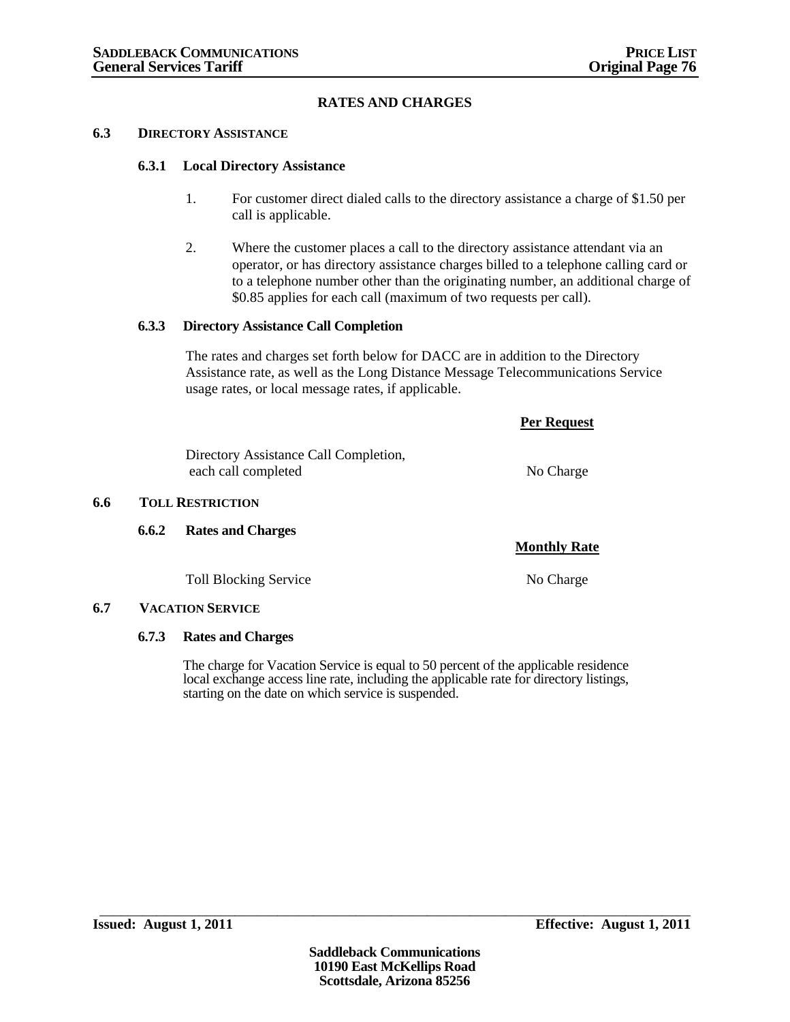#### **6.3 DIRECTORY ASSISTANCE**

#### **6.3.1 Local Directory Assistance**

- 1. For customer direct dialed calls to the directory assistance a charge of \$1.50 per call is applicable.
- 2. Where the customer places a call to the directory assistance attendant via an operator, or has directory assistance charges billed to a telephone calling card or to a telephone number other than the originating number, an additional charge of \$0.85 applies for each call (maximum of two requests per call).

# **6.3.3 Directory Assistance Call Completion**

The rates and charges set forth below for DACC are in addition to the Directory Assistance rate, as well as the Long Distance Message Telecommunications Service usage rates, or local message rates, if applicable.

|                                                              | <b>Per Request</b> |
|--------------------------------------------------------------|--------------------|
| Directory Assistance Call Completion,<br>each call completed | No Charge          |
| Deceniceroni                                                 |                    |

#### **6.6 TOLL RESTRICTION**

#### **6.6.2 Rates and Charges**

Toll Blocking Service No Charge

#### **6.7 VACATION SERVICE**

#### **6.7.3 Rates and Charges**

The charge for Vacation Service is equal to 50 percent of the applicable residence local exchange access line rate, including the applicable rate for directory listings, starting on the date on which service is suspended.

**Monthly Rate**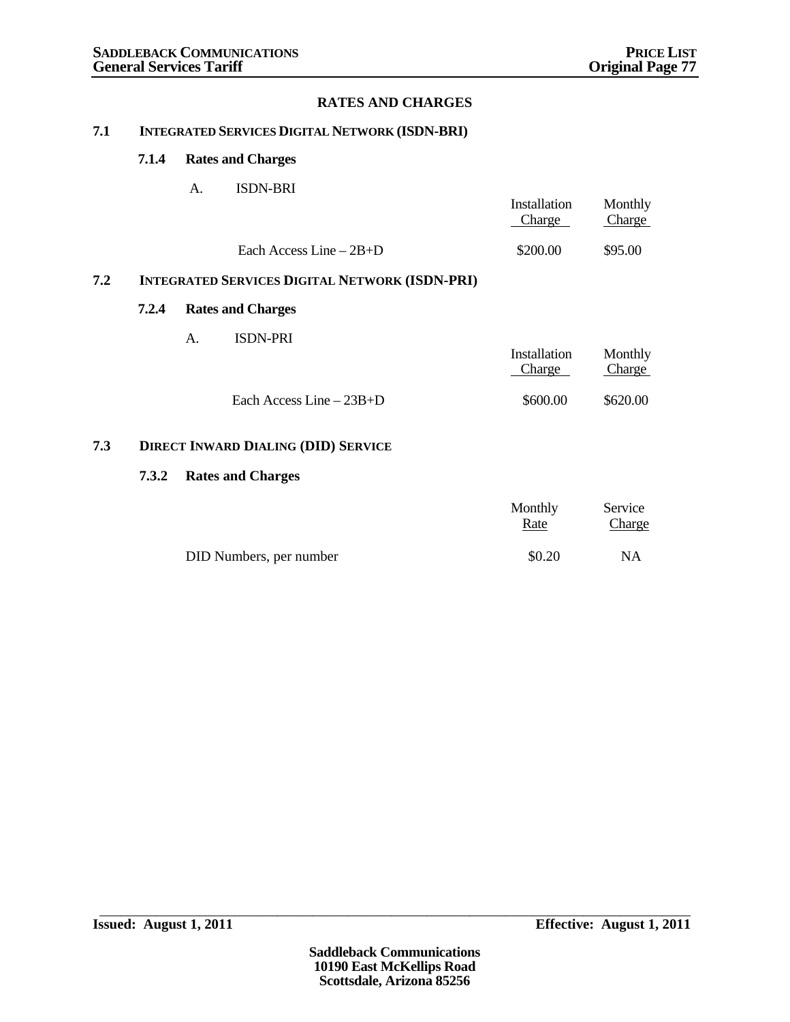# **7.1 INTEGRATED SERVICES DIGITAL NETWORK (ISDN-BRI)**

# **7.1.4 Rates and Charges**

|     |       | A. | <b>ISDN-BRI</b>                                                        |                        |                   |
|-----|-------|----|------------------------------------------------------------------------|------------------------|-------------------|
|     |       |    |                                                                        | Installation<br>Charge | Monthly<br>Charge |
|     |       |    | Each Access Line $-2B+D$                                               | \$200.00               | \$95.00           |
| 7.2 |       |    | <b>INTEGRATED SERVICES DIGITAL NETWORK (ISDN-PRI)</b>                  |                        |                   |
|     | 7.2.4 |    | <b>Rates and Charges</b>                                               |                        |                   |
|     |       | A. | <b>ISDN-PRI</b>                                                        | Installation<br>Charge | Monthly<br>Charge |
|     |       |    | Each Access Line $-23B+D$                                              | \$600.00               | \$620.00          |
| 7.3 | 7.3.2 |    | <b>DIRECT INWARD DIALING (DID) SERVICE</b><br><b>Rates and Charges</b> |                        |                   |
|     |       |    |                                                                        | Monthly                | Service           |

|                         | <u>Rate</u> | <b>Charge</b> |
|-------------------------|-------------|---------------|
| DID Numbers, per number | \$0.20      | NA            |

\_\_\_\_\_\_\_\_\_\_\_\_\_\_\_\_\_\_\_\_\_\_\_\_\_\_\_\_\_\_\_\_\_\_\_\_\_\_\_\_\_\_\_\_\_\_\_\_\_\_\_\_\_\_\_\_\_\_\_\_\_\_\_\_\_\_\_\_\_\_\_\_\_\_\_\_\_\_\_\_\_\_\_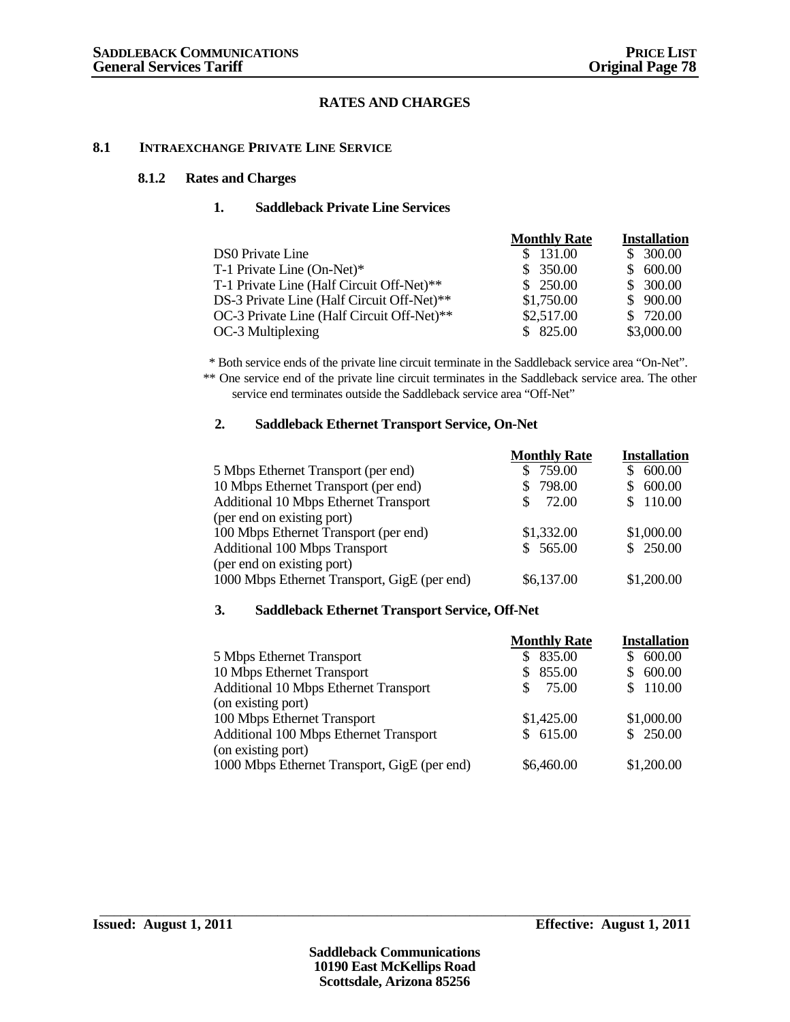#### **8.1 INTRAEXCHANGE PRIVATE LINE SERVICE**

#### **8.1.2 Rates and Charges**

# **1. Saddleback Private Line Services**

|                                            | <b>Monthly Rate</b> | <b>Installation</b> |
|--------------------------------------------|---------------------|---------------------|
| DS0 Private Line                           | \$131.00            | \$300.00            |
| T-1 Private Line (On-Net)*                 | \$350.00            | \$600.00            |
| T-1 Private Line (Half Circuit Off-Net)**  | \$250.00            | \$300.00            |
| DS-3 Private Line (Half Circuit Off-Net)** | \$1,750.00          | \$900.00            |
| OC-3 Private Line (Half Circuit Off-Net)** | \$2,517.00          | \$ 720.00           |
| OC-3 Multiplexing                          | \$825.00            | \$3,000.00          |

\* Both service ends of the private line circuit terminate in the Saddleback service area "On-Net".

\*\* One service end of the private line circuit terminates in the Saddleback service area. The other service end terminates outside the Saddleback service area "Off-Net"

### **2. Saddleback Ethernet Transport Service, On-Net**

|                                              | <b>Monthly Rate</b> | <b>Installation</b> |
|----------------------------------------------|---------------------|---------------------|
| 5 Mbps Ethernet Transport (per end)          | 759.00<br>S.        | 600.00              |
| 10 Mbps Ethernet Transport (per end)         | 798.00              | 600.00              |
| Additional 10 Mbps Ethernet Transport        | 72.00               | 110.00              |
| (per end on existing port)                   |                     |                     |
| 100 Mbps Ethernet Transport (per end)        | \$1,332.00          | \$1,000.00          |
| Additional 100 Mbps Transport                | \$565.00            | \$250.00            |
| (per end on existing port)                   |                     |                     |
| 1000 Mbps Ethernet Transport, GigE (per end) | \$6,137.00          | \$1,200.00          |

### **3. Saddleback Ethernet Transport Service, Off-Net**

|                                              | <b>Monthly Rate</b> | <b>Installation</b> |
|----------------------------------------------|---------------------|---------------------|
| 5 Mbps Ethernet Transport                    | 835.00              | 600.00              |
| 10 Mbps Ethernet Transport                   | 855.00<br>S.        | 600.00              |
| Additional 10 Mbps Ethernet Transport        | 75.00               | \$110.00            |
| (on existing port)                           |                     |                     |
| 100 Mbps Ethernet Transport                  | \$1,425.00          | \$1,000.00          |
| Additional 100 Mbps Ethernet Transport       | 615.00              | \$250.00            |
| (on existing port)                           |                     |                     |
| 1000 Mbps Ethernet Transport, GigE (per end) | \$6,460.00          | \$1,200.00          |
|                                              |                     |                     |

\_\_\_\_\_\_\_\_\_\_\_\_\_\_\_\_\_\_\_\_\_\_\_\_\_\_\_\_\_\_\_\_\_\_\_\_\_\_\_\_\_\_\_\_\_\_\_\_\_\_\_\_\_\_\_\_\_\_\_\_\_\_\_\_\_\_\_\_\_\_\_\_\_\_\_\_\_\_\_\_\_\_\_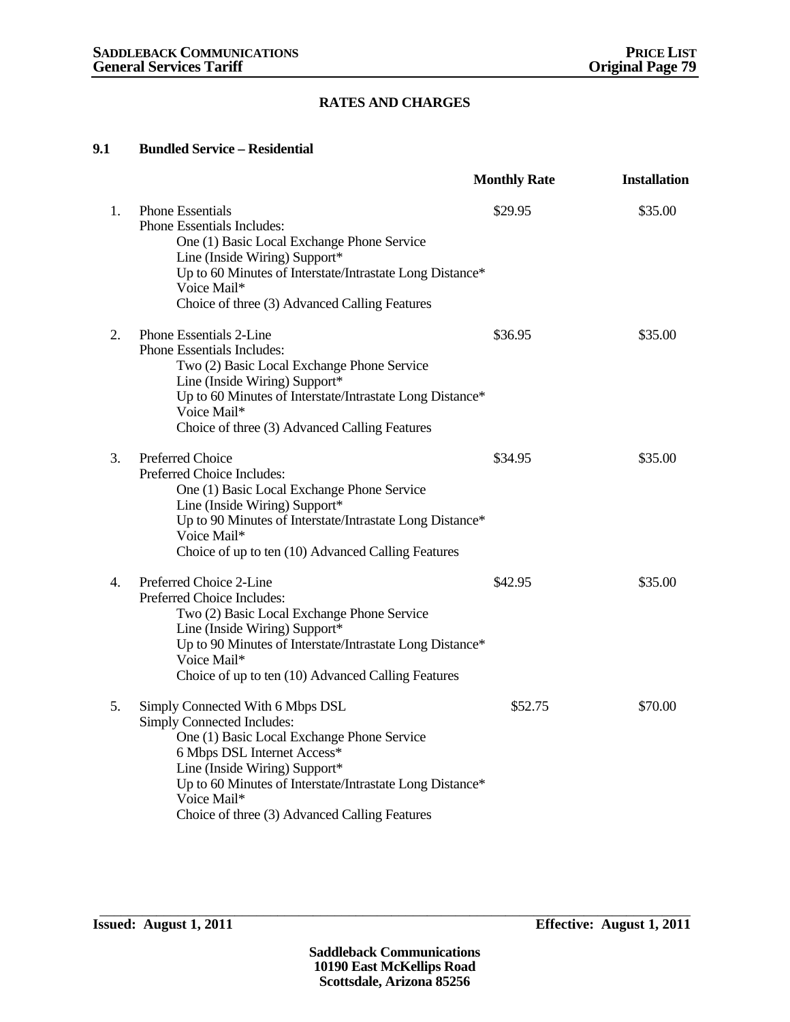# **9.1 Bundled Service – Residential**

|    |                                                                                                                                                                                                                                                                                                          | <b>Monthly Rate</b> | <b>Installation</b> |
|----|----------------------------------------------------------------------------------------------------------------------------------------------------------------------------------------------------------------------------------------------------------------------------------------------------------|---------------------|---------------------|
| 1. | <b>Phone Essentials</b><br>Phone Essentials Includes:<br>One (1) Basic Local Exchange Phone Service<br>Line (Inside Wiring) Support*<br>Up to 60 Minutes of Interstate/Intrastate Long Distance*<br>Voice Mail*<br>Choice of three (3) Advanced Calling Features                                         | \$29.95             | \$35.00             |
| 2. | <b>Phone Essentials 2-Line</b><br><b>Phone Essentials Includes:</b><br>Two (2) Basic Local Exchange Phone Service<br>Line (Inside Wiring) Support*<br>Up to 60 Minutes of Interstate/Intrastate Long Distance*<br>Voice Mail*<br>Choice of three (3) Advanced Calling Features                           | \$36.95             | \$35.00             |
| 3. | Preferred Choice<br>Preferred Choice Includes:<br>One (1) Basic Local Exchange Phone Service<br>Line (Inside Wiring) Support*<br>Up to 90 Minutes of Interstate/Intrastate Long Distance*<br>Voice Mail*<br>Choice of up to ten (10) Advanced Calling Features                                           | \$34.95             | \$35.00             |
| 4. | Preferred Choice 2-Line<br>Preferred Choice Includes:<br>Two (2) Basic Local Exchange Phone Service<br>Line (Inside Wiring) Support*<br>Up to 90 Minutes of Interstate/Intrastate Long Distance*<br>Voice Mail*<br>Choice of up to ten (10) Advanced Calling Features                                    | \$42.95             | \$35.00             |
| 5. | Simply Connected With 6 Mbps DSL<br>Simply Connected Includes:<br>One (1) Basic Local Exchange Phone Service<br>6 Mbps DSL Internet Access*<br>Line (Inside Wiring) Support*<br>Up to 60 Minutes of Interstate/Intrastate Long Distance*<br>Voice Mail*<br>Choice of three (3) Advanced Calling Features | \$52.75             | \$70.00             |